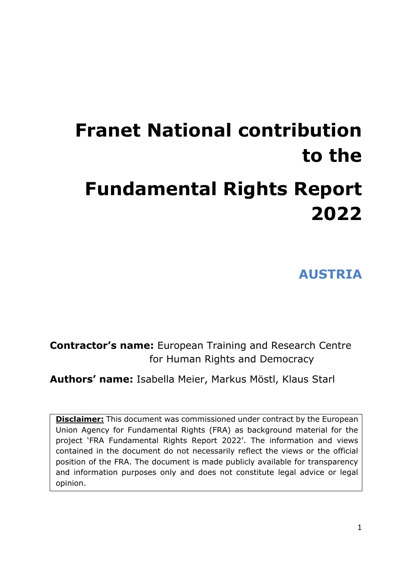# **Franet National contribution to the Fundamental Rights Report 2022**

**AUSTRIA**

**Contractor's name:** European Training and Research Centre for Human Rights and Democracy

**Authors' name:** Isabella Meier, Markus Möstl, Klaus Starl

**Disclaimer:** This document was commissioned under contract by the European Union Agency for Fundamental Rights (FRA) as background material for the project 'FRA Fundamental Rights Report 2022'. The information and views contained in the document do not necessarily reflect the views or the official position of the FRA. The document is made publicly available for transparency and information purposes only and does not constitute legal advice or legal opinion.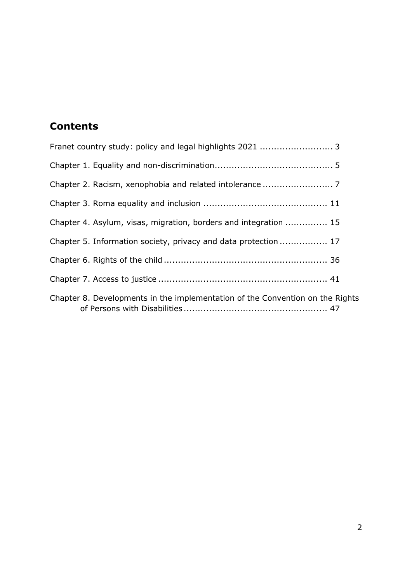## **Contents**

| Chapter 4. Asylum, visas, migration, borders and integration  15              |
|-------------------------------------------------------------------------------|
| Chapter 5. Information society, privacy and data protection 17                |
|                                                                               |
|                                                                               |
| Chapter 8. Developments in the implementation of the Convention on the Rights |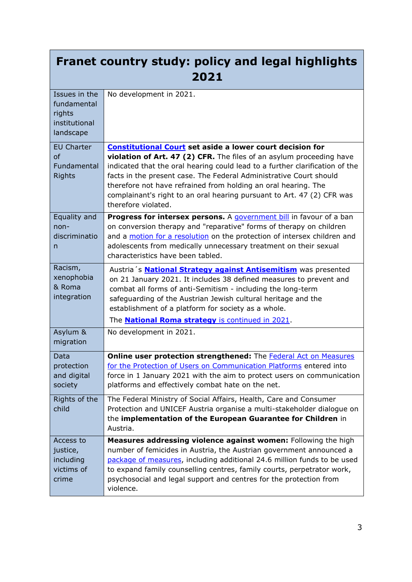# <span id="page-2-0"></span>**Franet country study: policy and legal highlights 2021**

| Issues in the<br>fundamental<br>rights<br>institutional<br>landscape | No development in 2021.                                                                                                                                                                                                                                                                                                                                                                       |
|----------------------------------------------------------------------|-----------------------------------------------------------------------------------------------------------------------------------------------------------------------------------------------------------------------------------------------------------------------------------------------------------------------------------------------------------------------------------------------|
| <b>EU Charter</b>                                                    | <b>Constitutional Court set aside a lower court decision for</b>                                                                                                                                                                                                                                                                                                                              |
| <sub>of</sub><br>Fundamental<br><b>Rights</b>                        | violation of Art. 47 (2) CFR. The files of an asylum proceeding have<br>indicated that the oral hearing could lead to a further clarification of the<br>facts in the present case. The Federal Administrative Court should<br>therefore not have refrained from holding an oral hearing. The<br>complainant's right to an oral hearing pursuant to Art. 47 (2) CFR was<br>therefore violated. |
| Equality and                                                         | Progress for intersex persons. A government bill in favour of a ban                                                                                                                                                                                                                                                                                                                           |
| $non-$<br>discriminatio<br>n                                         | on conversion therapy and "reparative" forms of therapy on children<br>and a motion for a resolution on the protection of intersex children and<br>adolescents from medically unnecessary treatment on their sexual<br>characteristics have been tabled.                                                                                                                                      |
| Racism,                                                              | Austria's <b>National Strategy against Antisemitism</b> was presented                                                                                                                                                                                                                                                                                                                         |
| xenophobia<br>& Roma                                                 | on 21 January 2021. It includes 38 defined measures to prevent and                                                                                                                                                                                                                                                                                                                            |
| integration                                                          | combat all forms of anti-Semitism - including the long-term<br>safeguarding of the Austrian Jewish cultural heritage and the                                                                                                                                                                                                                                                                  |
|                                                                      | establishment of a platform for society as a whole.                                                                                                                                                                                                                                                                                                                                           |
|                                                                      | The <b>National Roma strategy</b> is continued in 2021.                                                                                                                                                                                                                                                                                                                                       |
| Asylum &                                                             | No development in 2021.                                                                                                                                                                                                                                                                                                                                                                       |
| migration                                                            |                                                                                                                                                                                                                                                                                                                                                                                               |
| Data                                                                 | Online user protection strengthened: The Federal Act on Measures                                                                                                                                                                                                                                                                                                                              |
| protection                                                           | for the Protection of Users on Communication Platforms entered into                                                                                                                                                                                                                                                                                                                           |
| and digital                                                          | force in 1 January 2021 with the aim to protect users on communication                                                                                                                                                                                                                                                                                                                        |
| society                                                              | platforms and effectively combat hate on the net.                                                                                                                                                                                                                                                                                                                                             |
| Rights of the<br>child                                               | The Federal Ministry of Social Affairs, Health, Care and Consumer<br>Protection and UNICEF Austria organise a multi-stakeholder dialogue on                                                                                                                                                                                                                                                   |
|                                                                      | the implementation of the European Guarantee for Children in                                                                                                                                                                                                                                                                                                                                  |
|                                                                      | Austria.                                                                                                                                                                                                                                                                                                                                                                                      |
| Access to                                                            | Measures addressing violence against women: Following the high                                                                                                                                                                                                                                                                                                                                |
| justice,                                                             | number of femicides in Austria, the Austrian government announced a                                                                                                                                                                                                                                                                                                                           |
| including<br>victims of                                              | package of measures, including additional 24.6 million funds to be used<br>to expand family counselling centres, family courts, perpetrator work,                                                                                                                                                                                                                                             |
| crime                                                                | psychosocial and legal support and centres for the protection from                                                                                                                                                                                                                                                                                                                            |
|                                                                      | violence.                                                                                                                                                                                                                                                                                                                                                                                     |
|                                                                      |                                                                                                                                                                                                                                                                                                                                                                                               |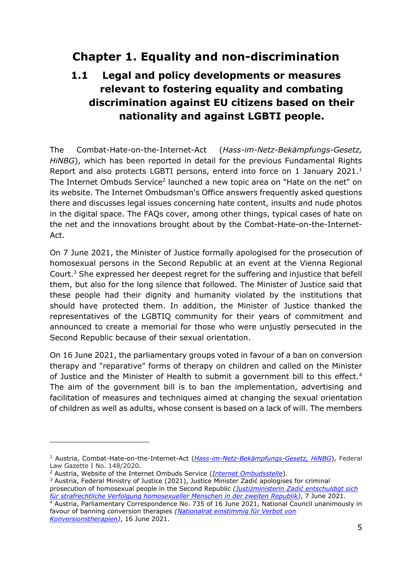# <span id="page-4-0"></span>**Chapter 1. Equality and non-discrimination**

# **1.1 Legal and policy developments or measures relevant to fostering equality and combating discrimination against EU citizens based on their nationality and against LGBTI people.**

The Combat-Hate-on-the-Internet-Act (*Hass-im-Netz-Bekämpfungs-Gesetz, HiNBG*), which has been reported in detail for the previous Fundamental Rights Report and also protects LGBTI persons, enterd into force on 1 January 2021.<sup>1</sup> The Internet Ombuds Service<sup>2</sup> launched a new topic area on "Hate on the net" on its website. The Internet Ombudsman's Office answers frequently asked questions there and discusses legal issues concerning hate content, insults and nude photos in the digital space. The FAQs cover, among other things, typical cases of hate on the net and the innovations brought about by the Combat-Hate-on-the-Internet-Act.

On 7 June 2021, the Minister of Justice formally apologised for the prosecution of homosexual persons in the Second Republic at an event at the Vienna Regional Court.<sup>3</sup> She expressed her deepest regret for the suffering and injustice that befell them, but also for the long silence that followed. The Minister of Justice said that these people had their dignity and humanity violated by the institutions that should have protected them. In addition, the Minister of Justice thanked the representatives of the LGBTIQ community for their years of commitment and announced to create a memorial for those who were unjustly persecuted in the Second Republic because of their sexual orientation.

On 16 June 2021, the parliamentary groups voted in favour of a ban on conversion therapy and "reparative" forms of therapy on children and called on the Minister of Justice and the Minister of Health to submit a government bill to this effect.<sup>4</sup> The aim of the government bill is to ban the implementation, advertising and facilitation of measures and techniques aimed at changing the sexual orientation of children as well as adults, whose consent is based on a lack of will. The members

<sup>4</sup> Austria, Parliamentary Correspondence No. 735 of 16 June 2021, National Council unanimously in favour of banning conversion therapies *[\(Nationalrat einstimmig für Verbot von](https://www.parlament.gv.at/PAKT/PR/JAHR_2021/PK0735/)  [Konversionstherapien\)](https://www.parlament.gv.at/PAKT/PR/JAHR_2021/PK0735/)*, 16 June 2021.

<sup>1</sup> Austria, Combat-Hate-on-the-Internet-Act (*[Hass-im-Netz-Bekämpfungs-Gesetz, HiNBG](https://www.ris.bka.gv.at/Dokument.wxe?Abfrage=BgblAuth&Dokumentnummer=BGBLA_2020_I_148)*), Federal Law Gazette I No. 148/2020.

<sup>2</sup> Austria, Website of the Internet Ombuds Service (*[Internet Ombudsstelle](https://www.ombudsstelle.at/)*).

<sup>&</sup>lt;sup>3</sup> Austria, Federal Ministry of Justice (2021), Justice Minister Zadić apologises for criminal prosecution of homosexual people in the Second Republic *([Justizministerin Zadić entschuldigt sich](https://www.bmj.gv.at/ministerium/presse/pressmitteilungen-2021/Justizministerin-Zadić-entschuldigt-sich-für-strafrechtliche-Verfolgung-homosexueller-Menschen-in-der-zweiten-Republik.html)  [für strafrechtliche Verfolgung homosexueller Menschen in der zweiten Republik\)](https://www.bmj.gv.at/ministerium/presse/pressmitteilungen-2021/Justizministerin-Zadić-entschuldigt-sich-für-strafrechtliche-Verfolgung-homosexueller-Menschen-in-der-zweiten-Republik.html)*, 7 June 2021.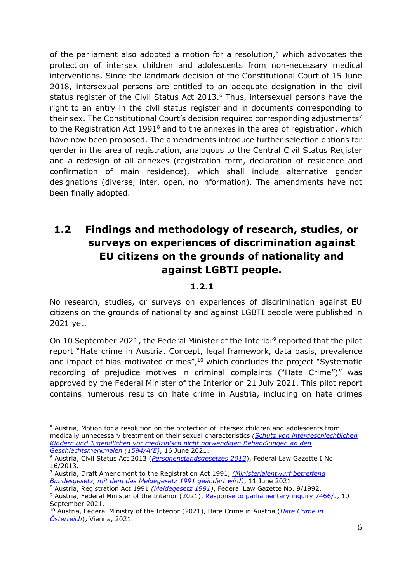of the parliament also adopted a motion for a resolution, $5$  which advocates the protection of intersex children and adolescents from non-necessary medical interventions. Since the landmark decision of the Constitutional Court of 15 June 2018, intersexual persons are entitled to an adequate designation in the civil status register of the Civil Status Act 2013. <sup>6</sup> Thus, intersexual persons have the right to an entry in the civil status register and in documents corresponding to their sex. The Constitutional Court's decision required corresponding adjustments<sup>7</sup> to the Registration Act  $1991<sup>8</sup>$  and to the annexes in the area of registration, which have now been proposed. The amendments introduce further selection options for gender in the area of registration, analogous to the Central Civil Status Register and a redesign of all annexes (registration form, declaration of residence and confirmation of main residence), which shall include alternative gender designations (diverse, inter, open, no information). The amendments have not been finally adopted.

# **1.2 Findings and methodology of research, studies, or surveys on experiences of discrimination against EU citizens on the grounds of nationality and against LGBTI people.**

#### **1.2.1**

No research, studies, or surveys on experiences of discrimination against EU citizens on the grounds of nationality and against LGBTI people were published in 2021 yet.

On 10 September 2021, the Federal Minister of the Interior<sup>9</sup> reported that the pilot report "Hate crime in Austria. Concept, legal framework, data basis, prevalence and impact of bias-motivated crimes", <sup>10</sup> which concludes the project "Systematic recording of prejudice motives in criminal complaints ("Hate Crime")" was approved by the Federal Minister of the Interior on 21 July 2021. This pilot report contains numerous results on hate crime in Austria, including on hate crimes

<sup>5</sup> Austria, Motion for a resolution on the protection of intersex children and adolescents from medically unnecessary treatment on their sexual characteristics *[\(Schutz von intergeschlechtlichen](https://www.parlament.gv.at/PAKT/VHG/XXVII/A/A_01594/index.shtml)  [Kindern und Jugendlichen vor medizinisch nicht notwendigen Behandlungen an den](https://www.parlament.gv.at/PAKT/VHG/XXVII/A/A_01594/index.shtml)  [Geschlechtsmerkmalen \(1594/A\(E\)](https://www.parlament.gv.at/PAKT/VHG/XXVII/A/A_01594/index.shtml)*, 16 June 2021.

<sup>6</sup> Austria, Civil Status Act 2013 (*[Personenstandsgesetzes 2013](https://www.ris.bka.gv.at/GeltendeFassung.wxe?Abfrage=Bundesnormen&Gesetzesnummer=20008228)*), Federal Law Gazette I No. 16/2013.

<sup>7</sup> Austria, Draft Amendment to the Registration Act 1991, *[\(Ministerialentwurf betreffend](https://www.parlament.gv.at/PAKT/VHG/XXVII/ME/ME_00133/index.shtml)  [Bundesgesetz, mit dem das Meldegesetz 1991 geändert wird\)](https://www.parlament.gv.at/PAKT/VHG/XXVII/ME/ME_00133/index.shtml)*, 11 June 2021.

<sup>8</sup> Austria, Registration Act 1991 *[\(Meldegesetz 1991\)](https://www.ris.bka.gv.at/GeltendeFassung.wxe?Abfrage=Bundesnormen&Gesetzesnummer=10005799)*, Federal Law Gazette No. 9/1992. <sup>9</sup> Austria, Federal Minister of the Interior (2021), [Response to parliamentary inquiry 7466/J,](https://www.parlament.gv.at/PAKT/VHG/XXVII/AB/AB_07353/index.shtml) 10

September 2021.

<sup>10</sup> Austria, Federal Ministry of the Interior (2021), Hate Crime in Austria (*[Hate Crime in](https://www.bmi.gv.at/408/Projekt/files/161_2021_Hate_Crime_Pilotbericht_GESAMT_V20210702_barrierefrei.pdf)  [Österreich](https://www.bmi.gv.at/408/Projekt/files/161_2021_Hate_Crime_Pilotbericht_GESAMT_V20210702_barrierefrei.pdf)*), Vienna, 2021.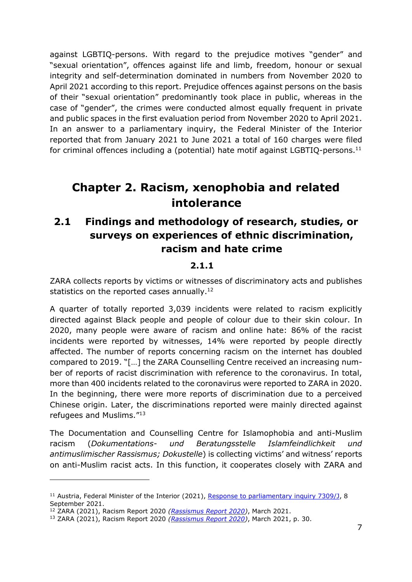against LGBTIQ-persons. With regard to the prejudice motives "gender" and "sexual orientation", offences against life and limb, freedom, honour or sexual integrity and self-determination dominated in numbers from November 2020 to April 2021 according to this report. Prejudice offences against persons on the basis of their "sexual orientation" predominantly took place in public, whereas in the case of "gender", the crimes were conducted almost equally frequent in private and public spaces in the first evaluation period from November 2020 to April 2021. In an answer to a parliamentary inquiry, the Federal Minister of the Interior reported that from January 2021 to June 2021 a total of 160 charges were filed for criminal offences including a (potential) hate motif against LGBTIQ-persons.<sup>11</sup>

# <span id="page-6-0"></span>**Chapter 2. Racism, xenophobia and related intolerance**

## **2.1 Findings and methodology of research, studies, or surveys on experiences of ethnic discrimination, racism and hate crime**

#### **2.1.1**

ZARA collects reports by victims or witnesses of discriminatory acts and publishes statistics on the reported cases annually.<sup>12</sup>

A quarter of totally reported 3,039 incidents were related to racism explicitly directed against Black people and people of colour due to their skin colour. In 2020, many people were aware of racism and online hate: 86% of the racist incidents were reported by witnesses, 14% were reported by people directly affected. The number of reports concerning racism on the internet has doubled compared to 2019. "[…] the ZARA Counselling Centre received an increasing number of reports of racist discrimination with reference to the coronavirus. In total, more than 400 incidents related to the coronavirus were reported to ZARA in 2020. In the beginning, there were more reports of discrimination due to a perceived Chinese origin. Later, the discriminations reported were mainly directed against refugees and Muslims."<sup>13</sup>

The Documentation and Counselling Centre for Islamophobia and anti-Muslim racism (*Dokumentations- und Beratungsstelle Islamfeindlichkeit und antimuslimischer Rassismus; Dokustelle*) is collecting victims' and witness' reports on anti-Muslim racist acts. In this function, it cooperates closely with ZARA and

<sup>&</sup>lt;sup>11</sup> Austria, Federal Minister of the Interior (2021), [Response to parliamentary inquiry 7309/J,](https://www.parlament.gv.at/PAKT/VHG/XXVII/AB/AB_07270/index.shtml) 8 September 2021.

<sup>12</sup> ZARA (2021), Racism Report 2020 *[\(Rassismus Report 2020\)](https://assets.zara.or.at/media/rassismusreport/ZARA-Rassismus_Report_2020.pdf)*, March 2021.

<sup>13</sup> ZARA (2021), Racism Report 2020 *[\(Rassismus Report 2020\)](https://assets.zara.or.at/media/rassismusreport/ZARA-Rassismus_Report_2020.pdf)*, March 2021, p. 30.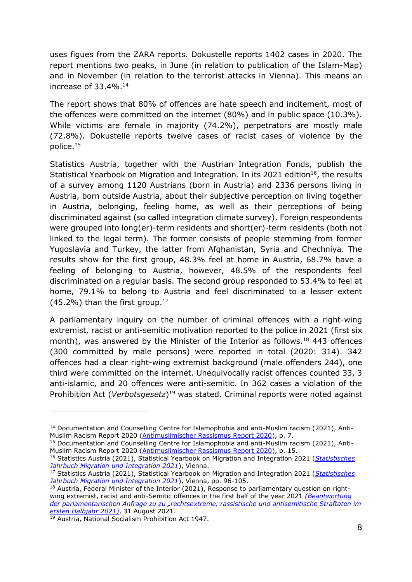uses figues from the ZARA reports. Dokustelle reports 1402 cases in 2020. The report mentions two peaks, in June (in relation to publication of the Islam-Map) and in November (in relation to the terrorist attacks in Vienna). This means an increase of  $33.4\%$ .<sup>14</sup>

The report shows that 80% of offences are hate speech and incitement, most of the offences were committed on the internet (80%) and in public space (10.3%). While victims are female in majority (74.2%), perpetrators are mostly male (72.8%). Dokustelle reports twelve cases of racist cases of violence by the police.<sup>15</sup>

Statistics Austria, together with the Austrian Integration Fonds, publish the Statistical Yearbook on Migration and Integration. In its 2021 edition<sup>16</sup>, the results of a survey among 1120 Austrians (born in Austria) and 2336 persons living in Austria, born outside Austria, about their subjective perception on living together in Austria, belonging, feeling home, as well as their perceptions of being discriminated against (so called integration climate survey). Foreign respeondents were grouped into long(er)-term residents and short(er)-term residents (both not linked to the legal term). The former consists of people stemming from former Yugoslavia and Turkey, the latter from Afghanistan, Syria and Chechniya. The results show for the first group, 48.3% feel at home in Austria, 68.7% have a feeling of belonging to Austria, however, 48.5% of the respondents feel discriminated on a regular basis. The second group responded to 53.4% to feel at home, 79.1% to belong to Austria and feel discriminated to a lesser extent  $(45.2\%)$  than the first group.<sup>17</sup>

A parliamentary inquiry on the number of criminal offences with a right-wing extremist, racist or anti-semitic motivation reported to the police in 2021 (first six month), was answered by the Minister of the Interior as follows.<sup>18</sup> 443 offences (300 committed by male persons) were reported in total (2020: 314). 342 offences had a clear right-wing extremist background (male offenders 244), one third were committed on the internet. Unequivocally racist offences counted 33, 3 anti-islamic, and 20 offences were anti-semitic. In 362 cases a violation of the Prohibition Act (*Verbotsgesetz*) <sup>19</sup> was stated. Criminal reports were noted against

<sup>15</sup> Documentation and Counselling Centre for Islamophobia and anti-Muslim racism (2021), Anti-Muslim Racism Report 2020 [\(Antimuslimischer Rassismus](https://dokustelle.at/fileadmin/Media/Reports/2020/Antimuslimischer_Rassismus_Report_2020.pdf) Report 2020), p. 15.

<sup>14</sup> Documentation and Counselling Centre for Islamophobia and anti-Muslim racism (2021), Anti-Muslim Racism Report 2020 [\(Antimuslimischer Rassismus Report 2020\)](https://dokustelle.at/fileadmin/Media/Reports/2020/Antimuslimischer_Rassismus_Report_2020.pdf), p. 7.

<sup>16</sup> Statistics Austria (2021), Statistical Yearbook on Migration and Integration 2021 (*[Statistisches](https://www.statistik.at/web_de/services/publikationen/2/index.html?includePage=detailedView§ionName=Bev%C3%B6lkerung&pubId=710)  [Jahrbuch Migration und Integration 2021](https://www.statistik.at/web_de/services/publikationen/2/index.html?includePage=detailedView§ionName=Bev%C3%B6lkerung&pubId=710)*), Vienna.

<sup>17</sup> Statistics Austria (2021), Statistical Yearbook on Migration and Integration 2021 (*[Statistisches](https://www.statistik.at/web_de/services/publikationen/2/index.html?includePage=detailedView§ionName=Bev%C3%B6lkerung&pubId=710)  [Jahrbuch Migration und Integration 2021](https://www.statistik.at/web_de/services/publikationen/2/index.html?includePage=detailedView§ionName=Bev%C3%B6lkerung&pubId=710)*), Vienna, pp. 96-105.

 $18$  Austria, Federal Minister of the Interior (2021), Response to parliamentary question on rightwing extremist, racist and anti-Semitic offences in the first half of the year 2021 *[\(Beantwortung](https://www.parlament.gv.at/PAKT/VHG/XXVII/AB/AB_07115/index.shtml)  [der parlamentarischen Anfrage zu zu "rechtsextreme, rassistische und antisemitische Straftaten im](https://www.parlament.gv.at/PAKT/VHG/XXVII/AB/AB_07115/index.shtml)  [ersten Halbjahr 2021\)](https://www.parlament.gv.at/PAKT/VHG/XXVII/AB/AB_07115/index.shtml)*, 31 August 2021.

<sup>19</sup> Austria, National Socialism Prohibition Act 1947.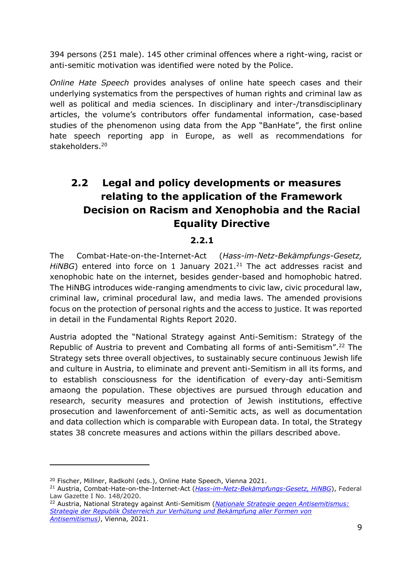394 persons (251 male). 145 other criminal offences where a right-wing, racist or anti-semitic motivation was identified were noted by the Police.

*Online Hate Speech* provides analyses of online hate speech cases and their underlying systematics from the perspectives of human rights and criminal law as well as political and media sciences. In disciplinary and inter-/transdisciplinary articles, the volume's contributors offer fundamental information, case-based studies of the phenomenon using data from the App "BanHate", the first online hate speech reporting app in Europe, as well as recommendations for stakeholders.<sup>20</sup>

# **2.2 Legal and policy developments or measures relating to the application of the Framework Decision on Racism and Xenophobia and the Racial Equality Directive**

#### **2.2.1**

The Combat-Hate-on-the-Internet-Act (*Hass-im-Netz-Bekämpfungs-Gesetz, HiNBG*) entered into force on 1 January 2021.<sup>21</sup> The act addresses racist and xenophobic hate on the internet, besides gender-based and homophobic hatred. The HiNBG introduces wide-ranging amendments to civic law, civic procedural law, criminal law, criminal procedural law, and media laws. The amended provisions focus on the protection of personal rights and the access to justice. It was reported in detail in the Fundamental Rights Report 2020.

Austria adopted the "National Strategy against Anti-Semitism: Strategy of the Republic of Austria to prevent and Combating all forms of anti-Semitism".<sup>22</sup> The Strategy sets three overall objectives, to sustainably secure continuous Jewish life and culture in Austria, to eliminate and prevent anti-Semitism in all its forms, and to establish consciousness for the identification of every-day anti-Semitism amaong the population. These objectives are pursued through education and research, security measures and protection of Jewish institutions, effective prosecution and lawenforcement of anti-Semitic acts, as well as documentation and data collection which is comparable with European data. In total, the Strategy states 38 concrete measures and actions within the pillars described above.

<sup>&</sup>lt;sup>20</sup> Fischer, Millner, Radkohl (eds.), Online Hate Speech, Vienna 2021.

<sup>21</sup> Austria, Combat-Hate-on-the-Internet-Act (*[Hass-im-Netz-Bekämpfungs-Gesetz, HiNBG](https://www.ris.bka.gv.at/Dokument.wxe?Abfrage=BgblAuth&Dokumentnummer=BGBLA_2020_I_148)*), Federal Law Gazette I No. 148/2020.

<sup>22</sup> Austria, National Strategy against Anti-Semitism (*[Nationale Strategie gegen Antisemitismus:](https://www.parlament.gv.at/PAKT/VHG/XXVII/III/III_00256/imfname_886249.pdf)  [Strategie der Republik Österreich zur Verhütung und Bekämpfung aller Formen von](https://www.parlament.gv.at/PAKT/VHG/XXVII/III/III_00256/imfname_886249.pdf)  [Antisemitismus\)](https://www.parlament.gv.at/PAKT/VHG/XXVII/III/III_00256/imfname_886249.pdf)*, Vienna, 2021.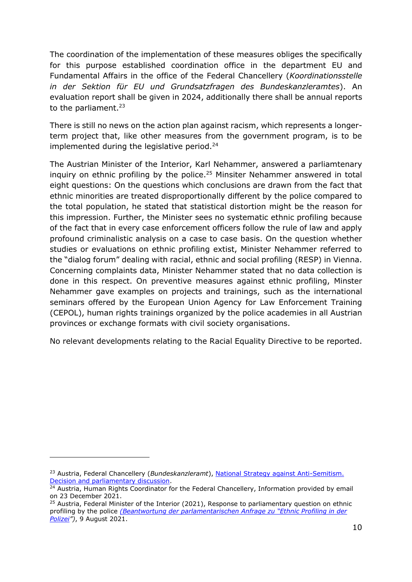The coordination of the implementation of these measures obliges the specifically for this purpose established coordination office in the department EU and Fundamental Affairs in the office of the Federal Chancellery (*Koordinationsstelle in der Sektion für EU und Grundsatzfragen des Bundeskanzleramtes*). An evaluation report shall be given in 2024, additionally there shall be annual reports to the parliament. $23$ 

There is still no news on the action plan against racism, which represents a longerterm project that, like other measures from the government program, is to be implemented during the legislative period.<sup>24</sup>

The Austrian Minister of the Interior, Karl Nehammer, answered a parliamtenary inquiry on ethnic profiling by the police.<sup>25</sup> Minsiter Nehammer answered in total eight questions: On the questions which conclusions are drawn from the fact that ethnic minorities are treated disproportionally different by the police compared to the total population, he stated that statistical distortion might be the reason for this impression. Further, the Minister sees no systematic ethnic profiling because of the fact that in every case enforcement officers follow the rule of law and apply profound criminalistic analysis on a case to case basis. On the question whether studies or evaluations on ethnic profiling extist, Minister Nehammer referred to the "dialog forum" dealing with racial, ethnic and social profiling (RESP) in Vienna. Concerning complaints data, Minister Nehammer stated that no data collection is done in this respect. On preventive measures against ethnic profiling, Minster Nehammer gave examples on projects and trainings, such as the international seminars offered by the European Union Agency for Law Enforcement Training (CEPOL), human rights trainings organized by the police academies in all Austrian provinces or exchange formats with civil society organisations.

No relevant developments relating to the Racial Equality Directive to be reported.

<sup>23</sup> Austria, Federal Chancellery (*Bundeskanzleramt*), [National Strategy against Anti-Semitism.](https://www.parlament.gv.at/PAKT/VHG/XXVII/A/A_01159/index.shtml)  [Decision and parliamentary discussion.](https://www.parlament.gv.at/PAKT/VHG/XXVII/A/A_01159/index.shtml)

<sup>&</sup>lt;sup>24</sup> Austria, Human Rights Coordinator for the Federal Chancellery, Information provided by email on 23 December 2021.

<sup>&</sup>lt;sup>25</sup> Austria, Federal Minister of the Interior (2021), Response to parliamentary question on ethnic profiling by the police *[\(Beantwortung der parlamentarischen Anfrage zu "Ethnic Profiling in der](https://www.parlament.gv.at/PAKT/VHG/XXVII/AB/AB_06848/imfname_993165.pdf)  [Polizei](https://www.parlament.gv.at/PAKT/VHG/XXVII/AB/AB_06848/imfname_993165.pdf)")*, 9 August 2021.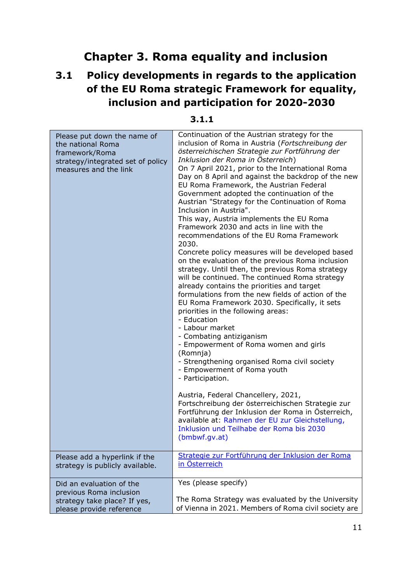# **Chapter 3. Roma equality and inclusion**

# <span id="page-10-0"></span>**3.1 Policy developments in regards to the application of the EU Roma strategic Framework for equality, inclusion and participation for 2020-2030**

| Please put down the name of<br>the national Roma<br>framework/Roma<br>strategy/integrated set of policy<br>measures and the link | Continuation of the Austrian strategy for the<br>inclusion of Roma in Austria (Fortschreibung der<br>österreichischen Strategie zur Fortführung der<br>Inklusion der Roma in Osterreich)<br>On 7 April 2021, prior to the International Roma<br>Day on 8 April and against the backdrop of the new<br>EU Roma Framework, the Austrian Federal<br>Government adopted the continuation of the<br>Austrian "Strategy for the Continuation of Roma<br>Inclusion in Austria".<br>This way, Austria implements the EU Roma<br>Framework 2030 and acts in line with the<br>recommendations of the EU Roma Framework<br>2030.<br>Concrete policy measures will be developed based<br>on the evaluation of the previous Roma inclusion<br>strategy. Until then, the previous Roma strategy<br>will be continued. The continued Roma strategy<br>already contains the priorities and target<br>formulations from the new fields of action of the<br>EU Roma Framework 2030. Specifically, it sets<br>priorities in the following areas:<br>- Education<br>- Labour market<br>- Combating antiziganism<br>- Empowerment of Roma women and girls<br>(Romnja)<br>- Strengthening organised Roma civil society<br>- Empowerment of Roma youth<br>- Participation.<br>Austria, Federal Chancellery, 2021,<br>Fortschreibung der österreichischen Strategie zur<br>Fortführung der Inklusion der Roma in Österreich,<br>available at: Rahmen der EU zur Gleichstellung,<br>Inklusion und Teilhabe der Roma bis 2030<br>(bmbwf.gv.at) |
|----------------------------------------------------------------------------------------------------------------------------------|----------------------------------------------------------------------------------------------------------------------------------------------------------------------------------------------------------------------------------------------------------------------------------------------------------------------------------------------------------------------------------------------------------------------------------------------------------------------------------------------------------------------------------------------------------------------------------------------------------------------------------------------------------------------------------------------------------------------------------------------------------------------------------------------------------------------------------------------------------------------------------------------------------------------------------------------------------------------------------------------------------------------------------------------------------------------------------------------------------------------------------------------------------------------------------------------------------------------------------------------------------------------------------------------------------------------------------------------------------------------------------------------------------------------------------------------------------------------------------------------------------------------|
| Please add a hyperlink if the                                                                                                    | Strategie zur Fortführung der Inklusion der Roma                                                                                                                                                                                                                                                                                                                                                                                                                                                                                                                                                                                                                                                                                                                                                                                                                                                                                                                                                                                                                                                                                                                                                                                                                                                                                                                                                                                                                                                                     |
| strategy is publicly available.                                                                                                  | in Österreich                                                                                                                                                                                                                                                                                                                                                                                                                                                                                                                                                                                                                                                                                                                                                                                                                                                                                                                                                                                                                                                                                                                                                                                                                                                                                                                                                                                                                                                                                                        |
| Did an evaluation of the                                                                                                         | Yes (please specify)                                                                                                                                                                                                                                                                                                                                                                                                                                                                                                                                                                                                                                                                                                                                                                                                                                                                                                                                                                                                                                                                                                                                                                                                                                                                                                                                                                                                                                                                                                 |
| previous Roma inclusion                                                                                                          |                                                                                                                                                                                                                                                                                                                                                                                                                                                                                                                                                                                                                                                                                                                                                                                                                                                                                                                                                                                                                                                                                                                                                                                                                                                                                                                                                                                                                                                                                                                      |
| strategy take place? If yes,                                                                                                     | The Roma Strategy was evaluated by the University                                                                                                                                                                                                                                                                                                                                                                                                                                                                                                                                                                                                                                                                                                                                                                                                                                                                                                                                                                                                                                                                                                                                                                                                                                                                                                                                                                                                                                                                    |
| please provide reference                                                                                                         | of Vienna in 2021. Members of Roma civil society are                                                                                                                                                                                                                                                                                                                                                                                                                                                                                                                                                                                                                                                                                                                                                                                                                                                                                                                                                                                                                                                                                                                                                                                                                                                                                                                                                                                                                                                                 |

#### **3.1.1**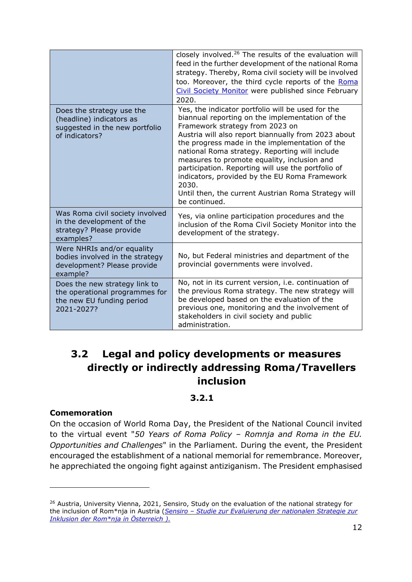|                                                                                                            | closely involved. <sup>26</sup> The results of the evaluation will<br>feed in the further development of the national Roma<br>strategy. Thereby, Roma civil society will be involved<br>too. Moreover, the third cycle reports of the Roma<br>Civil Society Monitor were published since February<br>2020.                                                                                                                                                                                                                                |
|------------------------------------------------------------------------------------------------------------|-------------------------------------------------------------------------------------------------------------------------------------------------------------------------------------------------------------------------------------------------------------------------------------------------------------------------------------------------------------------------------------------------------------------------------------------------------------------------------------------------------------------------------------------|
| Does the strategy use the<br>(headline) indicators as<br>suggested in the new portfolio<br>of indicators?  | Yes, the indicator portfolio will be used for the<br>biannual reporting on the implementation of the<br>Framework strategy from 2023 on<br>Austria will also report biannually from 2023 about<br>the progress made in the implementation of the<br>national Roma strategy. Reporting will include<br>measures to promote equality, inclusion and<br>participation. Reporting will use the portfolio of<br>indicators, provided by the EU Roma Framework<br>2030.<br>Until then, the current Austrian Roma Strategy will<br>be continued. |
| Was Roma civil society involved<br>in the development of the<br>strategy? Please provide<br>examples?      | Yes, via online participation procedures and the<br>inclusion of the Roma Civil Society Monitor into the<br>development of the strategy.                                                                                                                                                                                                                                                                                                                                                                                                  |
| Were NHRIs and/or equality<br>bodies involved in the strategy<br>development? Please provide<br>example?   | No, but Federal ministries and department of the<br>provincial governments were involved.                                                                                                                                                                                                                                                                                                                                                                                                                                                 |
| Does the new strategy link to<br>the operational programmes for<br>the new EU funding period<br>2021-2027? | No, not in its current version, i.e. continuation of<br>the previous Roma strategy. The new strategy will<br>be developed based on the evaluation of the<br>previous one, monitoring and the involvement of<br>stakeholders in civil society and public<br>administration.                                                                                                                                                                                                                                                                |

# **3.2 Legal and policy developments or measures directly or indirectly addressing Roma/Travellers inclusion**

#### **3.2.1**

#### **Comemoration**

On the occasion of World Roma Day, the President of the National Council invited to the virtual event "*50 Years of Roma Policy – Romnja and Roma in the EU. Opportunities and Challenges*" in the Parliament. During the event, the President encouraged the establishment of a national memorial for remembrance. Moreover, he apprechiated the ongoing fight against antiziganism. The President emphasised

<sup>&</sup>lt;sup>26</sup> Austria, University Vienna, 2021, Sensiro, Study on the evaluation of the national strategy for the inclusion of Rom\*nja in Austria (*Sensiro – [Studie zur Evaluierung der nationalen Strategie zur](https://sensiro.univie.ac.at/)  [Inklusion der Rom\\*nja in Österreich \)](https://sensiro.univie.ac.at/).*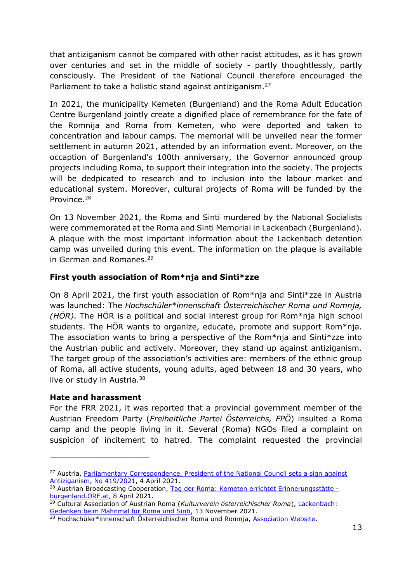that antiziganism cannot be compared with other racist attitudes, as it has grown over centuries and set in the middle of society - partly thoughtlessly, partly consciously. The President of the National Council therefore encouraged the Parliament to take a holistic stand against antiziganism.<sup>27</sup>

In 2021, the municipality Kemeten (Burgenland) and the Roma Adult Education Centre Burgenland jointly create a dignified place of remembrance for the fate of the Romnija and Roma from Kemeten, who were deported and taken to concentration and labour camps. The memorial will be unveiled near the former settlement in autumn 2021, attended by an information event. Moreover, on the occaption of Burgenland's 100th anniversary, the Governor announced group projects including Roma, to support their integration into the society. The projects will be dedpicated to research and to inclusion into the labour market and educational system. Moreover, cultural projects of Roma will be funded by the Province.<sup>28</sup>

On 13 November 2021, the Roma and Sinti murdered by the National Socialists were commemorated at the Roma and Sinti Memorial in Lackenbach (Burgenland). A plaque with the most important information about the Lackenbach detention camp was unveiled during this event. The information on the plaque is available in German and Romanes.<sup>29</sup>

#### **First youth association of Rom\*nja and Sinti\*zze**

On 8 April 2021, the first youth association of Rom\*nja and Sinti\*zze in Austria was launched: The *Hochschüler\*innenschaft Österreichischer Roma und Romnja, (HÖR)*. The HÖR is a political and social interest group for Rom\*nja high school students. The HÖR wants to organize, educate, promote and support Rom\*nja. The association wants to bring a perspective of the Rom\*nja and Sinti\*zze into the Austrian public and actively. Moreover, they stand up against antiziganism. The target group of the association's activities are: members of the ethnic group of Roma, all active students, young adults, aged between 18 and 30 years, who live or study in Austria.<sup>30</sup>

#### **Hate and harassment**

For the FRR 2021, it was reported that a provincial government member of the Austrian Freedom Party (*Freiheitliche Partei Österreichs, FPÖ*) insulted a Roma camp and the people living in it. Several (Roma) NGOs filed a complaint on suspicion of incitement to hatred. The complaint requested the provincial

<sup>&</sup>lt;sup>27</sup> Austria, Parliamentary Correspondence, President of the National Council sets a sign against [Antiziganism, No 419/2021,](https://www.parlament.gv.at/PAKT/PR/JAHR_2021/PK0419/index.shtml) 4 April 2021.

<sup>28</sup> Austrian Broadcasting Cooperation, [Tag der Roma: Kemeten errichtet Erinnerungsstätte](https://burgenland.orf.at/stories/3098264/)  [burgenland.ORF.at,](https://burgenland.orf.at/stories/3098264/) 8 April 2021.

<sup>29</sup> Cultural Association of Austrian Roma (*Kulturverein österreichischer Roma*), [Lackenbach:](https://www.kv-roma.at/content/Mahnmal-in-Lackenbach.html)  [Gedenken beim Mahnmal für Roma und Sinti,](https://www.kv-roma.at/content/Mahnmal-in-Lackenbach.html) 13 November 2021.

<sup>30</sup> Hochschüler\*innenschaft Österreichischer Roma und Romnja, [Association Website.](https://www.hoer-info.at/)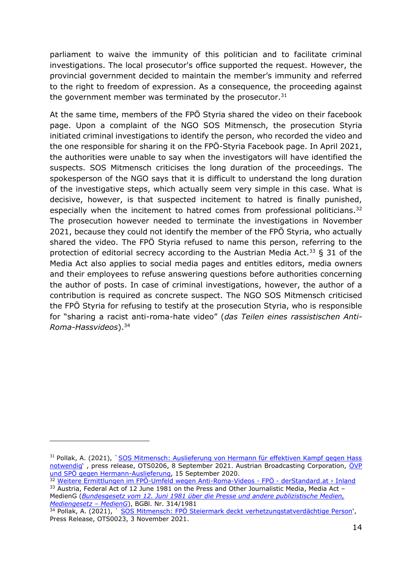parliament to waive the immunity of this politician and to facilitate criminal investigations. The local prosecutor's office supported the request. However, the provincial government decided to maintain the member's immunity and referred to the right to freedom of expression. As a consequence, the proceeding against the government member was terminated by the prosecutor. $31$ 

At the same time, members of the FPÖ Styria shared the video on their facebook page. Upon a complaint of the NGO SOS Mitmensch, the prosecution Styria initiated criminal investigations to identify the person, who recorded the video and the one responsible for sharing it on the FPÖ-Styria Facebook page. In April 2021, the authorities were unable to say when the investigators will have identified the suspects. SOS Mitmensch criticises the long duration of the proceedings. The spokesperson of the NGO says that it is difficult to understand the long duration of the investigative steps, which actually seem very simple in this case. What is decisive, however, is that suspected incitement to hatred is finally punished, especially when the incitement to hatred comes from professional politicians.<sup>32</sup> The prosecution however needed to terminate the investigations in November 2021, because they could not identify the member of the FPÖ Styria, who actually shared the video. The FPÖ Styria refused to name this person, referring to the protection of editorial secrecy according to the Austrian Media Act.<sup>33</sup> § 31 of the Media Act also applies to social media pages and entitles editors, media owners and their employees to refuse answering questions before authorities concerning the author of posts. In case of criminal investigations, however, the author of a contribution is required as concrete suspect. The NGO SOS Mitmensch criticised the FPÖ Styria for refusing to testify at the prosecution Styria, who is responsible for "sharing a racist anti-roma-hate video" (*das Teilen eines rassistischen Anti-Roma-Hassvideos*).<sup>34</sup>

<sup>&</sup>lt;sup>31</sup> Pollak, A. (2021), `SOS Mitmensch: Auslieferung von Hermann für effektiven Kampf gegen Hass [notwendig](https://www.ots.at/presseaussendung/OTS_20200908_OTS0206/sos-mitmensch-auslieferung-von-hermann-fuer-effektiven-kampf-gegen-hass-notwendig)' , press release, OTS0206, 8 September 2021. Austrian Broadcasting Corporation, [ÖVP](https://steiermark.orf.at/stories/3067042/)  [und SPÖ gegen Hermann-Auslieferung,](https://steiermark.orf.at/stories/3067042/) 15 September 2020.

<sup>32</sup> [Weitere Ermittlungen im FPÖ-Umfeld wegen Anti-Roma-Videos -](https://www.derstandard.at/story/2000125986943/weitere-ermittlungen-im-fpoe-umfeld-wegen-anti-roma-videos) FPÖ - derStandard.at > Inland  $33$  Austria, Federal Act of 12 June 1981 on the Press and Other Journalistic Media, Media Act – MedienG (*[Bundesgesetz vom 12. Juni 1981 über die Presse und andere publizistische Medien,](https://www.ris.bka.gv.at/GeltendeFassung.wxe?Abfrage=Bundesnormen&Gesetzesnummer=10000719)  [Mediengesetz](https://www.ris.bka.gv.at/GeltendeFassung.wxe?Abfrage=Bundesnormen&Gesetzesnummer=10000719) – MedienG*), BGBl. Nr. 314/1981

<sup>34</sup> Pollak, A. (2021), `SOS Mitmensch: FPÖ Steiermark deckt verhetzungstatverdächtige Person', Press Release, OTS0023, 3 November 2021.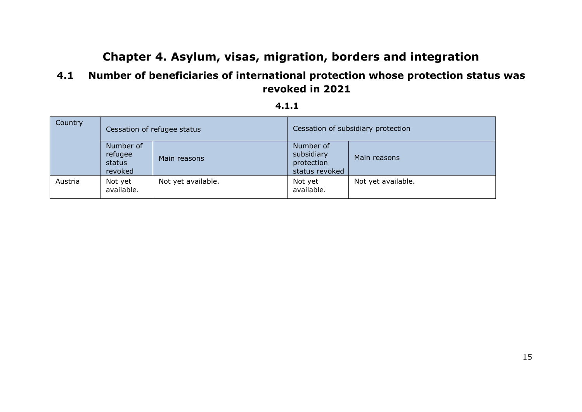# **Chapter 4. Asylum, visas, migration, borders and integration**

## **4.1 Number of beneficiaries of international protection whose protection status was revoked in 2021**

#### **4.1.1**

<span id="page-14-0"></span>

| Country |                                           | Cessation of refugee status | Cessation of subsidiary protection                      |                    |
|---------|-------------------------------------------|-----------------------------|---------------------------------------------------------|--------------------|
|         | Number of<br>refugee<br>status<br>revoked | Main reasons                | Number of<br>subsidiary<br>protection<br>status revoked | Main reasons       |
| Austria | Not yet<br>available.                     | Not yet available.          | Not yet<br>available.                                   | Not yet available. |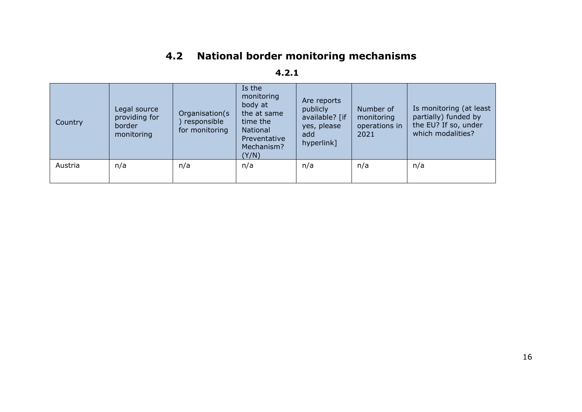# **4.2 National border monitoring mechanisms**

| Country | Legal source<br>providing for<br>border<br>monitoring | Organisation(s<br>responsible<br>for monitoring | Is the<br>monitoring<br>body at<br>the at same<br>time the<br>National<br>Preventative<br>Mechanism?<br>(Y/N) | Are reports<br>publicly<br>available? [if<br>yes, please<br>add<br>hyperlink] | Number of<br>monitoring<br>operations in<br>2021 | Is monitoring (at least<br>partially) funded by<br>the EU? If so, under<br>which modalities? |
|---------|-------------------------------------------------------|-------------------------------------------------|---------------------------------------------------------------------------------------------------------------|-------------------------------------------------------------------------------|--------------------------------------------------|----------------------------------------------------------------------------------------------|
| Austria | n/a                                                   | n/a                                             | n/a                                                                                                           | n/a                                                                           | n/a                                              | n/a                                                                                          |

### **4.2.1**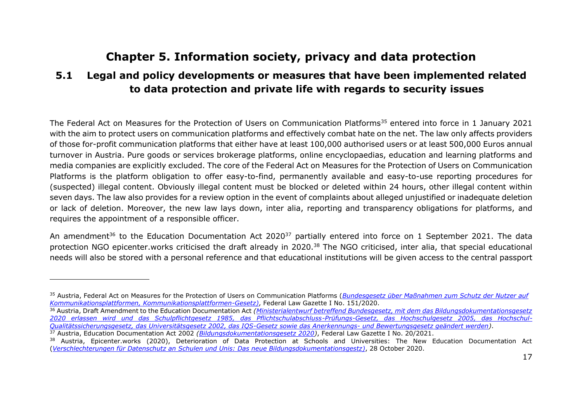# **Chapter 5. Information society, privacy and data protection**

### **5.1 Legal and policy developments or measures that have been implemented related to data protection and private life with regards to security issues**

The Federal Act on Measures for the Protection of Users on Communication Platforms<sup>35</sup> entered into force in 1 January 2021 with the aim to protect users on communication platforms and effectively combat hate on the net. The law only affects providers of those for-profit communication platforms that either have at least 100,000 authorised users or at least 500,000 Euros annual turnover in Austria. Pure goods or services brokerage platforms, online encyclopaedias, education and learning platforms and media companies are explicitly excluded. The core of the Federal Act on Measures for the Protection of Users on Communication Platforms is the platform obligation to offer easy-to-find, permanently available and easy-to-use reporting procedures for (suspected) illegal content. Obviously illegal content must be blocked or deleted within 24 hours, other illegal content within seven days. The law also provides for a review option in the event of complaints about alleged unjustified or inadequate deletion or lack of deletion. Moreover, the new law lays down, inter alia, reporting and transparency obligations for platforms, and requires the appointment of a responsible officer.

<span id="page-16-0"></span>An amendment<sup>36</sup> to the Education Documentation Act 2020<sup>37</sup> partially entered into force on 1 September 2021. The data protection NGO epicenter.works criticised the draft already in 2020.<sup>38</sup> The NGO criticised, inter alia, that special educational needs will also be stored with a personal reference and that educational institutions will be given access to the central passport

<sup>35</sup> Austria, Federal Act on Measures for the Protection of Users on Communication Platforms (*[Bundesgesetz über Maßnahmen zum Schutz der Nutzer auf](https://www.ris.bka.gv.at/GeltendeFassung.wxe?Abfrage=Bundesnormen&Gesetzesnummer=20011415)  [Kommunikationsplattformen, Kommunikationsplattformen-Gesetz\)](https://www.ris.bka.gv.at/GeltendeFassung.wxe?Abfrage=Bundesnormen&Gesetzesnummer=20011415)*, Federal Law Gazette I No. 151/2020.

<sup>36</sup> Austria, Draft Amendment to the Education Documentation Act *[\(Ministerialentwurf betreffend Bundesgesetz, mit dem das Bildungsdokumentationsgesetz](https://www.parlament.gv.at/PAKT/VHG/XXVII/ME/ME_00066/fname_841096.pdf)  [2020 erlassen wird und das Schulpflichtgesetz 1985, das Pflichtschulabschluss-Prüfungs-Gesetz, das Hochschulgesetz 2005, das Hochschul-](https://www.parlament.gv.at/PAKT/VHG/XXVII/ME/ME_00066/fname_841096.pdf)[Qualitätssicherungsgesetz, das Universitätsgesetz 2002, das IQS-Gesetz sowie das Anerkennungs-](https://www.parlament.gv.at/PAKT/VHG/XXVII/ME/ME_00066/fname_841096.pdf) und Bewertungsgesetz geändert werden)*. <sup>37</sup> Austria, Education Documentation Act 2002 *[\(Bildungsdokumentationsgesetz 2020\)](https://www.ris.bka.gv.at/GeltendeFassung.wxe?Abfrage=Bundesnormen&Gesetzesnummer=20011451)*, Federal Law Gazette I No. 20/2021.

<sup>&</sup>lt;sup>38</sup> Austria, Epicenter.works (2020), Deterioration of Data Protection at Schools and Universities: The New Education Documentation Act (*[Verschlechterungen für Datenschutz an Schulen und Unis: Das neue Bildungsdokumentationsgestz\)](https://epicenter.works/content/verschlechterungen-fuer-datenschutz-an-schulen-und-unis-das-neue)*, 28 October 2020.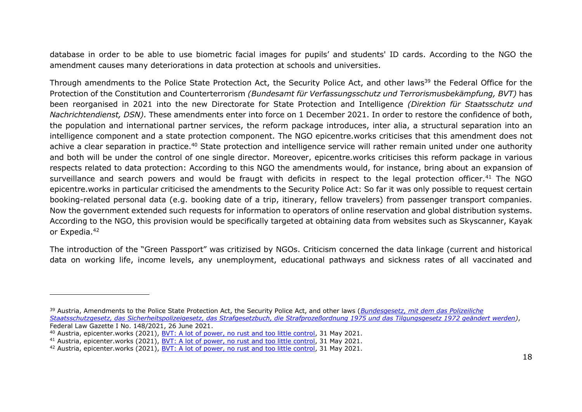database in order to be able to use biometric facial images for pupils' and students' ID cards. According to the NGO the amendment causes many deteriorations in data protection at schools and universities.

Through amendments to the Police State Protection Act, the Security Police Act, and other laws<sup>39</sup> the Federal Office for the Protection of the Constitution and Counterterrorism *(Bundesamt für Verfassungsschutz und Terrorismusbekämpfung, BVT)* has been reorganised in 2021 into the new Directorate for State Protection and Intelligence *(Direktion für Staatsschutz und Nachrichtendienst, DSN).* These amendments enter into force on 1 December 2021. In order to restore the confidence of both, the population and international partner services, the reform package introduces, inter alia, a structural separation into an intelligence component and a state protection component. The NGO epicentre.works criticises that this amendment does not achive a clear separation in practice.<sup>40</sup> State protection and intelligence service will rather remain united under one authority and both will be under the control of one single director. Moreover, epicentre.works criticises this reform package in various respects related to data protection: According to this NGO the amendments would, for instance, bring about an expansion of surveillance and search powers and would be fraugt with deficits in respect to the legal protection officer.<sup>41</sup> The NGO epicentre.works in particular criticised the amendments to the Security Police Act: So far it was only possible to request certain booking-related personal data (e.g. booking date of a trip, itinerary, fellow travelers) from passenger transport companies. Now the government extended such requests for information to operators of online reservation and global distribution systems. According to the NGO, this provision would be specifically targeted at obtaining data from websites such as Skyscanner, Kayak or Expedia.<sup>42</sup>

The introduction of the "Green Passport" was critizised by NGOs. Criticism concerned the data linkage (current and historical data on working life, income levels, any unemployment, educational pathways and sickness rates of all vaccinated and

<sup>39</sup> Austria, Amendments to the Police State Protection Act, the Security Police Act, and other laws (*[Bundesgesetz, mit dem das Polizeiliche](https://www.ris.bka.gv.at/Dokument.wxe?Abfrage=BgblAuth&Dokumentnummer=BGBLA_2021_I_148)  [Staatsschutzgesetz, das Sicherheitspolizeigesetz, das Strafgesetzbuch, die Strafprozeßordnung 1975 und das Tilgungsgesetz 1972 geändert werden\)](https://www.ris.bka.gv.at/Dokument.wxe?Abfrage=BgblAuth&Dokumentnummer=BGBLA_2021_I_148)*, Federal Law Gazette I No. 148/2021, 26 June 2021.

<sup>40</sup> Austria, epicenter.works (2021), [BVT: A lot of power, no rust and too little control,](https://en.epicenter.works/content/bvt-a-lot-of-power-no-trust-and-too-little-control) 31 May 2021.

<sup>41</sup> Austria, epicenter.works (2021), [BVT: A lot of power, no rust and too little control,](https://en.epicenter.works/content/bvt-a-lot-of-power-no-trust-and-too-little-control) 31 May 2021.

<sup>42</sup> Austria, epicenter.works (2021), [BVT: A lot of power, no rust and too little control,](https://en.epicenter.works/content/bvt-a-lot-of-power-no-trust-and-too-little-control) 31 May 2021.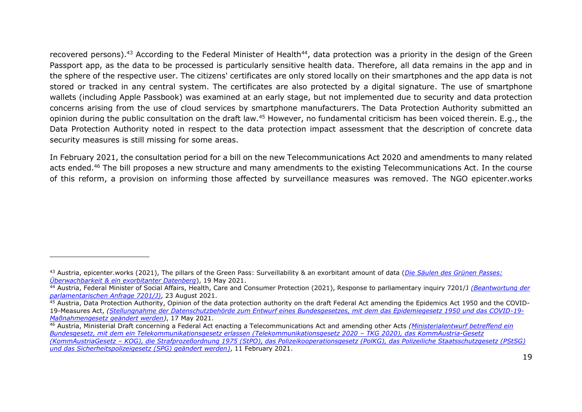recovered persons).<sup>43</sup> According to the Federal Minister of Health<sup>44</sup>, data protection was a priority in the design of the Green Passport app, as the data to be processed is particularly sensitive health data. Therefore, all data remains in the app and in the sphere of the respective user. The citizens' certificates are only stored locally on their smartphones and the app data is not stored or tracked in any central system. The certificates are also protected by a digital signature. The use of smartphone wallets (including Apple Passbook) was examined at an early stage, but not implemented due to security and data protection concerns arising from the use of cloud services by smartphone manufacturers. The Data Protection Authority submitted an opinion during the public consultation on the draft law.<sup>45</sup> However, no fundamental criticism has been voiced therein. E.g., the Data Protection Authority noted in respect to the data protection impact assessment that the description of concrete data security measures is still missing for some areas.

In February 2021, the consultation period for a bill on the new Telecommunications Act 2020 and amendments to many related acts ended.<sup>46</sup> The bill proposes a new structure and many amendments to the existing Telecommunications Act. In the course of this reform, a provision on informing those affected by surveillance measures was removed. The NGO epicenter.works

<sup>43</sup> Austria, epicenter.works (2021), The pillars of the Green Pass: Surveillability & an exorbitant amount of data (*[Die Säulen des Grünen Passes:](https://epicenter.works/content/die-saeulen-des-gruenen-passes-ueberwachbarkeit-ein-exorbitanter-datenberg)  [Überwachbarkeit & ein exorbitanter Datenberg](https://epicenter.works/content/die-saeulen-des-gruenen-passes-ueberwachbarkeit-ein-exorbitanter-datenberg)*), 19 May 2021.

<sup>44</sup> Austria, Federal Minister of Social Affairs, Health, Care and Consumer Protection (2021), Response to parliamentary inquiry 7201/J *[\(Beantwortung der](https://www.parlament.gv.at/PAKT/VHG/XXVII/AB/AB_07062/imfname_994481.pdf)  [parlamentarischen Anfrage 7201/J\)](https://www.parlament.gv.at/PAKT/VHG/XXVII/AB/AB_07062/imfname_994481.pdf)*, 23 August 2021.

<sup>&</sup>lt;sup>45</sup> Austria, Data Protection Authority, Opinion of the data protection authority on the draft Federal Act amending the Epidemics Act 1950 and the COVID-19-Measures Act, *[\(Stellungnahme der Datenschutzbehörde zum Entwurf eines Bundesgesetzes, mit dem das Epidemiegesetz 1950 und das COVID-19-](https://www.parlament.gv.at/PAKT/VHG/XXVII/SNME/SNME_94293/index.shtml) [Maßnahmengesetz geändert werden\)](https://www.parlament.gv.at/PAKT/VHG/XXVII/SNME/SNME_94293/index.shtml)*, 17 May 2021.

<sup>46</sup> Austria, Ministerial Draft concerning a Federal Act enacting a Telecommunications Act and amending other Acts *[\(Ministerialentwurf betreffend ein](https://www.parlament.gv.at/PAKT/VHG/XXVII/ME/ME_00082/index.shtml)  [Bundesgesetz, mit dem ein Telekommunikationsgesetz erlassen \(Telekommunikationsgesetz 2020](https://www.parlament.gv.at/PAKT/VHG/XXVII/ME/ME_00082/index.shtml) – TKG 2020), das KommAustria-Gesetz (KommAustriaGesetz – [KOG\), die Strafprozeßordnung 1975 \(StPO\), das Polizeikooperationsgesetz \(PolKG\), das Polizeiliche Staatsschutzgesetz \(PStSG\)](https://www.parlament.gv.at/PAKT/VHG/XXVII/ME/ME_00082/index.shtml)  [und das Sicherheitspolizeigesetz \(SPG\) geändert werden\)](https://www.parlament.gv.at/PAKT/VHG/XXVII/ME/ME_00082/index.shtml)*, 11 February 2021.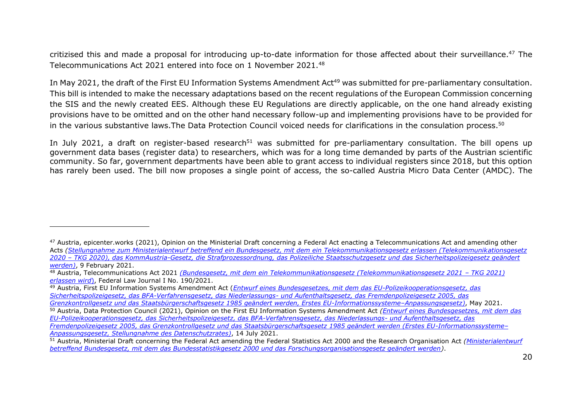critizised this and made a proposal for introducing up-to-date information for those affected about their surveillance.<sup>47</sup> The Telecommunications Act 2021 entered into foce on 1 November 2021.<sup>48</sup>

In May 2021, the draft of the First EU Information Systems Amendment Act<sup>49</sup> was submitted for pre-parliamentary consultation. This bill is intended to make the necessary adaptations based on the recent regulations of the European Commission concerning the SIS and the newly created EES. Although these EU Regulations are directly applicable, on the one hand already existing provisions have to be omitted and on the other hand necessary follow-up and implementing provisions have to be provided for in the various substantive laws. The Data Protection Council voiced needs for clarifications in the consulation process. 50

In July 2021, a draft on register-based research<sup>51</sup> was submitted for pre-parliamentary consultation. The bill opens up government data bases (register data) to researchers, which was for a long time demanded by parts of the Austrian scientific community. So far, government departments have been able to grant access to individual registers since 2018, but this option has rarely been used. The bill now proposes a single point of access, the so-called Austria Micro Data Center (AMDC). The

<sup>&</sup>lt;sup>47</sup> Austria, epicenter.works (2021), Opinion on the Ministerial Draft concerning a Federal Act enacting a Telecommunications Act and amending other Acts *[\(Stellungnahme zum Ministerialentwurf betreffend ein Bundesgesetz, mit dem ein Telekommunikationsgesetz erlassen \(Telekommunikationsgesetz](https://epicenter.works/sites/default/files/tkg_2020_stellungnahme.pdf)  2020 – [TKG 2020\), das KommAustria-Gesetz, die Strafprozessordnung, das Polizeiliche Staatsschutzgesetz und das Sicherheitspolizeigesetz geändert](https://epicenter.works/sites/default/files/tkg_2020_stellungnahme.pdf)  [werden\)](https://epicenter.works/sites/default/files/tkg_2020_stellungnahme.pdf)*, 9 February 2021.

<sup>48</sup> Austria, Telecommunications Act 2021 *[\(Bundesgesetz, mit dem ein Telekommunikationsgesetz \(Telekommunikationsgesetz 2021](https://www.ris.bka.gv.at/eli/bgbl/i/2021/190/P0/NOR40238676?ResultFunctionToken=aa4dd6a7-9469-4699-8d64-a1c539eccd92&Position=1&SkipToDocumentPage=True&Abfrage=Bundesnormen&Kundmachungsorgan=&Index=&Titel=&Gesetzesnummer=&VonArtikel=&BisArtikel=&VonParagraf=&BisParagraf=&VonAnlage=&BisAnlage=&Typ=&Kundmachungsnummer=&Unterzeichnungsdatum=&FassungVom=19.11.2021&VonInkrafttretedatum=&BisInkrafttretedatum=&VonAusserkrafttretedatum=&BisAusserkrafttretedatum=&NormabschnittnummerKombination=Und&ImRisSeitVonDatum=&ImRisSeitBisDatum=&ImRisSeit=Undefined&ResultPageSize=100&Suchworte=Telekommunikationsgesetz+2021) – TKG 2021) [erlassen wird](https://www.ris.bka.gv.at/eli/bgbl/i/2021/190/P0/NOR40238676?ResultFunctionToken=aa4dd6a7-9469-4699-8d64-a1c539eccd92&Position=1&SkipToDocumentPage=True&Abfrage=Bundesnormen&Kundmachungsorgan=&Index=&Titel=&Gesetzesnummer=&VonArtikel=&BisArtikel=&VonParagraf=&BisParagraf=&VonAnlage=&BisAnlage=&Typ=&Kundmachungsnummer=&Unterzeichnungsdatum=&FassungVom=19.11.2021&VonInkrafttretedatum=&BisInkrafttretedatum=&VonAusserkrafttretedatum=&BisAusserkrafttretedatum=&NormabschnittnummerKombination=Und&ImRisSeitVonDatum=&ImRisSeitBisDatum=&ImRisSeit=Undefined&ResultPageSize=100&Suchworte=Telekommunikationsgesetz+2021)*), Federal Law Journal I No. 190/2021.

<sup>49</sup> Austria, First EU Information Systems Amendment Act (*[Entwurf eines Bundesgesetzes, mit dem das EU-Polizeikooperationsgesetz, das](https://www.parlament.gv.at/PAKT/VHG/XXVII/ME/ME_00129/index.shtml)  [Sicherheitspolizeigesetz, das BFA-Verfahrensgesetz, das Niederlassungs-](https://www.parlament.gv.at/PAKT/VHG/XXVII/ME/ME_00129/index.shtml) und Aufenthaltsgesetz, das Fremdenpolizeigesetz 2005, das [Grenzkontrollgesetz und das Staatsbürgerschaftsgesetz 1985 geändert werden, Erstes EU-Informationssysteme](https://www.parlament.gv.at/PAKT/VHG/XXVII/ME/ME_00129/index.shtml)–Anpassungsgesetz)*, May 2021.

<sup>50</sup> Austria, Data Protection Council (2021), Opinion on the First EU Information Systems Amendment Act *[\(Entwurf eines Bundesgesetzes, mit dem das](https://www.parlament.gv.at/PAKT/VHG/XXVII/SNME/SNME_109968/imfname_989853.pdf)  [EU-Polizeikooperationsgesetz, das Sicherheitspolizeigesetz, das BFA-Verfahrensgesetz, das Niederlassungs-](https://www.parlament.gv.at/PAKT/VHG/XXVII/SNME/SNME_109968/imfname_989853.pdf) und Aufenthaltsgesetz, das [Fremdenpolizeigesetz 2005, das Grenzkontrollgesetz und das Staatsbürgerschaftsgesetz 1985 geändert werden \(Erstes EU-Informationssysteme](https://www.parlament.gv.at/PAKT/VHG/XXVII/SNME/SNME_109968/imfname_989853.pdf)– [Anpassungsgesetz, Stellungnahme des Datenschutzrates\)](https://www.parlament.gv.at/PAKT/VHG/XXVII/SNME/SNME_109968/imfname_989853.pdf)*, 14 July 2021.

<sup>51</sup> Austria, Ministerial Draft concerning the Federal Act amending the Federal Statistics Act 2000 and the Research Organisation Act *[\(Ministerialentwurf](https://www.parlament.gv.at/PAKT/VHG/XXVII/ME/ME_00135/index.shtml)  [betreffend Bundesgesetz, mit dem das Bundesstatistikgesetz 2000 und das Forschungsorganisationsgesetz geändert werden\)](https://www.parlament.gv.at/PAKT/VHG/XXVII/ME/ME_00135/index.shtml)*.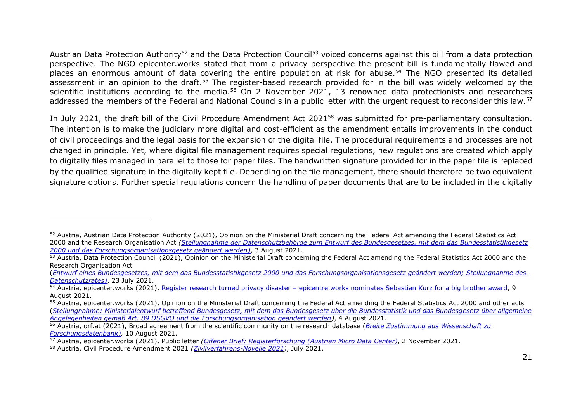Austrian Data Protection Authority<sup>52</sup> and the Data Protection Council<sup>53</sup> voiced concerns against this bill from a data protection perspective. The NGO epicenter.works stated that from a privacy perspective the present bill is fundamentally flawed and places an enormous amount of data covering the entire population at risk for abuse.<sup>54</sup> The NGO presented its detailed assessment in an opinion to the draft.<sup>55</sup> The register-based research provided for in the bill was widely welcomed by the scientific institutions according to the media.<sup>56</sup> On 2 November 2021, 13 renowned data protectionists and researchers addressed the members of the Federal and National Councils in a public letter with the urgent request to reconsider this law.<sup>57</sup>

In July 2021, the draft bill of the Civil Procedure Amendment Act 2021<sup>58</sup> was submitted for pre-parliamentary consultation. The intention is to make the judiciary more digital and cost-efficient as the amendment entails improvements in the conduct of civil proceedings and the legal basis for the expansion of the digital file. The procedural requirements and processes are not changed in principle. Yet, where digital file management requires special regulations, new regulations are created which apply to digitally files managed in parallel to those for paper files. The handwritten signature provided for in the paper file is replaced by the qualified signature in the digitally kept file. Depending on the file management, there should therefore be two equivalent signature options. Further special regulations concern the handling of paper documents that are to be included in the digitally

<sup>52</sup> Austria, Austrian Data Protection Authority (2021), Opinion on the Ministerial Draft concerning the Federal Act amending the Federal Statistics Act 2000 and the Research Organisation Act *[\(Stellungnahme der Datenschutzbehörde zum Entwurf des Bundesgesetzes, mit dem das](https://www.parlament.gv.at/PAKT/VHG/XXVII/SNME/SNME_110043/imfname_992727.pdf) Bundesstatistikgesetz [2000 und das Forschungsorganisationsgesetz geändert werden\)](https://www.parlament.gv.at/PAKT/VHG/XXVII/SNME/SNME_110043/imfname_992727.pdf)*, 3 August 2021.

<sup>53</sup> Austria, Data Protection Council (2021), Opinion on the Ministerial Draft concerning the Federal Act amending the Federal Statistics Act 2000 and the Research Organisation Act

<sup>(</sup>Entwurf eines Bundesgesetzes, mit dem das Bundesstatistikgesetz 2000 und das [Forschungsorganisationsgesetz](https://www.parlament.gv.at/PAKT/VHG/XXVII/SNME/SNME_109999/imfname_991954.pdf) geändert werden: Stellungnahme des *[Datenschutzrates\)](https://www.parlament.gv.at/PAKT/VHG/XXVII/SNME/SNME_109999/imfname_991954.pdf)*, 23 July 2021.

<sup>&</sup>lt;sup>54</sup> Austria, epicenter.works (2021), Register research turned privacy disaster – [epicentre.works nominates Sebastian Kurz for a big brother award,](https://en.epicenter.works/content/register-research-turned-privacy-disaster-epicenterworks-nominates-sebastian-kurz-for-a-big) 9 August 2021.

<sup>&</sup>lt;sup>55</sup> Austria, epicenter.works (2021), Opinion on the Ministerial Draft concerning the Federal Act amending the Federal Statistics Act 2000 and other acts (*[Stellungnahme: Ministerialentwurf betreffend Bundesgesetz, mit dem das Bundesgesetz über die Bundesstatistik und das Bundesgesetz über allgemeine](https://epicenter.works/sites/default/files/epicenter.works_-_stellungnahme_bstatg_fog_-_amdc.pdf)  [Angelegenheiten gemäß Art. 89 DSGVO und die Forschungsorganisation geändert werden\)](https://epicenter.works/sites/default/files/epicenter.works_-_stellungnahme_bstatg_fog_-_amdc.pdf)*, 4 August 2021.

<sup>56</sup> Austria, orf.at (2021), Broad agreement from the scientific community on the research database (*[Breite Zustimmung aus Wissenschaft zu](https://orf.at/stories/3224269/)  [Forschungsdatenbank\)](https://orf.at/stories/3224269/),* 10 August 2021.

<sup>57</sup> Austria, epicenter.works (2021), Public letter *[\(Offener Brief: Registerforschung \(Austrian Micro Data Center\)](https://epicenter.works/document/3737)*, 2 November 2021.

<sup>58</sup> Austria, Civil Procedure Amendment 2021 *[\(Zivilverfahrens-Novelle 2021\)](https://www.parlament.gv.at/PAKT/VHG/XXVII/ME/ME_00138/index.shtml)*, July 2021.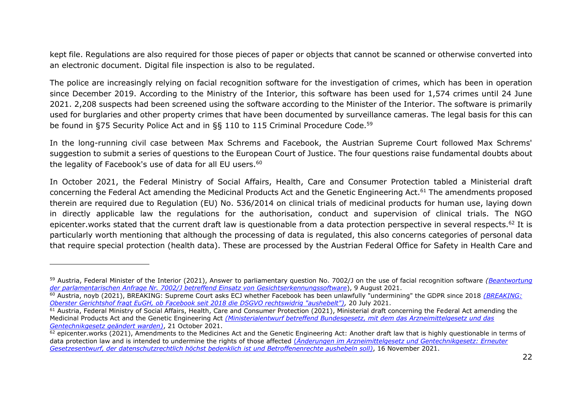kept file. Regulations are also required for those pieces of paper or objects that cannot be scanned or otherwise converted into an electronic document. Digital file inspection is also to be regulated.

The police are increasingly relying on facial recognition software for the investigation of crimes, which has been in operation since December 2019. According to the Ministry of the Interior, this software has been used for 1,574 crimes until 24 June 2021. 2,208 suspects had been screened using the software according to the Minister of the Interior. The software is primarily used for burglaries and other property crimes that have been documented by surveillance cameras. The legal basis for this can be found in §75 Security Police Act and in §§ 110 to 115 Criminal Procedure Code.<sup>59</sup>

In the long-running civil case between Max Schrems and Facebook, the Austrian Supreme Court followed Max Schrems' suggestion to submit a series of questions to the European Court of Justice. The four questions raise fundamental doubts about the legality of Facebook's use of data for all EU users.<sup>60</sup>

In October 2021, the Federal Ministry of Social Affairs, Health, Care and Consumer Protection tabled a Ministerial draft concerning the Federal Act amending the Medicinal Products Act and the Genetic Engineering Act.<sup>61</sup> The amendments proposed therein are required due to Regulation (EU) No. 536/2014 on clinical trials of medicinal products for human use, laying down in directly applicable law the regulations for the authorisation, conduct and supervision of clinical trials. The NGO epicenter. works stated that the current draft law is questionable from a data protection perspective in several respects.<sup>62</sup> It is particularly worth mentioning that although the processing of data is regulated, this also concerns categories of personal data that require special protection (health data). These are processed by the Austrian Federal Office for Safety in Health Care and

<sup>59</sup> Austria, Federal Minister of the Interior (2021), Answer to parliamentary question No. 7002/J on the use of facial recognition software *[\(Beantwortung](https://www.parlament.gv.at/PAKT/VHG/XXVII/AB/AB_06962/imfname_993879.pdf)  [der parlamentarischen Anfrage Nr. 7002/J betreffend Einsatz von Gesichtserkennungssoftware](https://www.parlament.gv.at/PAKT/VHG/XXVII/AB/AB_06962/imfname_993879.pdf)*), 9 August 2021.

<sup>60</sup> Austria, noyb (2021), BREAKING: Supreme Court asks ECJ whether Facebook has been unlawfully "undermining" the GDPR since 2018 *[\(BREAKING:](https://noyb.eu/de/breaking-oesterr-ogh-fragt-eugh-ob-facebook-die-dsgvo-seit-2018-illegal-untergraebt) [Oberster Gerichtshof fragt EuGH, ob Facebook seit 2018 die DSGVO rechtswidrig "aushebelt"\),](https://noyb.eu/de/breaking-oesterr-ogh-fragt-eugh-ob-facebook-die-dsgvo-seit-2018-illegal-untergraebt)* 20 July 2021.

<sup>&</sup>lt;sup>61</sup> Austria, Federal Ministry of Social Affairs, Health, Care and Consumer Protection (2021), Ministerial draft concerning the Federal Act amending the Medicinal Products Act and the Genetic Engineering Act *[\(Ministerialentwurf betreffend Bundesgesetz, mit dem das Arzneimittelgesetz und das](https://www.parlament.gv.at/PAKT/VHG/XXVII/ME/ME_00148/index.shtml)  [Gentechnikgesetz geändert warden\)](https://www.parlament.gv.at/PAKT/VHG/XXVII/ME/ME_00148/index.shtml)*, 21 October 2021.

 $\frac{62}{2}$  epicenter.works (2021), Amendments to the Medicines Act and the Genetic Engineering Act: Another draft law that is highly questionable in terms of data protection law and is intended to undermine the rights of those affected (*[Änderungen im Arzneimittelgesetz und Gentechnikgesetz: Erneuter](https://epicenter.works/content/aenderungen-in-arzneimittelgesetz-und-gentechnikgesetz-erneuter-gesetzesentwurf-der#ftn3)  [Gesetzesentwurf, der datenschutzrechtlich höchst bedenklich](https://epicenter.works/content/aenderungen-in-arzneimittelgesetz-und-gentechnikgesetz-erneuter-gesetzesentwurf-der#ftn3) ist und Betroffenenrechte aushebeln soll)*, 16 November 2021.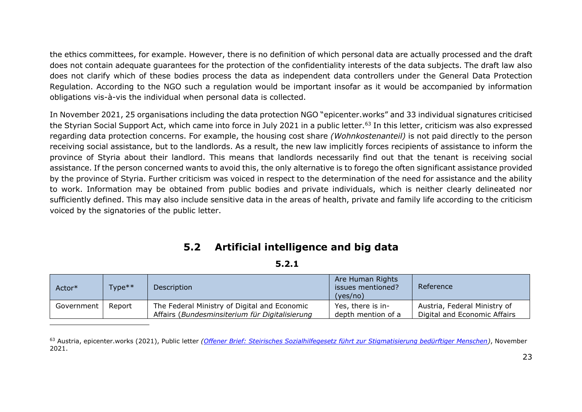the ethics committees, for example. However, there is no definition of which personal data are actually processed and the draft does not contain adequate guarantees for the protection of the confidentiality interests of the data subjects. The draft law also does not clarify which of these bodies process the data as independent data controllers under the General Data Protection Regulation. According to the NGO such a regulation would be important insofar as it would be accompanied by information obligations vis-à-vis the individual when personal data is collected.

In November 2021, 25 organisations including the data protection NGO "epicenter.works" and 33 individual signatures criticised the Styrian Social Support Act, which came into force in July 2021 in a public letter.<sup>63</sup> In this letter, criticism was also expressed regarding data protection concerns. For example, the housing cost share *(Wohnkostenanteil)* is not paid directly to the person receiving social assistance, but to the landlords. As a result, the new law implicitly forces recipients of assistance to inform the province of Styria about their landlord. This means that landlords necessarily find out that the tenant is receiving social assistance. If the person concerned wants to avoid this, the only alternative is to forego the often significant assistance provided by the province of Styria. Further criticism was voiced in respect to the determination of the need for assistance and the ability to work. Information may be obtained from public bodies and private individuals, which is neither clearly delineated nor sufficiently defined. This may also include sensitive data in the areas of health, private and family life according to the criticism voiced by the signatories of the public letter.

### **5.2 Artificial intelligence and big data**

| ۰. |  |  |  |
|----|--|--|--|
|----|--|--|--|

| Actor*     | Type** | Description                                                                                    | Are Human Rights<br>issues mentioned?<br>(yes/no) | Reference                                                    |
|------------|--------|------------------------------------------------------------------------------------------------|---------------------------------------------------|--------------------------------------------------------------|
| Government | Report | The Federal Ministry of Digital and Economic<br>Affairs (Bundesminsiterium für Digitalisierung | Yes, there is in-<br>depth mention of a           | Austria, Federal Ministry of<br>Digital and Economic Affairs |

<sup>63</sup> Austria, epicenter.works (2021), Public letter *(Offener Brief: Steirisches Sozialhilfegesetz [führt zur Stigmatisierung bedürftiger Menschen\)](https://epicenter.works/sites/default/files/offener_brief_sozhlf_gesetz_steiermark.pdf)*, November 2021.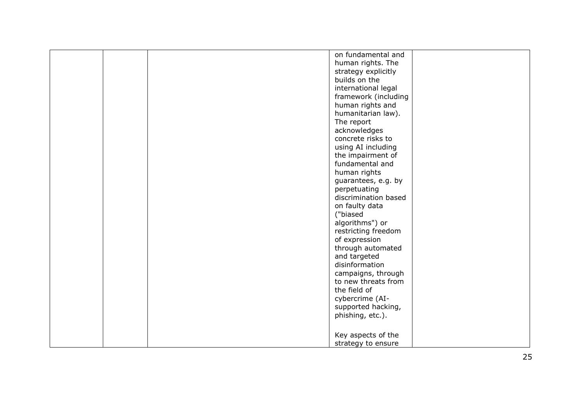|  | on fundamental and   |  |
|--|----------------------|--|
|  | human rights. The    |  |
|  | strategy explicitly  |  |
|  | builds on the        |  |
|  | international legal  |  |
|  | framework (including |  |
|  | human rights and     |  |
|  |                      |  |
|  | humanitarian law).   |  |
|  | The report           |  |
|  | acknowledges         |  |
|  | concrete risks to    |  |
|  | using AI including   |  |
|  | the impairment of    |  |
|  | fundamental and      |  |
|  | human rights         |  |
|  | guarantees, e.g. by  |  |
|  | perpetuating         |  |
|  | discrimination based |  |
|  | on faulty data       |  |
|  | ("biased             |  |
|  | algorithms") or      |  |
|  | restricting freedom  |  |
|  | of expression        |  |
|  | through automated    |  |
|  | and targeted         |  |
|  | disinformation       |  |
|  | campaigns, through   |  |
|  | to new threats from  |  |
|  |                      |  |
|  | the field of         |  |
|  | cybercrime (AI-      |  |
|  | supported hacking,   |  |
|  | phishing, etc.).     |  |
|  |                      |  |
|  | Key aspects of the   |  |
|  | strategy to ensure   |  |
|  |                      |  |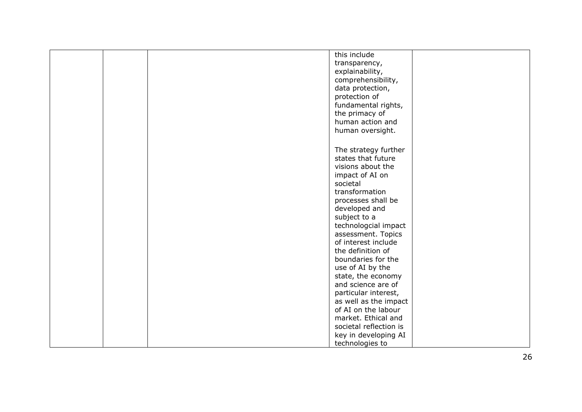|  | this include                             |  |
|--|------------------------------------------|--|
|  | transparency,                            |  |
|  | explainability,                          |  |
|  | comprehensibility,                       |  |
|  | data protection,                         |  |
|  | protection of                            |  |
|  | fundamental rights,                      |  |
|  | the primacy of                           |  |
|  | human action and                         |  |
|  |                                          |  |
|  | human oversight.                         |  |
|  |                                          |  |
|  | The strategy further                     |  |
|  | states that future                       |  |
|  | visions about the                        |  |
|  | impact of AI on                          |  |
|  | societal                                 |  |
|  | transformation                           |  |
|  | processes shall be                       |  |
|  | developed and                            |  |
|  | subject to a                             |  |
|  | technologcial impact                     |  |
|  | assessment. Topics                       |  |
|  | of interest include                      |  |
|  | the definition of                        |  |
|  | boundaries for the                       |  |
|  | use of AI by the                         |  |
|  |                                          |  |
|  | state, the economy<br>and science are of |  |
|  |                                          |  |
|  | particular interest,                     |  |
|  | as well as the impact                    |  |
|  | of AI on the labour                      |  |
|  | market. Ethical and                      |  |
|  | societal reflection is                   |  |
|  | key in developing AI                     |  |
|  | technologies to                          |  |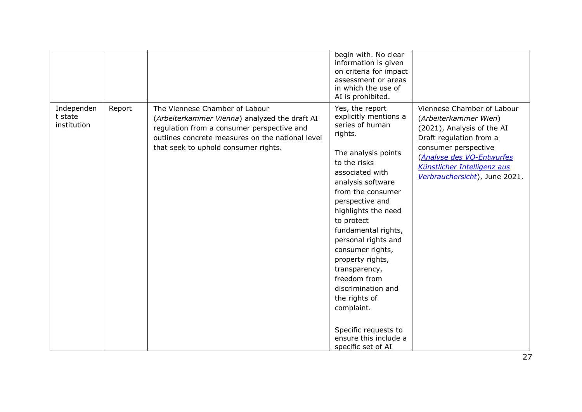|                                      |        |                                                                                                                                                                                                                           | begin with. No clear<br>information is given<br>on criteria for impact<br>assessment or areas<br>in which the use of<br>AI is prohibited.                                                                                                                                                                                                                                                                                                                                             |                                                                                                                                                                                                                                   |
|--------------------------------------|--------|---------------------------------------------------------------------------------------------------------------------------------------------------------------------------------------------------------------------------|---------------------------------------------------------------------------------------------------------------------------------------------------------------------------------------------------------------------------------------------------------------------------------------------------------------------------------------------------------------------------------------------------------------------------------------------------------------------------------------|-----------------------------------------------------------------------------------------------------------------------------------------------------------------------------------------------------------------------------------|
| Independen<br>t state<br>institution | Report | The Viennese Chamber of Labour<br>(Arbeiterkammer Vienna) analyzed the draft AI<br>regulation from a consumer perspective and<br>outlines concrete measures on the national level<br>that seek to uphold consumer rights. | Yes, the report<br>explicitly mentions a<br>series of human<br>rights.<br>The analysis points<br>to the risks<br>associated with<br>analysis software<br>from the consumer<br>perspective and<br>highlights the need<br>to protect<br>fundamental rights,<br>personal rights and<br>consumer rights,<br>property rights,<br>transparency,<br>freedom from<br>discrimination and<br>the rights of<br>complaint.<br>Specific requests to<br>ensure this include a<br>specific set of AI | Viennese Chamber of Labour<br>(Arbeiterkammer Wien)<br>(2021), Analysis of the AI<br>Draft regulation from a<br>consumer perspective<br>(Analyse des VO-Entwurfes<br>Künstlicher Intelligenz aus<br>Verbrauchersicht), June 2021. |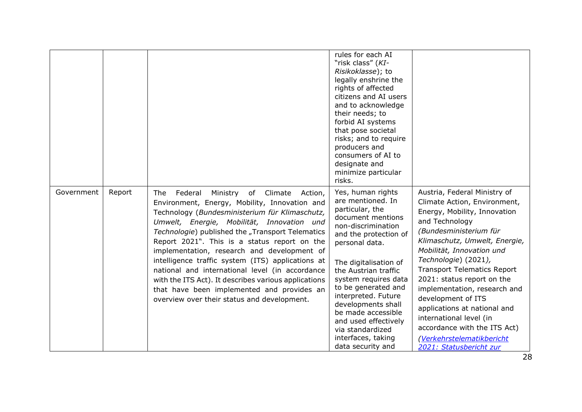|            |        |                                                                                                                                                                                                                                                                                                                                                                                                                                                                                                                                                                                                                | rules for each AI<br>"risk class" (KI-<br>Risikoklasse); to<br>legally enshrine the<br>rights of affected<br>citizens and AI users<br>and to acknowledge<br>their needs; to<br>forbid AI systems<br>that pose societal<br>risks; and to require<br>producers and<br>consumers of AI to<br>designate and<br>minimize particular<br>risks.                                                                  |                                                                                                                                                                                                                                                                                                                                                                                                                                                                                                             |
|------------|--------|----------------------------------------------------------------------------------------------------------------------------------------------------------------------------------------------------------------------------------------------------------------------------------------------------------------------------------------------------------------------------------------------------------------------------------------------------------------------------------------------------------------------------------------------------------------------------------------------------------------|-----------------------------------------------------------------------------------------------------------------------------------------------------------------------------------------------------------------------------------------------------------------------------------------------------------------------------------------------------------------------------------------------------------|-------------------------------------------------------------------------------------------------------------------------------------------------------------------------------------------------------------------------------------------------------------------------------------------------------------------------------------------------------------------------------------------------------------------------------------------------------------------------------------------------------------|
| Government | Report | The Federal<br>Ministry of Climate<br>Action,<br>Environment, Energy, Mobility, Innovation and<br>Technology (Bundesministerium für Klimaschutz,<br>Umwelt, Energie, Mobilität, Innovation und<br>Technologie) published the "Transport Telematics<br>Report 2021". This is a status report on the<br>implementation, research and development of<br>intelligence traffic system (ITS) applications at<br>national and international level (in accordance<br>with the ITS Act). It describes various applications<br>that have been implemented and provides an<br>overview over their status and development. | Yes, human rights<br>are mentioned. In<br>particular, the<br>document mentions<br>non-discrimination<br>and the protection of<br>personal data.<br>The digitalisation of<br>the Austrian traffic<br>system requires data<br>to be generated and<br>interpreted. Future<br>developments shall<br>be made accessible<br>and used effectively<br>via standardized<br>interfaces, taking<br>data security and | Austria, Federal Ministry of<br>Climate Action, Environment,<br>Energy, Mobility, Innovation<br>and Technology<br>(Bundesministerium für<br>Klimaschutz, Umwelt, Energie,<br>Mobilität, Innovation und<br>Technologie) (2021),<br><b>Transport Telematics Report</b><br>2021: status report on the<br>implementation, research and<br>development of ITS<br>applications at national and<br>international level (in<br>accordance with the ITS Act)<br>(Verkehrstelematikbericht<br>2021: Statusbericht zur |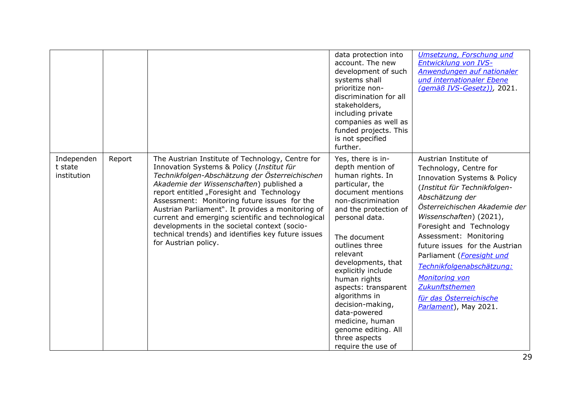|                                      |        |                                                                                                                                                                                                                                                                                                                                                                                                                                                                                                                                  | data protection into<br>account. The new<br>development of such<br>systems shall<br>prioritize non-<br>discrimination for all<br>stakeholders,<br>including private<br>companies as well as<br>funded projects. This<br>is not specified<br>further.                                                                                                                                                                                       | Umsetzung, Forschung und<br>Entwicklung von IVS-<br>Anwendungen auf nationaler<br>und internationaler Ebene<br>(gemäß IVS-Gesetz)), 2021.                                                                                                                                                                                                                                                                                                                 |
|--------------------------------------|--------|----------------------------------------------------------------------------------------------------------------------------------------------------------------------------------------------------------------------------------------------------------------------------------------------------------------------------------------------------------------------------------------------------------------------------------------------------------------------------------------------------------------------------------|--------------------------------------------------------------------------------------------------------------------------------------------------------------------------------------------------------------------------------------------------------------------------------------------------------------------------------------------------------------------------------------------------------------------------------------------|-----------------------------------------------------------------------------------------------------------------------------------------------------------------------------------------------------------------------------------------------------------------------------------------------------------------------------------------------------------------------------------------------------------------------------------------------------------|
| Independen<br>t state<br>institution | Report | The Austrian Institute of Technology, Centre for<br>Innovation Systems & Policy (Institut für<br>Technikfolgen-Abschätzung der Österreichischen<br>Akademie der Wissenschaften) published a<br>report entitled "Foresight and Technology<br>Assessment: Monitoring future issues for the<br>Austrian Parliament". It provides a monitoring of<br>current and emerging scientific and technological<br>developments in the societal context (socio-<br>technical trends) and identifies key future issues<br>for Austrian policy. | Yes, there is in-<br>depth mention of<br>human rights. In<br>particular, the<br>document mentions<br>non-discrimination<br>and the protection of<br>personal data.<br>The document<br>outlines three<br>relevant<br>developments, that<br>explicitly include<br>human rights<br>aspects: transparent<br>algorithms in<br>decision-making,<br>data-powered<br>medicine, human<br>genome editing. All<br>three aspects<br>require the use of | Austrian Institute of<br>Technology, Centre for<br><b>Innovation Systems &amp; Policy</b><br>(Institut für Technikfolgen-<br>Abschätzung der<br>Österreichischen Akademie der<br>Wissenschaften) (2021),<br>Foresight and Technology<br>Assessment: Monitoring<br>future issues for the Austrian<br>Parliament (Foresight und<br>Technikfolgenabschätzung:<br><b>Monitoring von</b><br>Zukunftsthemen<br>für das Österreichische<br>Parlament), May 2021. |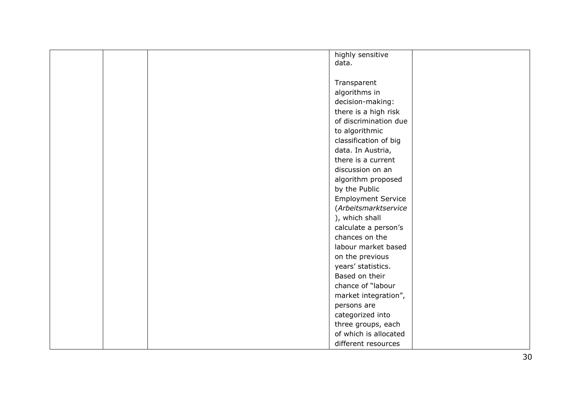|  | highly sensitive          |  |
|--|---------------------------|--|
|  | data.                     |  |
|  |                           |  |
|  | Transparent               |  |
|  | algorithms in             |  |
|  | decision-making:          |  |
|  | there is a high risk      |  |
|  | of discrimination due     |  |
|  | to algorithmic            |  |
|  | classification of big     |  |
|  | data. In Austria,         |  |
|  | there is a current        |  |
|  | discussion on an          |  |
|  | algorithm proposed        |  |
|  | by the Public             |  |
|  | <b>Employment Service</b> |  |
|  | (Arbeitsmarktservice      |  |
|  | ), which shall            |  |
|  | calculate a person's      |  |
|  | chances on the            |  |
|  | labour market based       |  |
|  | on the previous           |  |
|  | years' statistics.        |  |
|  | Based on their            |  |
|  | chance of "labour         |  |
|  | market integration",      |  |
|  | persons are               |  |
|  | categorized into          |  |
|  | three groups, each        |  |
|  | of which is allocated     |  |
|  | different resources       |  |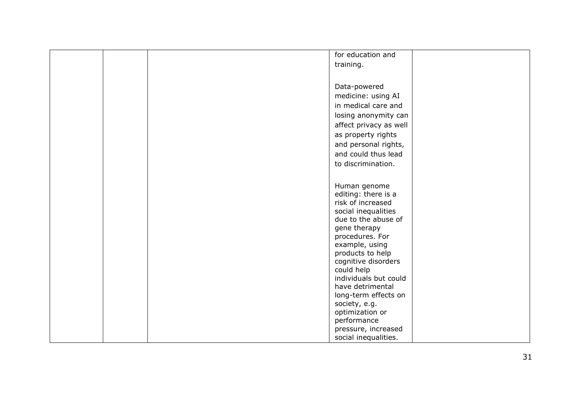|  | for education and                  |
|--|------------------------------------|
|  | training.                          |
|  |                                    |
|  |                                    |
|  | Data-powered                       |
|  | medicine: using AI                 |
|  | in medical care and                |
|  | losing anonymity can               |
|  | affect privacy as well             |
|  | as property rights                 |
|  | and personal rights,               |
|  | and could thus lead                |
|  | to discrimination.                 |
|  |                                    |
|  |                                    |
|  | Human genome                       |
|  | editing: there is a                |
|  | risk of increased                  |
|  | social inequalities                |
|  | due to the abuse of                |
|  | gene therapy                       |
|  | procedures. For                    |
|  | example, using<br>products to help |
|  | cognitive disorders                |
|  | could help                         |
|  | individuals but could              |
|  | have detrimental                   |
|  | long-term effects on               |
|  | society, e.g.                      |
|  | optimization or                    |
|  | performance                        |
|  | pressure, increased                |
|  | social inequalities.               |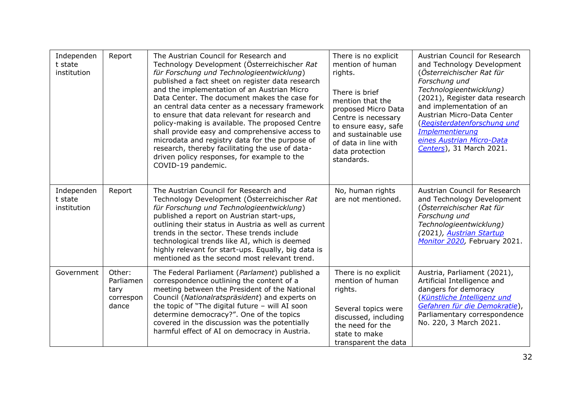| Independen<br>t state<br>institution | Report                                            | The Austrian Council for Research and<br>Technology Development (Österreichischer Rat<br>für Forschung und Technologieentwicklung)<br>published a fact sheet on register data research<br>and the implementation of an Austrian Micro<br>Data Center. The document makes the case for<br>an central data center as a necessary framework<br>to ensure that data relevant for research and<br>policy-making is available. The proposed Centre<br>shall provide easy and comprehensive access to<br>microdata and registry data for the purpose of<br>research, thereby facilitating the use of data-<br>driven policy responses, for example to the<br>COVID-19 pandemic. | There is no explicit<br>mention of human<br>rights.<br>There is brief<br>mention that the<br>proposed Micro Data<br>Centre is necessary<br>to ensure easy, safe<br>and sustainable use<br>of data in line with<br>data protection<br>standards. | Austrian Council for Research<br>and Technology Development<br>(Österreichischer Rat für<br>Forschung und<br>Technologieentwicklung)<br>(2021), Register data research<br>and implementation of an<br>Austrian Micro-Data Center<br>(Registerdatenforschung und<br><b>Implementierung</b><br>eines Austrian Micro-Data<br>Centers), 31 March 2021. |
|--------------------------------------|---------------------------------------------------|--------------------------------------------------------------------------------------------------------------------------------------------------------------------------------------------------------------------------------------------------------------------------------------------------------------------------------------------------------------------------------------------------------------------------------------------------------------------------------------------------------------------------------------------------------------------------------------------------------------------------------------------------------------------------|-------------------------------------------------------------------------------------------------------------------------------------------------------------------------------------------------------------------------------------------------|----------------------------------------------------------------------------------------------------------------------------------------------------------------------------------------------------------------------------------------------------------------------------------------------------------------------------------------------------|
| Independen<br>t state<br>institution | Report                                            | The Austrian Council for Research and<br>Technology Development (Österreichischer Rat<br>für Forschung und Technologieentwicklung)<br>published a report on Austrian start-ups,<br>outlining their status in Austria as well as current<br>trends in the sector. These trends include<br>technological trends like AI, which is deemed<br>highly relevant for start-ups. Equally, big data is<br>mentioned as the second most relevant trend.                                                                                                                                                                                                                            | No, human rights<br>are not mentioned.                                                                                                                                                                                                          | Austrian Council for Research<br>and Technology Development<br>(Österreichischer Rat für<br>Forschung und<br>Technologieentwicklung)<br>(2021), Austrian Startup<br>Monitor 2020, February 2021.                                                                                                                                                   |
| Government                           | Other:<br>Parliamen<br>tary<br>correspon<br>dance | The Federal Parliament (Parlament) published a<br>correspondence outlining the content of a<br>meeting between the President of the National<br>Council (Nationalratspräsident) and experts on<br>the topic of "The digital future - will AI soon<br>determine democracy?". One of the topics<br>covered in the discussion was the potentially<br>harmful effect of AI on democracy in Austria.                                                                                                                                                                                                                                                                          | There is no explicit<br>mention of human<br>rights.<br>Several topics were<br>discussed, including<br>the need for the<br>state to make<br>transparent the data                                                                                 | Austria, Parliament (2021),<br>Artificial Intelligence and<br>dangers for demoracy<br>(Künstliche Intelligenz und<br>Gefahren für die Demokratie),<br>Parliamentary correspondence<br>No. 220, 3 March 2021.                                                                                                                                       |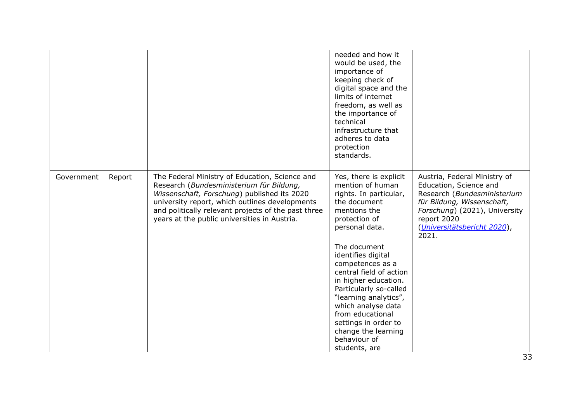|            |        |                                                                                                                                                                                                                                                                                                    | needed and how it<br>would be used, the<br>importance of<br>keeping check of<br>digital space and the<br>limits of internet<br>freedom, as well as<br>the importance of<br>technical<br>infrastructure that<br>adheres to data<br>protection<br>standards. |                                                                                                                                                                                                             |
|------------|--------|----------------------------------------------------------------------------------------------------------------------------------------------------------------------------------------------------------------------------------------------------------------------------------------------------|------------------------------------------------------------------------------------------------------------------------------------------------------------------------------------------------------------------------------------------------------------|-------------------------------------------------------------------------------------------------------------------------------------------------------------------------------------------------------------|
| Government | Report | The Federal Ministry of Education, Science and<br>Research (Bundesministerium für Bildung,<br>Wissenschaft, Forschung) published its 2020<br>university report, which outlines developments<br>and politically relevant projects of the past three<br>years at the public universities in Austria. | Yes, there is explicit<br>mention of human<br>rights. In particular,<br>the document<br>mentions the<br>protection of<br>personal data.<br>The document<br>identifies digital                                                                              | Austria, Federal Ministry of<br>Education, Science and<br>Research (Bundesministerium<br>für Bildung, Wissenschaft,<br>Forschung) (2021), University<br>report 2020<br>(Universitätsbericht 2020),<br>2021. |
|            |        |                                                                                                                                                                                                                                                                                                    | competences as a<br>central field of action<br>in higher education.<br>Particularly so-called<br>"learning analytics",<br>which analyse data<br>from educational<br>settings in order to<br>change the learning<br>behaviour of<br>students, are           |                                                                                                                                                                                                             |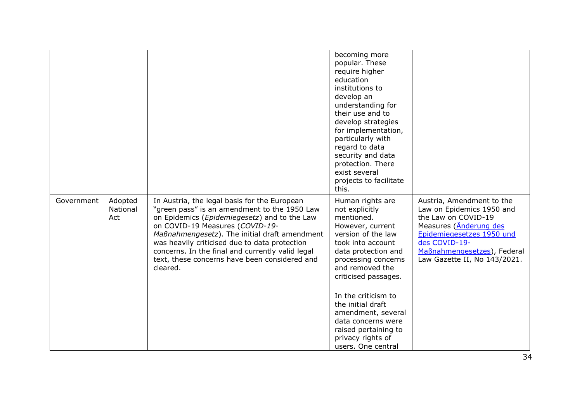|            |                            |                                                                                                                                                                                                                                                                                                                                                                                                             | becoming more<br>popular. These<br>require higher<br>education<br>institutions to<br>develop an<br>understanding for<br>their use and to<br>develop strategies<br>for implementation,<br>particularly with<br>regard to data<br>security and data<br>protection. There<br>exist several<br>projects to facilitate<br>this.                                          |                                                                                                                                                                                                                      |
|------------|----------------------------|-------------------------------------------------------------------------------------------------------------------------------------------------------------------------------------------------------------------------------------------------------------------------------------------------------------------------------------------------------------------------------------------------------------|---------------------------------------------------------------------------------------------------------------------------------------------------------------------------------------------------------------------------------------------------------------------------------------------------------------------------------------------------------------------|----------------------------------------------------------------------------------------------------------------------------------------------------------------------------------------------------------------------|
| Government | Adopted<br>National<br>Act | In Austria, the legal basis for the European<br>"green pass" is an amendment to the 1950 Law<br>on Epidemics ( <i>Epidemiegesetz</i> ) and to the Law<br>on COVID-19 Measures (COVID-19-<br>Maßnahmengesetz). The initial draft amendment<br>was heavily criticised due to data protection<br>concerns. In the final and currently valid legal<br>text, these concerns have been considered and<br>cleared. | Human rights are<br>not explicitly<br>mentioned.<br>However, current<br>version of the law<br>took into account<br>data protection and<br>processing concerns<br>and removed the<br>criticised passages.<br>In the criticism to<br>the initial draft<br>amendment, several<br>data concerns were<br>raised pertaining to<br>privacy rights of<br>users. One central | Austria, Amendment to the<br>Law on Epidemics 1950 and<br>the Law on COVID-19<br>Measures (Anderung des<br>Epidemiegesetzes 1950 und<br>des COVID-19-<br>Maßnahmengesetzes), Federal<br>Law Gazette II, No 143/2021. |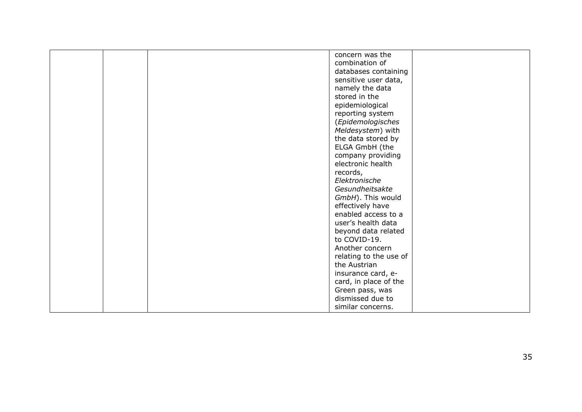|  | concern was the        |  |
|--|------------------------|--|
|  | combination of         |  |
|  | databases containing   |  |
|  | sensitive user data,   |  |
|  | namely the data        |  |
|  | stored in the          |  |
|  |                        |  |
|  | epidemiological        |  |
|  | reporting system       |  |
|  | (Epidemologisches      |  |
|  | Meldesystem) with      |  |
|  | the data stored by     |  |
|  | ELGA GmbH (the         |  |
|  | company providing      |  |
|  | electronic health      |  |
|  | records,               |  |
|  | Elektronische          |  |
|  | Gesundheitsakte        |  |
|  |                        |  |
|  | GmbH). This would      |  |
|  | effectively have       |  |
|  | enabled access to a    |  |
|  | user's health data     |  |
|  | beyond data related    |  |
|  | to COVID-19.           |  |
|  | Another concern        |  |
|  | relating to the use of |  |
|  | the Austrian           |  |
|  | insurance card, e-     |  |
|  |                        |  |
|  | card, in place of the  |  |
|  | Green pass, was        |  |
|  | dismissed due to       |  |
|  | similar concerns.      |  |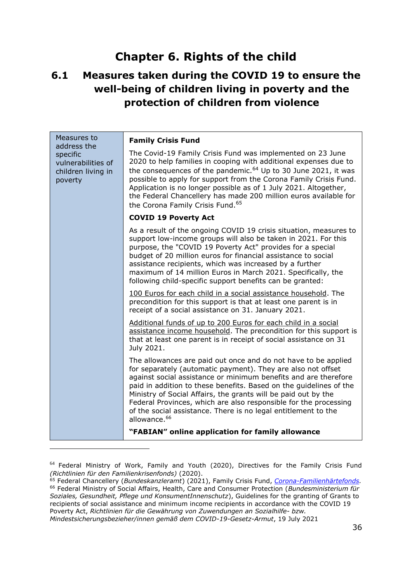# **Chapter 6. Rights of the child**

## <span id="page-35-0"></span>**6.1 Measures taken during the COVID 19 to ensure the well-being of children living in poverty and the protection of children from violence**

| Measures to<br>address the                                      | <b>Family Crisis Fund</b>                                                                                                                                                                                                                                                                                                                                                                                                                                                                                   |
|-----------------------------------------------------------------|-------------------------------------------------------------------------------------------------------------------------------------------------------------------------------------------------------------------------------------------------------------------------------------------------------------------------------------------------------------------------------------------------------------------------------------------------------------------------------------------------------------|
| specific<br>vulnerabilities of<br>children living in<br>poverty | The Covid-19 Family Crisis Fund was implemented on 23 June<br>2020 to help families in cooping with additional expenses due to<br>the consequences of the pandemic. $64$ Up to 30 June 2021, it was<br>possible to apply for support from the Corona Family Crisis Fund.<br>Application is no longer possible as of 1 July 2021. Altogether,<br>the Federal Chancellery has made 200 million euros available for<br>the Corona Family Crisis Fund. <sup>65</sup>                                            |
|                                                                 | <b>COVID 19 Poverty Act</b>                                                                                                                                                                                                                                                                                                                                                                                                                                                                                 |
|                                                                 | As a result of the ongoing COVID 19 crisis situation, measures to<br>support low-income groups will also be taken in 2021. For this<br>purpose, the "COVID 19 Poverty Act" provides for a special<br>budget of 20 million euros for financial assistance to social<br>assistance recipients, which was increased by a further<br>maximum of 14 million Euros in March 2021. Specifically, the<br>following child-specific support benefits can be granted:                                                  |
|                                                                 | 100 Euros for each child in a social assistance household. The<br>precondition for this support is that at least one parent is in<br>receipt of a social assistance on 31. January 2021.                                                                                                                                                                                                                                                                                                                    |
|                                                                 | Additional funds of up to 200 Euros for each child in a social<br>assistance income household. The precondition for this support is<br>that at least one parent is in receipt of social assistance on 31<br>July 2021.                                                                                                                                                                                                                                                                                      |
|                                                                 | The allowances are paid out once and do not have to be applied<br>for separately (automatic payment). They are also not offset<br>against social assistance or minimum benefits and are therefore<br>paid in addition to these benefits. Based on the quidelines of the<br>Ministry of Social Affairs, the grants will be paid out by the<br>Federal Provinces, which are also responsible for the processing<br>of the social assistance. There is no legal entitlement to the<br>allowance. <sup>66</sup> |
|                                                                 | "FABIAN" online application for family allowance                                                                                                                                                                                                                                                                                                                                                                                                                                                            |

<sup>&</sup>lt;sup>64</sup> Federal Ministry of Work, Family and Youth (2020), Directives for the Family Crisis Fund *[\(Richtlinien für den Familienkrisenfonds\)](https://www.bmafj.gv.at/dam/jcr:c42c9547-09f6-450b-8425-d5d7e271808c/Richtlinie_Familienkrisenfonds.pdf)* (2020).

<sup>65</sup> Federal Chancellery (*Bundeskanzleramt*) (2021), Family Crisis Fund, *[Corona-Familienhärtefonds.](https://www.bundeskanzleramt.gv.at/service/coronavirus/coronavirus-infos-familien-und-jugend/corona-familienhaerteausgleich.html)* <sup>66</sup> Federal Ministry of Social Affairs, Health, Care and Consumer Protection (*Bundesministerium für Soziales, Gesundheit, Pflege und KonsumentInnenschutz*), Guidelines for the granting of Grants to recipients of social assistance and minimum income recipients in accordance with the COVID 19 Poverty Act, *Richtlinien für die Gewährung von Zuwendungen an Sozialhilfe- bzw. Mindestsicherungsbezieher/innen gemäß dem COVID-19-Gesetz-Armut*, 19 July 2021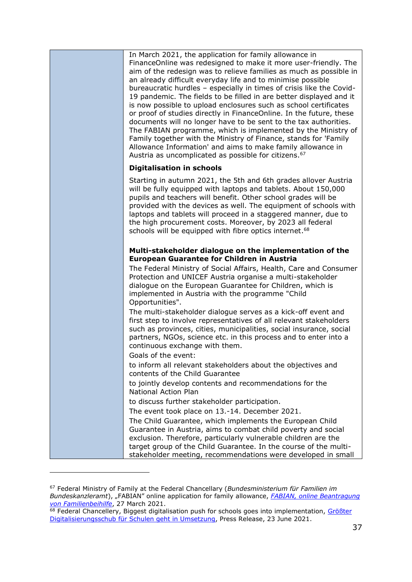| In March 2021, the application for family allowance in<br>FinanceOnline was redesigned to make it more user-friendly. The<br>aim of the redesign was to relieve families as much as possible in<br>an already difficult everyday life and to minimise possible<br>bureaucratic hurdles - especially in times of crisis like the Covid-<br>19 pandemic. The fields to be filled in are better displayed and it<br>is now possible to upload enclosures such as school certificates<br>or proof of studies directly in FinanceOnline. In the future, these<br>documents will no longer have to be sent to the tax authorities.<br>The FABIAN programme, which is implemented by the Ministry of<br>Family together with the Ministry of Finance, stands for 'Family<br>Allowance Information' and aims to make family allowance in<br>Austria as uncomplicated as possible for citizens. <sup>67</sup> |
|------------------------------------------------------------------------------------------------------------------------------------------------------------------------------------------------------------------------------------------------------------------------------------------------------------------------------------------------------------------------------------------------------------------------------------------------------------------------------------------------------------------------------------------------------------------------------------------------------------------------------------------------------------------------------------------------------------------------------------------------------------------------------------------------------------------------------------------------------------------------------------------------------|
| <b>Digitalisation in schools</b>                                                                                                                                                                                                                                                                                                                                                                                                                                                                                                                                                                                                                                                                                                                                                                                                                                                                     |
| Starting in autumn 2021, the 5th and 6th grades allover Austria<br>will be fully equipped with laptops and tablets. About 150,000<br>pupils and teachers will benefit. Other school grades will be<br>provided with the devices as well. The equipment of schools with<br>laptops and tablets will proceed in a staggered manner, due to<br>the high procurement costs. Moreover, by 2023 all federal<br>schools will be equipped with fibre optics internet. <sup>68</sup>                                                                                                                                                                                                                                                                                                                                                                                                                          |
| Multi-stakeholder dialogue on the implementation of the                                                                                                                                                                                                                                                                                                                                                                                                                                                                                                                                                                                                                                                                                                                                                                                                                                              |
| <b>European Guarantee for Children in Austria</b><br>The Federal Ministry of Social Affairs, Health, Care and Consumer<br>Protection and UNICEF Austria organise a multi-stakeholder<br>dialogue on the European Guarantee for Children, which is<br>implemented in Austria with the programme "Child<br>Opportunities".                                                                                                                                                                                                                                                                                                                                                                                                                                                                                                                                                                             |
| The multi-stakeholder dialogue serves as a kick-off event and<br>first step to involve representatives of all relevant stakeholders<br>such as provinces, cities, municipalities, social insurance, social<br>partners, NGOs, science etc. in this process and to enter into a<br>continuous exchange with them.                                                                                                                                                                                                                                                                                                                                                                                                                                                                                                                                                                                     |
| Goals of the event:<br>to inform all relevant stakeholders about the objectives and                                                                                                                                                                                                                                                                                                                                                                                                                                                                                                                                                                                                                                                                                                                                                                                                                  |
| contents of the Child Guarantee                                                                                                                                                                                                                                                                                                                                                                                                                                                                                                                                                                                                                                                                                                                                                                                                                                                                      |
| to jointly develop contents and recommendations for the<br><b>National Action Plan</b>                                                                                                                                                                                                                                                                                                                                                                                                                                                                                                                                                                                                                                                                                                                                                                                                               |
| to discuss further stakeholder participation.                                                                                                                                                                                                                                                                                                                                                                                                                                                                                                                                                                                                                                                                                                                                                                                                                                                        |
| The event took place on 13.-14. December 2021.                                                                                                                                                                                                                                                                                                                                                                                                                                                                                                                                                                                                                                                                                                                                                                                                                                                       |
| The Child Guarantee, which implements the European Child<br>Guarantee in Austria, aims to combat child poverty and social<br>exclusion. Therefore, particularly vulnerable children are the<br>target group of the Child Guarantee. In the course of the multi-<br>stakeholder meeting, recommendations were developed in small                                                                                                                                                                                                                                                                                                                                                                                                                                                                                                                                                                      |

<sup>67</sup> Federal Ministry of Family at the Federal Chancellary (*Bundesministerium für Familien im Bundeskanzleramt*), "FABIAN" online application for family allowance, *[FABIAN, online Beantragung](https://www.bundeskanzleramt.gv.at/bundeskanzleramt/nachrichten-der-bundesregierung/2021/03/mit-fabian-machen-wir-die-familienbeihilfe-so-unkompliziert-wie-moeglich.html)  [von Familienbeihilfe](https://www.bundeskanzleramt.gv.at/bundeskanzleramt/nachrichten-der-bundesregierung/2021/03/mit-fabian-machen-wir-die-familienbeihilfe-so-unkompliziert-wie-moeglich.html)*, 27 March 2021.

<sup>&</sup>lt;sup>68</sup> Federal Chancellery, Biggest digitalisation push for schools goes into implementation, Größter [Digitalisierungsschub für Schulen geht in Umsetzung,](https://www.bundeskanzleramt.gv.at/bundeskanzleramt/nachrichten-der-bundesregierung/2021/06/bundeskanzler-kurz-groesster-digitalisierungsschub-fuer-schulen-geht-in-umsetzung.html) Press Release, 23 June 2021.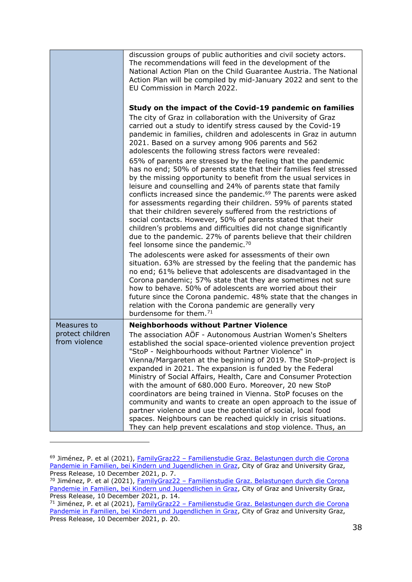|                                   | discussion groups of public authorities and civil society actors.<br>The recommendations will feed in the development of the<br>National Action Plan on the Child Guarantee Austria. The National<br>Action Plan will be compiled by mid-January 2022 and sent to the<br>EU Commission in March 2022.                                                                                                                                                                                                                                                                                                                                                                                                                                                                                                                                                                                                                                                                                                                                                                                                                                                                                                                                                                                                                                                                                                                                                                                                                                                                                                                              |
|-----------------------------------|------------------------------------------------------------------------------------------------------------------------------------------------------------------------------------------------------------------------------------------------------------------------------------------------------------------------------------------------------------------------------------------------------------------------------------------------------------------------------------------------------------------------------------------------------------------------------------------------------------------------------------------------------------------------------------------------------------------------------------------------------------------------------------------------------------------------------------------------------------------------------------------------------------------------------------------------------------------------------------------------------------------------------------------------------------------------------------------------------------------------------------------------------------------------------------------------------------------------------------------------------------------------------------------------------------------------------------------------------------------------------------------------------------------------------------------------------------------------------------------------------------------------------------------------------------------------------------------------------------------------------------|
|                                   | Study on the impact of the Covid-19 pandemic on families<br>The city of Graz in collaboration with the University of Graz<br>carried out a study to identify stress caused by the Covid-19<br>pandemic in families, children and adolescents in Graz in autumn<br>2021. Based on a survey among 906 parents and 562<br>adolescents the following stress factors were revealed:<br>65% of parents are stressed by the feeling that the pandemic<br>has no end; 50% of parents state that their families feel stressed<br>by the missing opportunity to benefit from the usual services in<br>leisure and counselling and 24% of parents state that family<br>conflicts increased since the pandemic. <sup>69</sup> The parents were asked<br>for assessments regarding their children. 59% of parents stated<br>that their children severely suffered from the restrictions of<br>social contacts. However, 50% of parents stated that their<br>children's problems and difficulties did not change significantly<br>due to the pandemic. 27% of parents believe that their children<br>feel lonsome since the pandemic. <sup>70</sup><br>The adolescents were asked for assessments of their own<br>situation. 63% are stressed by the feeling that the pandemic has<br>no end; 61% believe that adolescents are disadvantaged in the<br>Corona pandemic; 57% state that they are sometimes not sure<br>how to behave. 50% of adolescents are worried about their<br>future since the Corona pandemic. 48% state that the changes in<br>relation with the Corona pandemic are generally very<br>burdensome for them. <sup>71</sup> |
| Measures to                       | <b>Neighborhoods without Partner Violence</b>                                                                                                                                                                                                                                                                                                                                                                                                                                                                                                                                                                                                                                                                                                                                                                                                                                                                                                                                                                                                                                                                                                                                                                                                                                                                                                                                                                                                                                                                                                                                                                                      |
| protect children<br>from violence | The association AÖF - Autonomous Austrian Women's Shelters<br>established the social space-oriented violence prevention project<br>"StoP - Neighbourhoods without Partner Violence" in<br>Vienna/Margareten at the beginning of 2019. The StoP-project is<br>expanded in 2021. The expansion is funded by the Federal<br>Ministry of Social Affairs, Health, Care and Consumer Protection<br>with the amount of 680.000 Euro. Moreover, 20 new StoP<br>coordinators are being trained in Vienna. StoP focuses on the<br>community and wants to create an open approach to the issue of<br>partner violence and use the potential of social, local food<br>spaces. Neighbours can be reached quickly in crisis situations.<br>They can help prevent escalations and stop violence. Thus, an                                                                                                                                                                                                                                                                                                                                                                                                                                                                                                                                                                                                                                                                                                                                                                                                                                         |

<sup>&</sup>lt;sup>69</sup> Jiménez, P. et al (2021), FamilyGraz22 – Familienstudie Graz. Belastungen durch die Corona [Pandemie in Familien, bei Kindern und Jugendlichen in Graz,](https://www.graz.at/cms/dokumente/10381998_8106610/56f1f496/2021-12-10%20Familienstudie%20Folien.pdf) City of Graz and University Graz, Press Release, 10 December 2021, p. 7.

<sup>&</sup>lt;sup>70</sup> Jiménez, P. et al (2021), <u>FamilyGraz22 – Familienstudie Graz. Belastungen durch die Corona</u> [Pandemie in Familien, bei Kindern und Jugendlichen in Graz,](https://www.graz.at/cms/dokumente/10381998_8106610/56f1f496/2021-12-10%20Familienstudie%20Folien.pdf) City of Graz and University Graz, Press Release, 10 December 2021, p. 14.

<sup>71</sup> Jiménez, P. et al (2021), FamilyGraz22 – [Familienstudie Graz. Belastungen durch](https://www.graz.at/cms/dokumente/10381998_8106610/56f1f496/2021-12-10%20Familienstudie%20Folien.pdf) die Corona [Pandemie in Familien, bei Kindern und Jugendlichen in Graz,](https://www.graz.at/cms/dokumente/10381998_8106610/56f1f496/2021-12-10%20Familienstudie%20Folien.pdf) City of Graz and University Graz, Press Release, 10 December 2021, p. 20.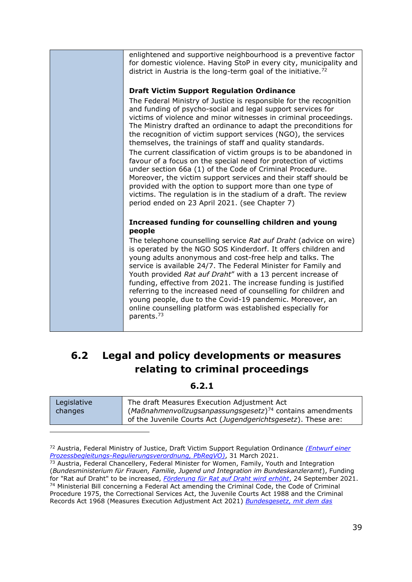| enlightened and supportive neighbourhood is a preventive factor                                                                                                                                                                                                                                                                                                                                                                                                                                                                                                                                                                                                                                                                                                                                                                                                    |
|--------------------------------------------------------------------------------------------------------------------------------------------------------------------------------------------------------------------------------------------------------------------------------------------------------------------------------------------------------------------------------------------------------------------------------------------------------------------------------------------------------------------------------------------------------------------------------------------------------------------------------------------------------------------------------------------------------------------------------------------------------------------------------------------------------------------------------------------------------------------|
| for domestic violence. Having StoP in every city, municipality and                                                                                                                                                                                                                                                                                                                                                                                                                                                                                                                                                                                                                                                                                                                                                                                                 |
| district in Austria is the long-term goal of the initiative. <sup>72</sup>                                                                                                                                                                                                                                                                                                                                                                                                                                                                                                                                                                                                                                                                                                                                                                                         |
|                                                                                                                                                                                                                                                                                                                                                                                                                                                                                                                                                                                                                                                                                                                                                                                                                                                                    |
|                                                                                                                                                                                                                                                                                                                                                                                                                                                                                                                                                                                                                                                                                                                                                                                                                                                                    |
| <b>Draft Victim Support Regulation Ordinance</b>                                                                                                                                                                                                                                                                                                                                                                                                                                                                                                                                                                                                                                                                                                                                                                                                                   |
| The Federal Ministry of Justice is responsible for the recognition<br>and funding of psycho-social and legal support services for<br>victims of violence and minor witnesses in criminal proceedings.<br>The Ministry drafted an ordinance to adapt the preconditions for<br>the recognition of victim support services (NGO), the services<br>themselves, the trainings of staff and quality standards.<br>The current classification of victim groups is to be abandoned in<br>favour of a focus on the special need for protection of victims<br>under section 66a (1) of the Code of Criminal Procedure.<br>Moreover, the victim support services and their staff should be<br>provided with the option to support more than one type of<br>victims. The regulation is in the stadium of a draft. The review<br>period ended on 23 April 2021. (see Chapter 7) |
|                                                                                                                                                                                                                                                                                                                                                                                                                                                                                                                                                                                                                                                                                                                                                                                                                                                                    |
| Increased funding for counselling children and young                                                                                                                                                                                                                                                                                                                                                                                                                                                                                                                                                                                                                                                                                                                                                                                                               |
| people                                                                                                                                                                                                                                                                                                                                                                                                                                                                                                                                                                                                                                                                                                                                                                                                                                                             |
| The telephone counselling service Rat auf Draht (advice on wire)<br>is operated by the NGO SOS Kinderdorf. It offers children and<br>young adults anonymous and cost-free help and talks. The<br>service is available 24/7. The Federal Minister for Family and<br>Youth provided Rat auf Draht" with a 13 percent increase of<br>funding, effective from 2021. The increase funding is justified<br>referring to the increased need of counselling for children and<br>young people, due to the Covid-19 pandemic. Moreover, an<br>online counselling platform was established especially for<br>parents. <sup>73</sup>                                                                                                                                                                                                                                           |
|                                                                                                                                                                                                                                                                                                                                                                                                                                                                                                                                                                                                                                                                                                                                                                                                                                                                    |

### **6.2 Legal and policy developments or measures relating to criminal proceedings**

**6.2.1**

| Legislative | The draft Measures Execution Adjustment Act                   |
|-------------|---------------------------------------------------------------|
| changes     | $(MaBnahmenvolzugsanpassungsgesetz)^{74}$ contains amendments |
|             | of the Juvenile Courts Act (Jugendgerichtsgesetz). These are: |

<sup>72</sup> Austria, Federal Ministry of Justice, Draft Victim Support Regulation Ordinance *[\(Entwurf einer](https://www.bmj.gv.at/ministerium/gesetzesentwuerfe/entw%C3%BCrfe-21/Prozessbegleitungs-Regulierungsverordnung-(PbRegVO).html)  [Prozessbegleitungs-Regulierungsverordnung, PbRegVO\)](https://www.bmj.gv.at/ministerium/gesetzesentwuerfe/entw%C3%BCrfe-21/Prozessbegleitungs-Regulierungsverordnung-(PbRegVO).html)*, 31 March 2021.

<sup>&</sup>lt;sup>73</sup> Austria, Federal Chancellery, Federal Minister for Women, Family, Youth and Integration (*Bundesministerium für Frauen, Familie, Jugend und Integration im Bundeskanzleramt*), Funding for "Rat auf Draht" to be increased, *[Förderung für Rat auf Draht wird erhöht](https://www.bundeskanzleramt.gv.at/bundeskanzleramt/nachrichten-der-bundesregierung/2021/09/jugend-und-familienministerin-raab-foerderung-fuer-rat-auf-draht-wird-erhoeht.html)*, 24 September 2021. <sup>74</sup> Ministerial Bill concerning a Federal Act amending the Criminal Code, the Code of Criminal Procedure 1975, the Correctional Services Act, the Juvenile Courts Act 1988 and the Criminal Records Act 1968 (Measures Execution Adjustment Act 2021) *[Bundesgesetz, mit dem das](file:///C:/Users/meieris/Downloads/XXVII_ME_128_2_Gesetzestext.pdf)*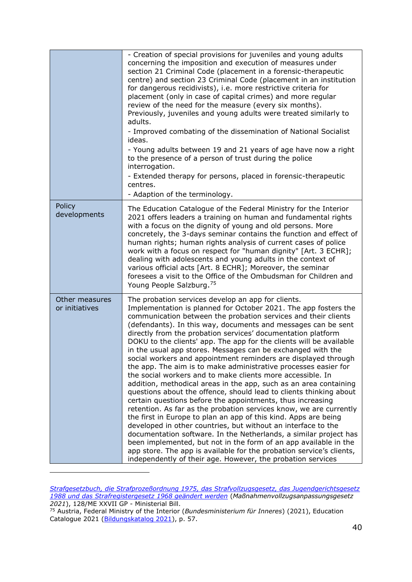|                                  | - Creation of special provisions for juveniles and young adults<br>concerning the imposition and execution of measures under<br>section 21 Criminal Code (placement in a forensic-therapeutic<br>centre) and section 23 Criminal Code (placement in an institution<br>for dangerous recidivists), i.e. more restrictive criteria for<br>placement (only in case of capital crimes) and more regular<br>review of the need for the measure (every six months).<br>Previously, juveniles and young adults were treated similarly to<br>adults.<br>- Improved combating of the dissemination of National Socialist<br>ideas.<br>- Young adults between 19 and 21 years of age have now a right<br>to the presence of a person of trust during the police<br>interrogation.<br>- Extended therapy for persons, placed in forensic-therapeutic<br>centres.<br>- Adaption of the terminology.                                                                                                                                                                                                                                                                                                                                                                                                                                                                              |
|----------------------------------|----------------------------------------------------------------------------------------------------------------------------------------------------------------------------------------------------------------------------------------------------------------------------------------------------------------------------------------------------------------------------------------------------------------------------------------------------------------------------------------------------------------------------------------------------------------------------------------------------------------------------------------------------------------------------------------------------------------------------------------------------------------------------------------------------------------------------------------------------------------------------------------------------------------------------------------------------------------------------------------------------------------------------------------------------------------------------------------------------------------------------------------------------------------------------------------------------------------------------------------------------------------------------------------------------------------------------------------------------------------------|
| Policy<br>developments           | The Education Catalogue of the Federal Ministry for the Interior<br>2021 offers leaders a training on human and fundamental rights<br>with a focus on the dignity of young and old persons. More<br>concretely, the 3-days seminar contains the function and effect of<br>human rights; human rights analysis of current cases of police<br>work with a focus on respect for "human dignity" [Art. 3 ECHR];<br>dealing with adolescents and young adults in the context of<br>various official acts [Art. 8 ECHR]; Moreover, the seminar<br>foresees a visit to the Office of the Ombudsman for Children and<br>Young People Salzburg. <sup>75</sup>                                                                                                                                                                                                                                                                                                                                                                                                                                                                                                                                                                                                                                                                                                                 |
| Other measures<br>or initiatives | The probation services develop an app for clients.<br>Implementation is planned for October 2021. The app fosters the<br>communication between the probation services and their clients<br>(defendants). In this way, documents and messages can be sent<br>directly from the probation services' documentation platform<br>DOKU to the clients' app. The app for the clients will be available<br>in the usual app stores. Messages can be exchanged with the<br>social workers and appointment reminders are displayed through<br>the app. The aim is to make administrative processes easier for<br>the social workers and to make clients more accessible. In<br>addition, methodical areas in the app, such as an area containing<br>questions about the offence, should lead to clients thinking about<br>certain questions before the appointments, thus increasing<br>retention. As far as the probation services know, we are currently<br>the first in Europe to plan an app of this kind. Apps are being<br>developed in other countries, but without an interface to the<br>documentation software. In the Netherlands, a similar project has<br>been implemented, but not in the form of an app available in the<br>app store. The app is available for the probation service's clients,<br>independently of their age. However, the probation services |

*[Strafgesetzbuch, die Strafprozeßordnung 1975, das Strafvollzugsgesetz, das Jugendgerichtsgesetz](file:///C:/Users/meieris/Downloads/XXVII_ME_128_2_Gesetzestext.pdf)  [1988 und das Strafregistergesetz 1968 geändert werden](file:///C:/Users/meieris/Downloads/XXVII_ME_128_2_Gesetzestext.pdf)* (*Maßnahmenvollzugsanpassungsgesetz 2021*), 128/ME XXVII GP - Ministerial Bill.

<sup>75</sup> Austria, Federal Ministry of the Interior (*Bundesministerium für Inneres*) (2021), Education Catalogue 2021 [\(Bildungskatalog 2021\)](https://www.bmi.gv.at/104/Seminare/files/Bildungskatalog_2021.pdf), p. 57.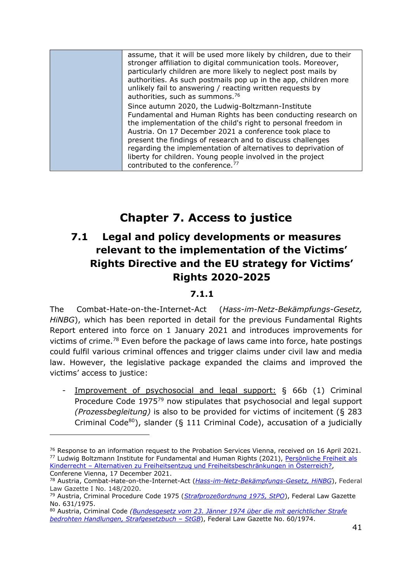| assume, that it will be used more likely by children, due to their |
|--------------------------------------------------------------------|
| stronger affiliation to digital communication tools. Moreover,     |
| particularly children are more likely to neglect post mails by     |
| authorities. As such postmails pop up in the app, children more    |
| unlikely fail to answering / reacting written requests by          |
| authorities, such as summons. <sup>76</sup>                        |
| Since autumn 2020, the Ludwig-Boltzmann-Institute                  |
| Fundamental and Human Rights has been conducting research on       |
| the implementation of the child's right to personal freedom in     |
| Austria. On 17 December 2021 a conference took place to            |
| present the findings of research and to discuss challenges         |
| regarding the implementation of alternatives to deprivation of     |
| liberty for children. Young people involved in the project         |
| contributed to the conference. <sup>77</sup>                       |

# **Chapter 7. Access to justice**

## **7.1 Legal and policy developments or measures relevant to the implementation of the Victims' Rights Directive and the EU strategy for Victims' Rights 2020-2025**

#### **7.1.1**

The Combat-Hate-on-the-Internet-Act (*Hass-im-Netz-Bekämpfungs-Gesetz, HiNBG*), which has been reported in detail for the previous Fundamental Rights Report entered into force on 1 January 2021 and introduces improvements for victims of crime.<sup>78</sup> Even before the package of laws came into force, hate postings could fulfil various criminal offences and trigger claims under civil law and media law. However, the legislative package expanded the claims and improved the victims' access to justice:

- Improvement of psychosocial and legal support: § 66b (1) Criminal Procedure Code 1975<sup>79</sup> now stipulates that psychosocial and legal support *(Prozessbegleitung)* is also to be provided for victims of incitement (§ 283 Criminal Code $80$ ), slander (§ 111 Criminal Code), accusation of a judicially

<sup>&</sup>lt;sup>76</sup> Response to an information request to the Probation Services Vienna, received on 16 April 2021. <sup>77</sup> Ludwig Boltzmann Institute for Fundamental and Human Rights (2021), [Persönliche Freiheit als](https://gmr.lbg.ac.at/de/aktuelles-termine/termin/2021/12/17/konferenz-persoenliche-freiheit-kinderrecht-alternativen-zu-freiheitsentzug-freiheitsbeschraenkungen-oesterreich-17122021-10-uhr)  Kinderrecht – [Alternativen zu Freiheitsentzug und Freiheitsbeschränkungen in Österreich?,](https://gmr.lbg.ac.at/de/aktuelles-termine/termin/2021/12/17/konferenz-persoenliche-freiheit-kinderrecht-alternativen-zu-freiheitsentzug-freiheitsbeschraenkungen-oesterreich-17122021-10-uhr) Conferene Vienna, 17 December 2021.

<sup>78</sup> Austria, Combat-Hate-on-the-Internet-Act (*[Hass-im-Netz-Bekämpfungs-Gesetz, HiNBG](https://www.ris.bka.gv.at/Dokument.wxe?Abfrage=BgblAuth&Dokumentnummer=BGBLA_2020_I_148)*), Federal Law Gazette I No. 148/2020.

<sup>79</sup> Austria, Criminal Procedure Code 1975 (*[Strafprozeßordnung 1975, StPO](https://www.ris.bka.gv.at/GeltendeFassung.wxe?Abfrage=Bundesnormen&Gesetzesnummer=10002326)*), Federal Law Gazette No. 631/1975.

<sup>80</sup> Austria, Criminal Code *[\(Bundesgesetz vom 23. Jänner 1974 über die mit gerichtlicher Strafe](https://www.ris.bka.gv.at/GeltendeFassung.wxe?Abfrage=Bundesnormen&Gesetzesnummer=10002296)  [bedrohten Handlungen, Strafgesetzbuch](https://www.ris.bka.gv.at/GeltendeFassung.wxe?Abfrage=Bundesnormen&Gesetzesnummer=10002296) – StGB*), Federal Law Gazette No. 60/1974.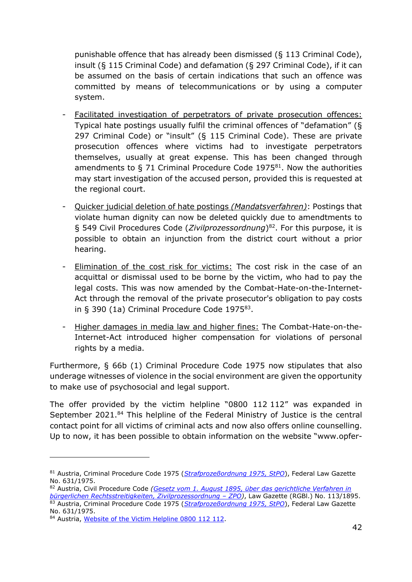punishable offence that has already been dismissed (§ 113 Criminal Code), insult (§ 115 Criminal Code) and defamation (§ 297 Criminal Code), if it can be assumed on the basis of certain indications that such an offence was committed by means of telecommunications or by using a computer system.

- Facilitated investigation of perpetrators of private prosecution offences: Typical hate postings usually fulfil the criminal offences of "defamation" (§ 297 Criminal Code) or "insult" (§ 115 Criminal Code). These are private prosecution offences where victims had to investigate perpetrators themselves, usually at great expense. This has been changed through amendments to  $\S$  71 Criminal Procedure Code 1975<sup>81</sup>. Now the authorities may start investigation of the accused person, provided this is requested at the regional court.
- Quicker judicial deletion of hate postings *(Mandatsverfahren)*: Postings that violate human dignity can now be deleted quickly due to amendtments to § 549 Civil Procedures Code (*Zivilprozessordnung*) <sup>82</sup>. For this purpose, it is possible to obtain an injunction from the district court without a prior hearing.
- Elimination of the cost risk for victims: The cost risk in the case of an acquittal or dismissal used to be borne by the victim, who had to pay the legal costs. This was now amended by the Combat-Hate-on-the-Internet-Act through the removal of the private prosecutor's obligation to pay costs in § 390 (1a) Criminal Procedure Code  $1975^{83}$ .
- Higher damages in media law and higher fines: The Combat-Hate-on-the-Internet-Act introduced higher compensation for violations of personal rights by a media.

Furthermore, § 66b (1) Criminal Procedure Code 1975 now stipulates that also underage witnesses of violence in the social environment are given the opportunity to make use of psychosocial and legal support.

The offer provided by the victim helpline "0800 112 112" was expanded in September 2021.<sup>84</sup> This helpline of the Federal Ministry of Justice is the central contact point for all victims of criminal acts and now also offers online counselling. Up to now, it has been possible to obtain information on the website "www.opfer-

<sup>81</sup> Austria, Criminal Procedure Code 1975 (*[Strafprozeßordnung 1975, StPO](https://www.ris.bka.gv.at/GeltendeFassung.wxe?Abfrage=Bundesnormen&Gesetzesnummer=10002326)*), Federal Law Gazette No. 631/1975.

<sup>82</sup> Austria, Civil Procedure Code *[\(Gesetz vom 1. August 1895, über das gerichtliche Verfahren in](https://www.ris.bka.gv.at/GeltendeFassung.wxe?Abfrage=Bundesnormen&Gesetzesnummer=10001699)  [bürgerlichen Rechtsstreitigkeiten, Zivilprozessordnung](https://www.ris.bka.gv.at/GeltendeFassung.wxe?Abfrage=Bundesnormen&Gesetzesnummer=10001699) – ZPO)*, Law Gazette (RGBl.) No. 113/1895. <sup>83</sup> Austria, Criminal Procedure Code 1975 (*[Strafprozeßordnung 1975, StPO](https://www.ris.bka.gv.at/GeltendeFassung.wxe?Abfrage=Bundesnormen&Gesetzesnummer=10002326)*), Federal Law Gazette No. 631/1975.

<sup>84</sup> Austria, [Website of the Victim Helpline 0800 112](https://www.opfer-notruf.at/) 112.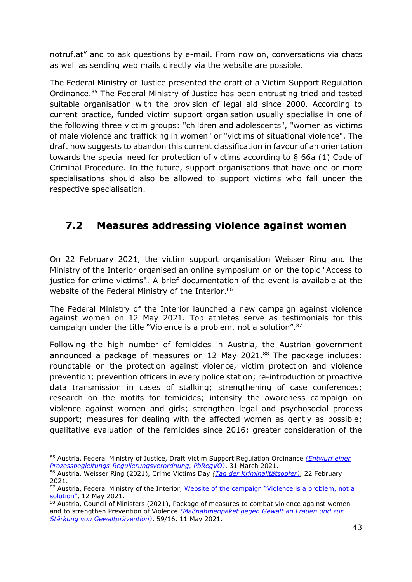notruf.at" and to ask questions by e-mail. From now on, conversations via chats as well as sending web mails directly via the website are possible.

The Federal Ministry of Justice presented the draft of a Victim Support Regulation Ordinance.<sup>85</sup> The Federal Ministry of Justice has been entrusting tried and tested suitable organisation with the provision of legal aid since 2000. According to current practice, funded victim support organisation usually specialise in one of the following three victim groups: "children and adolescents", "women as victims of male violence and trafficking in women" or "victims of situational violence". The draft now suggests to abandon this current classification in favour of an orientation towards the special need for protection of victims according to § 66a (1) Code of Criminal Procedure. In the future, support organisations that have one or more specialisations should also be allowed to support victims who fall under the respective specialisation.

### **7.2 Measures addressing violence against women**

On 22 February 2021, the victim support organisation Weisser Ring and the Ministry of the Interior organised an online symposium on on the topic "Access to justice for crime victims". A brief documentation of the event is available at the website of the Federal Ministry of the Interior.<sup>86</sup>

The Federal Ministry of the Interior launched a new campaign against violence against women on 12 May 2021. Top athletes serve as testimonials for this campaign under the title "Violence is a problem, not a solution".<sup>87</sup>

Following the high number of femicides in Austria, the Austrian government announced a package of measures on 12 May 2021.88 The package includes: roundtable on the protection against violence, victim protection and violence prevention; prevention officers in every police station; re-introduction of proactive data transmission in cases of stalking; strengthening of case conferences; research on the motifs for femicides; intensify the awareness campaign on violence against women and girls; strengthen legal and psychosocial process support; measures for dealing with the affected women as gently as possible; qualitative evaluation of the femicides since 2016; greater consideration of the

<sup>85</sup> Austria, Federal Ministry of Justice, Draft Victim Support Regulation Ordinance *[\(Entwurf einer](https://www.bmj.gv.at/ministerium/gesetzesentwuerfe/entw%C3%BCrfe-21/Prozessbegleitungs-Regulierungsverordnung-(PbRegVO).html)  [Prozessbegleitungs-Regulierungsverordnung, PbRegVO\)](https://www.bmj.gv.at/ministerium/gesetzesentwuerfe/entw%C3%BCrfe-21/Prozessbegleitungs-Regulierungsverordnung-(PbRegVO).html)*, 31 March 2021.

<sup>86</sup> Austria, Weisser Ring (2021), Crime Victims Day *[\(Tag der Kriminalitätsopfer\)](https://bmi.gv.at/bmi_documents/2582.pdf)*, 22 February 2021.

<sup>87</sup> Austria, Federal Ministry of the Interior, [Website of the campaign "Violence is a p](https://bmi.gv.at/614/start.aspx)roblem, not a [solution"](https://bmi.gv.at/614/start.aspx), 12 May 2021.

<sup>88</sup> Austria, Council of Ministers (2021), Package of measures to combat violence against women and to strengthen Prevention of Violence *[\(Maßnahmenpaket gegen Gewalt an Frauen und zur](https://www.bundeskanzleramt.gv.at/dam/jcr:a0f01f60-9730-45e2-9475-69a6e19d175d/59_16_mrv.pdf)  [Stärkung von Gewaltprävention\)](https://www.bundeskanzleramt.gv.at/dam/jcr:a0f01f60-9730-45e2-9475-69a6e19d175d/59_16_mrv.pdf)*, 59/16, 11 May 2021.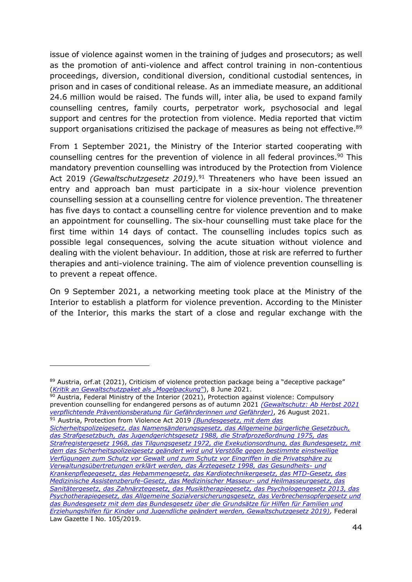issue of violence against women in the training of judges and prosecutors; as well as the promotion of anti-violence and affect control training in non-contentious proceedings, diversion, conditional diversion, conditional custodial sentences, in prison and in cases of conditional release. As an immediate measure, an additional 24.6 million would be raised. The funds will, inter alia, be used to expand family counselling centres, family courts, perpetrator work, psychosocial and legal support and centres for the protection from violence. Media reported that victim support organisations critizised the package of measures as being not effective.<sup>89</sup>

From 1 September 2021, the Ministry of the Interior started cooperating with counselling centres for the prevention of violence in all federal provinces. <sup>90</sup> This mandatory prevention counselling was introduced by the Protection from Violence Act 2019 *(Gewaltschutzgesetz 2019).* <sup>91</sup> Threateners who have been issued an entry and approach ban must participate in a six-hour violence prevention counselling session at a counselling centre for violence prevention. The threatener has five days to contact a counselling centre for violence prevention and to make an appointment for counselling. The six-hour counselling must take place for the first time within 14 days of contact. The counselling includes topics such as possible legal consequences, solving the acute situation without violence and dealing with the violent behaviour. In addition, those at risk are referred to further therapies and anti-violence training. The aim of violence prevention counselling is to prevent a repeat offence.

On 9 September 2021, a networking meeting took place at the Ministry of the Interior to establish a platform for violence prevention. According to the Minister of the Interior, this marks the start of a close and regular exchange with the

90 Austria, Federal Ministry of the Interior (2021), Protection against violence: Compulsory prevention counselling for endangered persons as of autumn 2021 *[\(Gewaltschutz: Ab Herbst 2021](https://www.bmi.gv.at/news.aspx?id=65696C5A4D585564426E673D)  [verpflichtende Präventionsberatung für Gefährderinnen und Gefährder\)](https://www.bmi.gv.at/news.aspx?id=65696C5A4D585564426E673D)*, 26 August 2021. <sup>91</sup> Austria, Protection from Violence Act 2019 *[\(Bundesgesetz, mit dem das](https://www.ris.bka.gv.at/Dokument.wxe?Abfrage=BgblAuth&Dokumentnummer=BGBLA_2019_I_105)* 

*[Sicherheitspolizeigesetz, das Namensänderungsgesetz, das Allgemeine bürgerliche Gesetzbuch,](https://www.ris.bka.gv.at/Dokument.wxe?Abfrage=BgblAuth&Dokumentnummer=BGBLA_2019_I_105)  [das Strafgesetzbuch, das Jugendgerichtsgesetz 1988, die Strafprozeßordnung 1975, das](https://www.ris.bka.gv.at/Dokument.wxe?Abfrage=BgblAuth&Dokumentnummer=BGBLA_2019_I_105)  [Strafregistergesetz 1968, das Tilgungsgesetz 1972, die Exekutionsordnung, das Bundesgesetz, mit](https://www.ris.bka.gv.at/Dokument.wxe?Abfrage=BgblAuth&Dokumentnummer=BGBLA_2019_I_105)  [dem das Sicherheitspolizeigesetz geändert wird und Verstöße gegen bestimmte einstweilige](https://www.ris.bka.gv.at/Dokument.wxe?Abfrage=BgblAuth&Dokumentnummer=BGBLA_2019_I_105)  [Verfügungen zum Schutz vor Gewalt und zum Schutz vor Eingriffen in die Privatsphäre zu](https://www.ris.bka.gv.at/Dokument.wxe?Abfrage=BgblAuth&Dokumentnummer=BGBLA_2019_I_105)  [Verwaltungsübertretungen erklärt werden, das Ärztegesetz 1998, das Gesundheits-](https://www.ris.bka.gv.at/Dokument.wxe?Abfrage=BgblAuth&Dokumentnummer=BGBLA_2019_I_105) und [Krankenpflegegesetz, das Hebammengesetz, das Kardiotechnikergesetz, das MTD-Gesetz, das](https://www.ris.bka.gv.at/Dokument.wxe?Abfrage=BgblAuth&Dokumentnummer=BGBLA_2019_I_105)  [Medizinische Assistenzberufe-Gesetz, das Medizinischer Masseur-](https://www.ris.bka.gv.at/Dokument.wxe?Abfrage=BgblAuth&Dokumentnummer=BGBLA_2019_I_105) und Heilmasseurgesetz, das [Sanitätergesetz, das Zahnärztegesetz, das Musiktherapiegesetz, das Psychologengesetz 2013, das](https://www.ris.bka.gv.at/Dokument.wxe?Abfrage=BgblAuth&Dokumentnummer=BGBLA_2019_I_105)  [Psychotherapiegesetz, das Allgemeine Sozialversicherungsgesetz, das Verbrechensopfergesetz und](https://www.ris.bka.gv.at/Dokument.wxe?Abfrage=BgblAuth&Dokumentnummer=BGBLA_2019_I_105)  [das Bundesgesetz mit dem das Bundesgesetz über die Grundsätze für Hilfen für Familien und](https://www.ris.bka.gv.at/Dokument.wxe?Abfrage=BgblAuth&Dokumentnummer=BGBLA_2019_I_105)  [Erziehungshilfen für Kinder und Jugendliche geändert werden, Gewaltschutzgesetz 2019\),](https://www.ris.bka.gv.at/Dokument.wxe?Abfrage=BgblAuth&Dokumentnummer=BGBLA_2019_I_105)* Federal Law Gazette I No. 105/2019.

<sup>89</sup> Austria, orf.at (2021), Criticism of violence protection package being a "deceptive package" (*[Kritik an Gewaltschutzpaket als "Mogelpackung"](https://www.orf.at/stories/3216449/)*), 8 June 2021.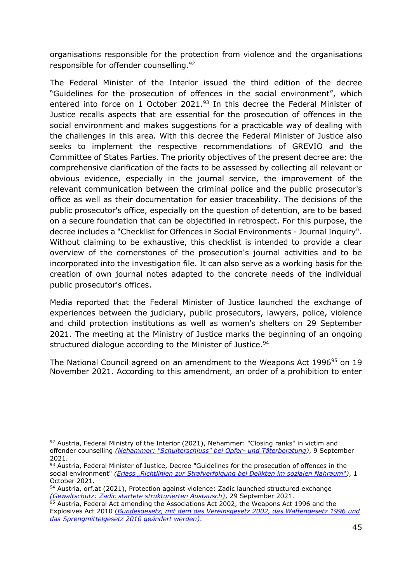organisations responsible for the protection from violence and the organisations responsible for offender counselling.<sup>92</sup>

The Federal Minister of the Interior issued the third edition of the decree "Guidelines for the prosecution of offences in the social environment", which entered into force on 1 October 2021.<sup>93</sup> In this decree the Federal Minister of Justice recalls aspects that are essential for the prosecution of offences in the social environment and makes suggestions for a practicable way of dealing with the challenges in this area. With this decree the Federal Minister of Justice also seeks to implement the respective recommendations of GREVIO and the Committee of States Parties. The priority objectives of the present decree are: the comprehensive clarification of the facts to be assessed by collecting all relevant or obvious evidence, especially in the journal service, the improvement of the relevant communication between the criminal police and the public prosecutor's office as well as their documentation for easier traceability. The decisions of the public prosecutor's office, especially on the question of detention, are to be based on a secure foundation that can be objectified in retrospect. For this purpose, the decree includes a "Checklist for Offences in Social Environments - Journal Inquiry". Without claiming to be exhaustive, this checklist is intended to provide a clear overview of the cornerstones of the prosecution's journal activities and to be incorporated into the investigation file. It can also serve as a working basis for the creation of own journal notes adapted to the concrete needs of the individual public prosecutor's offices.

Media reported that the Federal Minister of Justice launched the exchange of experiences between the judiciary, public prosecutors, lawyers, police, violence and child protection institutions as well as women's shelters on 29 September 2021. The meeting at the Ministry of Justice marks the beginning of an ongoing structured dialogue according to the Minister of Justice.<sup>94</sup>

The National Council agreed on an amendment to the Weapons Act 1996<sup>95</sup> on 19 November 2021. According to this amendment, an order of a prohibition to enter

 $92$  Austria, Federal Ministry of the Interior (2021), Nehammer: "Closing ranks" in victim and offender counselling *[\(Nehammer: "Schulterschluss" bei Opfer-](https://bmi.gv.at/news.aspx?id=3357547A737147342F43773D) und Täterberatung)*, 9 September 2021.

<sup>93</sup> Austria, Federal Minister of Justice, Decree "Guidelines for the prosecution of offences in the social environment" *([Erlass "Richtlinien zur Strafverfolgung bei Delikten im sozialen Nahraum"](https://www.ris.bka.gv.at/Dokument.wxe?ResultFunctionToken=a26ea86d-512c-43b3-9320-4c2280308350&Position=1&SkipToDocumentPage=True&Abfrage=Erlaesse&Titel=&VonInkrafttretedatum=01.10.2021&BisInkrafttretedatum=01.10.2021&FassungVom=01.10.2021&Einbringer=Bundesministerium+f%c3%bcr+Justiz&Abteilung=&Fundstelle=&GZ=&Norm=&ImRisSeitVonDatum=&ImRisSeitBisDatum=&ImRisSeit=Undefined&ResultPageSize=100&Suchworte=&Dokumentnummer=ERL_BMJ_20210830_2021_0_538_674))*, 1 October 2021.

<sup>94</sup> Austria, orf.at (2021), Protection against violence: Zadic launched structured exchange *[\(Gewaltschutz: Zadic startete strukturierten Austausch\)](https://orf.at/stories/3230462/)*, 29 September 2021.

<sup>&</sup>lt;sup>95</sup> Austria, Federal Act amending the Associations Act 2002, the Weapons Act 1996 and the Explosives Act 2010 (*[Bundesgesetz, mit dem das Vereinsgesetz 2002, das Waffengesetz 1996](https://www.parlament.gv.at/PAKT/VHG/XXVII/I/I_01101/index.shtml) und [das Sprengmittelgesetz 2010 geändert werden\)](https://www.parlament.gv.at/PAKT/VHG/XXVII/I/I_01101/index.shtml)*.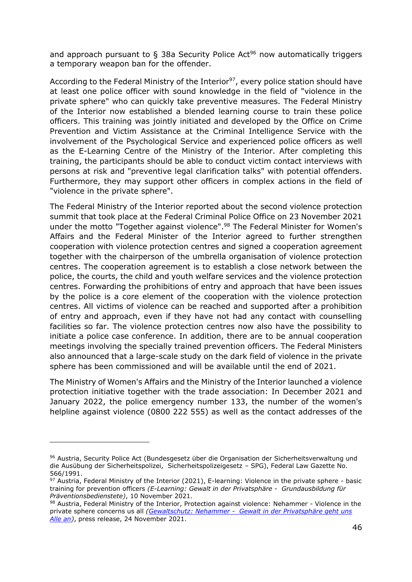and approach pursuant to  $\S$  38a Security Police Act<sup>96</sup> now automatically triggers a temporary weapon ban for the offender.

According to the Federal Ministry of the Interior $97$ , every police station should have at least one police officer with sound knowledge in the field of "violence in the private sphere" who can quickly take preventive measures. The Federal Ministry of the Interior now established a blended learning course to train these police officers. This training was jointly initiated and developed by the Office on Crime Prevention and Victim Assistance at the Criminal Intelligence Service with the involvement of the Psychological Service and experienced police officers as well as the E-Learning Centre of the Ministry of the Interior. After completing this training, the participants should be able to conduct victim contact interviews with persons at risk and "preventive legal clarification talks" with potential offenders. Furthermore, they may support other officers in complex actions in the field of "violence in the private sphere".

The Federal Ministry of the Interior reported about the second violence protection summit that took place at the Federal Criminal Police Office on 23 November 2021 under the motto "Together against violence".<sup>98</sup> The Federal Minister for Women's Affairs and the Federal Minister of the Interior agreed to further strengthen cooperation with violence protection centres and signed a cooperation agreement together with the chairperson of the umbrella organisation of violence protection centres. The cooperation agreement is to establish a close network between the police, the courts, the child and youth welfare services and the violence protection centres. Forwarding the prohibitions of entry and approach that have been issues by the police is a core element of the cooperation with the violence protection centres. All victims of violence can be reached and supported after a prohibition of entry and approach, even if they have not had any contact with counselling facilities so far. The violence protection centres now also have the possibility to initiate a police case conference. In addition, there are to be annual cooperation meetings involving the specially trained prevention officers. The Federal Ministers also announced that a large-scale study on the dark field of violence in the private sphere has been commissioned and will be available until the end of 2021.

The Ministry of Women's Affairs and the Ministry of the Interior launched a violence protection initiative together with the trade association: In December 2021 and January 2022, the police emergency number 133, the number of the women's helpline against violence (0800 222 555) as well as the contact addresses of the

<sup>96</sup> Austria, Security Police Act (Bundesgesetz über die Organisation der Sicherheitsverwaltung und die Ausübung der Sicherheitspolizei, Sicherheitspolizeigesetz – SPG), Federal Law Gazette No. 566/1991.

<sup>97</sup> Austria, Federal Ministry of the Interior (2021), E-learning: Violence in the private sphere - basic training for prevention officers *(E-Learning: Gewalt in der Privatsphäre - Grundausbildung für Präventionsbedienstete)*, 10 November 2021.

<sup>98</sup> Austria, Federal Ministry of the Interior, Protection against violence: Nehammer - Violence in the private sphere concerns us all *[\(Gewaltschutz: Nehammer - Gewalt in der Privatsphäre geht uns](https://www.bmi.gv.at/news.aspx?id=30635A756B525345504E493D)  [Alle an\)](https://www.bmi.gv.at/news.aspx?id=30635A756B525345504E493D)*, press release, 24 November 2021.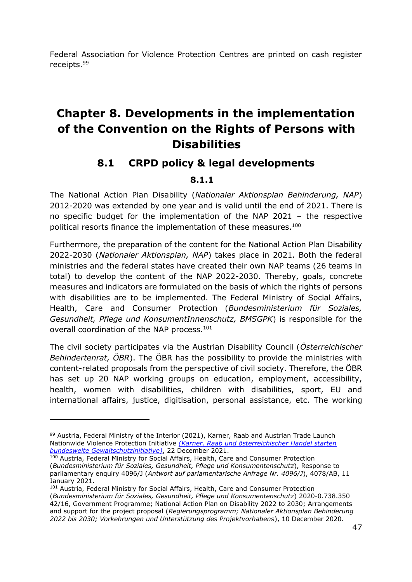Federal Association for Violence Protection Centres are printed on cash register receipts.<sup>99</sup>

# **Chapter 8. Developments in the implementation of the Convention on the Rights of Persons with Disabilities**

### **8.1 CRPD policy & legal developments**

#### **8.1.1**

The National Action Plan Disability (*Nationaler Aktionsplan Behinderung, NAP*) 2012-2020 was extended by one year and is valid until the end of 2021. There is no specific budget for the implementation of the NAP 2021 – the respective political resorts finance the implementation of these measures.<sup>100</sup>

Furthermore, the preparation of the content for the National Action Plan Disability 2022-2030 (*Nationaler Aktionsplan, NAP*) takes place in 2021. Both the federal ministries and the federal states have created their own NAP teams (26 teams in total) to develop the content of the NAP 2022-2030. Thereby, goals, concrete measures and indicators are formulated on the basis of which the rights of persons with disabilities are to be implemented. The Federal Ministry of Social Affairs, Health, Care and Consumer Protection (*Bundesministerium für Soziales, Gesundheit, Pflege und KonsumentInnenschutz, BMSGPK*) is responsible for the overall coordination of the NAP process.<sup>101</sup>

The civil society participates via the Austrian Disability Council (*Österreichischer Behindertenrat, ÖBR*). The ÖBR has the possibility to provide the ministries with content-related proposals from the perspective of civil society. Therefore, the ÖBR has set up 20 NAP working groups on education, employment, accessibility, health, women with disabilities, children with disabilities, sport, EU and international affairs, justice, digitisation, personal assistance, etc. The working

<sup>99</sup> Austria, Federal Ministry of the Interior (2021), Karner, Raab and Austrian Trade Launch Nationwide Violence Protection Initiative *[\(Karner, Raab und österreichischer Handel starten](https://www.bmi.gv.at/news.aspx?id=43473845547975615577343D)  [bundesweite Gewaltschutzinitiative\)](https://www.bmi.gv.at/news.aspx?id=43473845547975615577343D)*, 22 December 2021.

<sup>100</sup> Austria, Federal Ministry for Social Affairs, Health, Care and Consumer Protection (*Bundesministerium für Soziales, Gesundheit, Pflege und Konsumentenschutz*), Response to parliamentary enquiry 4096/J (*Antwort auf parlamentarische Anfrage Nr. 4096/J*), 4078/AB, 11 January 2021.

<sup>&</sup>lt;sup>101</sup> Austria, Federal Ministry for Social Affairs, Health, Care and Consumer Protection (*Bundesministerium für Soziales, Gesundheit, Pflege und Konsumentenschutz*) 2020-0.738.350 42/16, Government Programme; National Action Plan on Disability 2022 to 2030; Arrangements and support for the project proposal (*Regierungsprogramm; Nationaler Aktionsplan Behinderung 2022 bis 2030; Vorkehrungen und Unterstützung des Projektvorhabens*), 10 December 2020.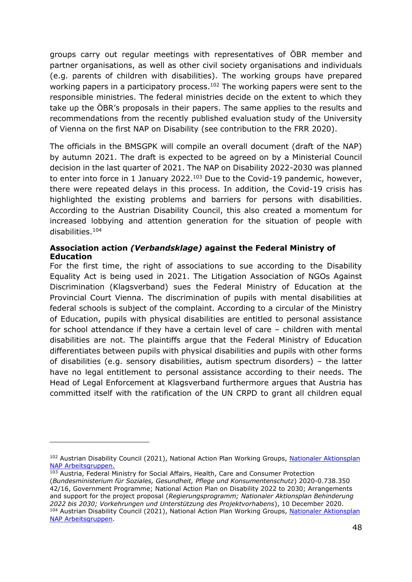groups carry out regular meetings with representatives of ÖBR member and partner organisations, as well as other civil society organisations and individuals (e.g. parents of children with disabilities). The working groups have prepared working papers in a participatory process.<sup>102</sup> The working papers were sent to the responsible ministries. The federal ministries decide on the extent to which they take up the ÖBR's proposals in their papers. The same applies to the results and recommendations from the recently published evaluation study of the University of Vienna on the first NAP on Disability (see contribution to the FRR 2020).

The officials in the BMSGPK will compile an overall document (draft of the NAP) by autumn 2021. The draft is expected to be agreed on by a Ministerial Council decision in the last quarter of 2021. The NAP on Disability 2022-2030 was planned to enter into force in 1 January 2022.<sup>103</sup> Due to the Covid-19 pandemic, however, there were repeated delays in this process. In addition, the Covid-19 crisis has highlighted the existing problems and barriers for persons with disabilities. According to the Austrian Disability Council, this also created a momentum for increased lobbying and attention generation for the situation of people with disabilities.<sup>104</sup>

#### **Association action** *(Verbandsklage)* **against the Federal Ministry of Education**

For the first time, the right of associations to sue according to the Disability Equality Act is being used in 2021. The Litigation Association of NGOs Against Discrimination (Klagsverband) sues the Federal Ministry of Education at the Provincial Court Vienna. The discrimination of pupils with mental disabilities at federal schools is subject of the complaint. According to a circular of the Ministry of Education, pupils with physical disabilities are entitled to personal assistance for school attendance if they have a certain level of care – children with mental disabilities are not. The plaintiffs argue that the Federal Ministry of Education differentiates between pupils with physical disabilities and pupils with other forms of disabilities (e.g. sensory disabilities, autism spectrum disorders) – the latter have no legal entitlement to personal assistance according to their needs. The Head of Legal Enforcement at Klagsverband furthermore argues that Austria has committed itself with the ratification of the UN CRPD to grant all children equal

<sup>&</sup>lt;sup>102</sup> Austrian Disability Council (2021), National Action Plan Working Groups, Nationaler Aktionsplan [NAP Arbeitsgruppen.](https://www.behindertenrat.at/recht-und-soziales/nationaler-aktionsplan/)

<sup>103</sup> Austria, Federal Ministry for Social Affairs, Health, Care and Consumer Protection (*Bundesministerium für Soziales, Gesundheit, Pflege und Konsumentenschutz*) 2020-0.738.350 42/16, Government Programme; National Action Plan on Disability 2022 to 2030; Arrangements and support for the project proposal (*Regierungsprogramm; Nationaler Aktionsplan Behinderung 2022 bis 2030; Vorkehrungen und Unterstützung des Projektvorhabens*), 10 December 2020. 104 Austrian Disability Council (2021), National Action Plan Working Groups, Nationaler Aktionsplan [NAP Arbeitsgruppen.](https://www.behindertenrat.at/recht-und-soziales/nationaler-aktionsplan/)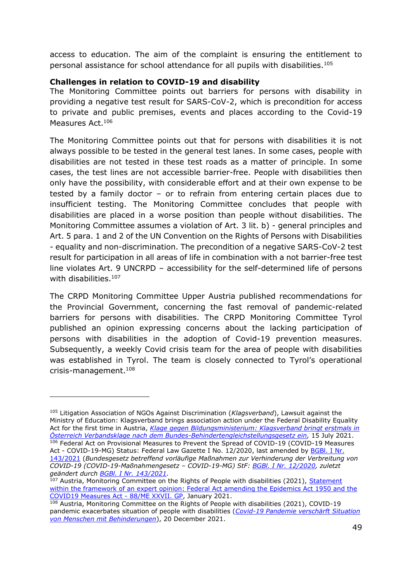access to education. The aim of the complaint is ensuring the entitlement to personal assistance for school attendance for all pupils with disabilities.<sup>105</sup>

#### **Challenges in relation to COVID-19 and disability**

The Monitoring Committee points out barriers for persons with disability in providing a negative test result for SARS-CoV-2, which is precondition for access to private and public premises, events and places according to the Covid-19 Measures Act.<sup>106</sup>

The Monitoring Committee points out that for persons with disabilities it is not always possible to be tested in the general test lanes. In some cases, people with disabilities are not tested in these test roads as a matter of principle. In some cases, the test lines are not accessible barrier-free. People with disabilities then only have the possibility, with considerable effort and at their own expense to be tested by a family doctor – or to refrain from entering certain places due to insufficient testing. The Monitoring Committee concludes that people with disabilities are placed in a worse position than people without disabilities. The Monitoring Committee assumes a violation of Art. 3 lit. b) - general principles and Art. 5 para. 1 and 2 of the UN Convention on the Rights of Persons with Disabilities - equality and non-discrimination. The precondition of a negative SARS-CoV-2 test result for participation in all areas of life in combination with a not barrier-free test line violates Art. 9 UNCRPD – accessibility for the self-determined life of persons with disabilities.<sup>107</sup>

The CRPD Monitoring Committee Upper Austria published recommendations for the Provincial Government, concerning the fast removal of pandemic-related barriers for persons with disabilities. The CRPD Monitoring Committee Tyrol published an opinion expressing concerns about the lacking participation of persons with disabilities in the adoption of Covid-19 prevention measures. Subsequently, a weekly Covid crisis team for the area of people with disabilities was established in Tyrol. The team is closely connected to Tyrol's operational crisis-management.<sup>108</sup>

<sup>105</sup> Litigation Association of NGOs Against Discrimination (*Klagsverband*), Lawsuit against the Ministry of Education: Klagsverband brings association action under the Federal Disability Equality Act for the first time in Austria, *[Klage gegen Bildungsministerium: Klagsverband bringt erstmals in](https://www.klagsverband.at/archives/17650)  [Österreich Verbandsklage nach dem Bundes-Behindertengleichstellungsgesetz ein,](https://www.klagsverband.at/archives/17650)* 15 July 2021. 106 Federal Act on Provisional Measures to Prevent the Spread of COVID-19 (COVID-19 Measures Act - COVID-19-MG) Status: Federal Law Gazette I No. 12/2020, last amended by BGBI. I Nr. [143/2021](https://www.ris.bka.gv.at/eli/bgbl/I/2021/143) (*Bundesgesetz betreffend vorläufige Maßnahmen zur Verhinderung der Verbreitung von COVID-19 (COVID-19-Maßnahmengesetz – COVID-19-MG) StF: [BGBl. I Nr. 12/2020,](https://www.ris.bka.gv.at/eli/bgbl/I/2020/12) zuletzt geändert durch [BGBl. I Nr. 143/2021.](https://www.ris.bka.gv.at/eli/bgbl/I/2021/143)*

 $107$  Austria, Monitoring Committee on the Rights of People with disabilities (2021), Statement [within the framework of an expert opinion: Federal Act amending the Epidemics Act 1950 and the](https://www.monitoringausschuss.at/download/begutachtungen/2021/MA_Begutachtung_Epidemiegesetz_Covid19_2021_01.pdf)  [COVID19 Measures Act -](https://www.monitoringausschuss.at/download/begutachtungen/2021/MA_Begutachtung_Epidemiegesetz_Covid19_2021_01.pdf) 88/ME XXVII. GP, January 2021.

 $108$  Austria, Monitoring Committee on the Rights of People with disabilities (2021), COVID-19 pandemic exacerbates situation of people with disabilities (*[Covid-19 Pandemie verschärft Situation](https://www.monitoringausschuss.at/covid-19-pandemie-verschaerft-situation-von-menschen-mit-behinderungen/)  [von Menschen mit Behinderungen](https://www.monitoringausschuss.at/covid-19-pandemie-verschaerft-situation-von-menschen-mit-behinderungen/)*), 20 December 2021.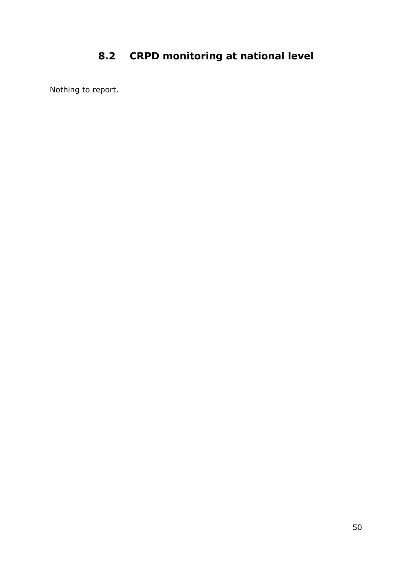# **8.2 CRPD monitoring at national level**

Nothing to report.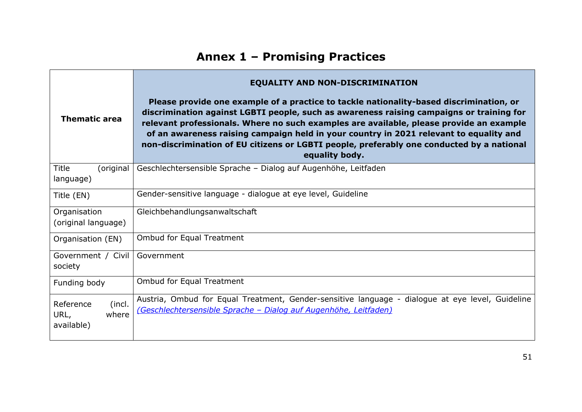| <b>Thematic area</b>                               | <b>EQUALITY AND NON-DISCRIMINATION</b><br>Please provide one example of a practice to tackle nationality-based discrimination, or<br>discrimination against LGBTI people, such as awareness raising campaigns or training for<br>relevant professionals. Where no such examples are available, please provide an example<br>of an awareness raising campaign held in your country in 2021 relevant to equality and<br>non-discrimination of EU citizens or LGBTI people, preferably one conducted by a national<br>equality body. |
|----------------------------------------------------|-----------------------------------------------------------------------------------------------------------------------------------------------------------------------------------------------------------------------------------------------------------------------------------------------------------------------------------------------------------------------------------------------------------------------------------------------------------------------------------------------------------------------------------|
| <b>Title</b><br>(original<br>language)             | Geschlechtersensible Sprache - Dialog auf Augenhöhe, Leitfaden                                                                                                                                                                                                                                                                                                                                                                                                                                                                    |
| Title (EN)                                         | Gender-sensitive language - dialogue at eye level, Guideline                                                                                                                                                                                                                                                                                                                                                                                                                                                                      |
| Organisation<br>(original language)                | Gleichbehandlungsanwaltschaft                                                                                                                                                                                                                                                                                                                                                                                                                                                                                                     |
| Organisation (EN)                                  | <b>Ombud for Equal Treatment</b>                                                                                                                                                                                                                                                                                                                                                                                                                                                                                                  |
| Government / Civil<br>society                      | Government                                                                                                                                                                                                                                                                                                                                                                                                                                                                                                                        |
| Funding body                                       | <b>Ombud for Equal Treatment</b>                                                                                                                                                                                                                                                                                                                                                                                                                                                                                                  |
| (incl.<br>Reference<br>URL,<br>where<br>available) | Austria, Ombud for Equal Treatment, Gender-sensitive language - dialogue at eye level, Guideline<br>(Geschlechtersensible Sprache - Dialog auf Augenhöhe, Leitfaden)                                                                                                                                                                                                                                                                                                                                                              |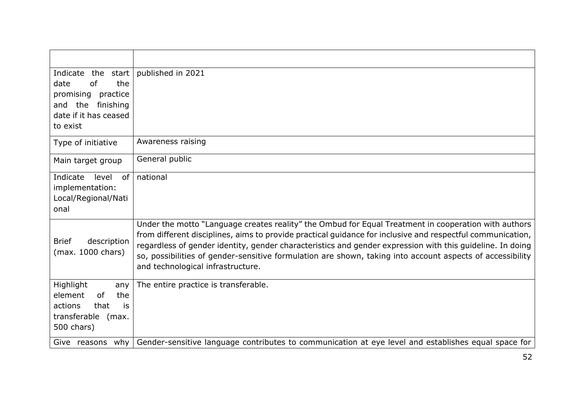| Indicate<br>the<br>start<br>of<br>the<br>date<br>promising practice<br>the<br>finishing<br>and<br>date if it has ceased<br>to exist | published in 2021                                                                                                                                                                                                                                                                                                                                                                                                                                                                 |
|-------------------------------------------------------------------------------------------------------------------------------------|-----------------------------------------------------------------------------------------------------------------------------------------------------------------------------------------------------------------------------------------------------------------------------------------------------------------------------------------------------------------------------------------------------------------------------------------------------------------------------------|
| Type of initiative                                                                                                                  | Awareness raising                                                                                                                                                                                                                                                                                                                                                                                                                                                                 |
| Main target group                                                                                                                   | General public                                                                                                                                                                                                                                                                                                                                                                                                                                                                    |
| Indicate<br>level<br>of<br>implementation:<br>Local/Regional/Nati<br>onal                                                           | national                                                                                                                                                                                                                                                                                                                                                                                                                                                                          |
| <b>Brief</b><br>description<br>(max. 1000 chars)                                                                                    | Under the motto "Language creates reality" the Ombud for Equal Treatment in cooperation with authors<br>from different disciplines, aims to provide practical guidance for inclusive and respectful communication,<br>regardless of gender identity, gender characteristics and gender expression with this guideline. In doing<br>so, possibilities of gender-sensitive formulation are shown, taking into account aspects of accessibility<br>and technological infrastructure. |
| Highlight<br>any<br>element<br>the<br><sub>of</sub><br>actions<br>that<br>is<br>transferable<br>(max.<br>500 chars)                 | The entire practice is transferable.                                                                                                                                                                                                                                                                                                                                                                                                                                              |
| Give reasons why                                                                                                                    | Gender-sensitive language contributes to communication at eye level and establishes equal space for                                                                                                                                                                                                                                                                                                                                                                               |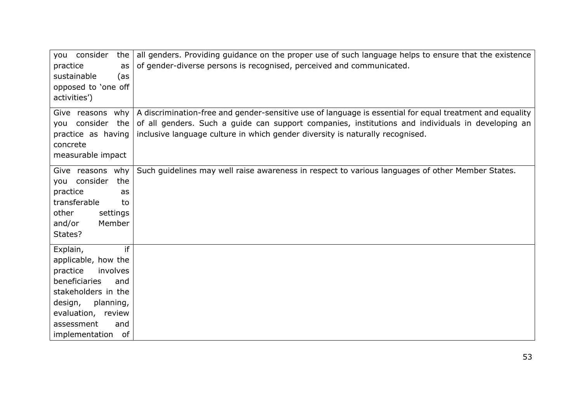| practice<br>as<br>sustainable<br>(as<br>opposed to 'one off<br>activities')                                                                                                                             | you consider the   all genders. Providing guidance on the proper use of such language helps to ensure that the existence<br>of gender-diverse persons is recognised, perceived and communicated.                                                                                                                                             |
|---------------------------------------------------------------------------------------------------------------------------------------------------------------------------------------------------------|----------------------------------------------------------------------------------------------------------------------------------------------------------------------------------------------------------------------------------------------------------------------------------------------------------------------------------------------|
| you consider the<br>concrete<br>measurable impact                                                                                                                                                       | Give reasons why $\vert$ A discrimination-free and gender-sensitive use of language is essential for equal treatment and equality<br>of all genders. Such a guide can support companies, institutions and individuals in developing an<br>practice as having   inclusive language culture in which gender diversity is naturally recognised. |
| Give reasons why<br>you consider<br>the<br>practice<br>as<br>transferable<br>to<br>other<br>settings<br>and/or<br>Member<br>States?                                                                     | Such guidelines may well raise awareness in respect to various languages of other Member States.                                                                                                                                                                                                                                             |
| if<br>Explain,<br>applicable, how the<br>practice<br>involves<br>beneficiaries<br>and<br>stakeholders in the<br>planning,<br>design,<br>evaluation, review<br>assessment<br>and<br>implementation<br>of |                                                                                                                                                                                                                                                                                                                                              |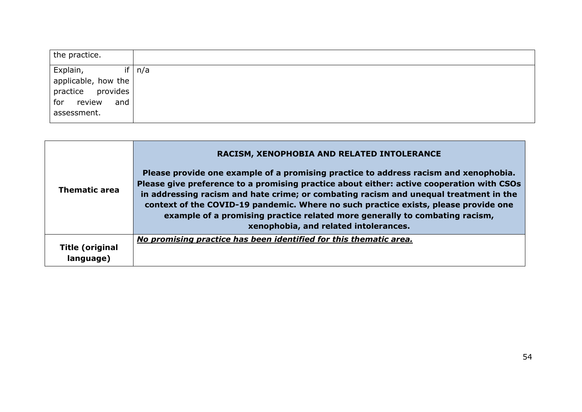| the practice.        |  |
|----------------------|--|
| Explain,<br>if   n/a |  |
| applicable, how the  |  |
| practice provides    |  |
| for<br>review<br>and |  |
| assessment.          |  |

|                                     | RACISM, XENOPHOBIA AND RELATED INTOLERANCE                                                                                                                                                                                                                                                                                                                                                                                                                                                |
|-------------------------------------|-------------------------------------------------------------------------------------------------------------------------------------------------------------------------------------------------------------------------------------------------------------------------------------------------------------------------------------------------------------------------------------------------------------------------------------------------------------------------------------------|
| <b>Thematic area</b>                | Please provide one example of a promising practice to address racism and xenophobia.<br>Please give preference to a promising practice about either: active cooperation with CSOs<br>in addressing racism and hate crime; or combating racism and unequal treatment in the<br>context of the COVID-19 pandemic. Where no such practice exists, please provide one<br>example of a promising practice related more generally to combating racism,<br>xenophobia, and related intolerances. |
| <b>Title (original</b><br>language) | No promising practice has been identified for this thematic area.                                                                                                                                                                                                                                                                                                                                                                                                                         |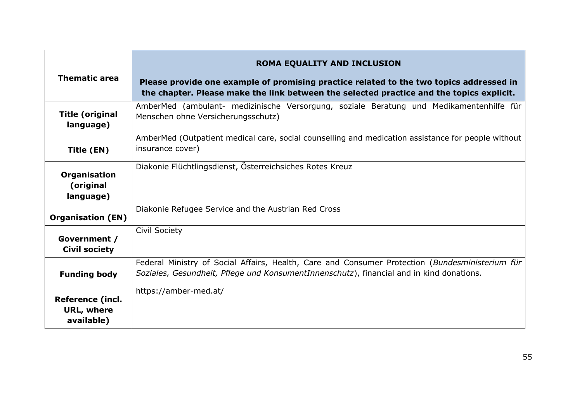| <b>Thematic area</b>                                       | ROMA EQUALITY AND INCLUSION<br>Please provide one example of promising practice related to the two topics addressed in<br>the chapter. Please make the link between the selected practice and the topics explicit. |
|------------------------------------------------------------|--------------------------------------------------------------------------------------------------------------------------------------------------------------------------------------------------------------------|
| <b>Title (original</b><br>language)                        | AmberMed (ambulant- medizinische Versorgung, soziale Beratung und Medikamentenhilfe für<br>Menschen ohne Versicherungsschutz)                                                                                      |
| Title (EN)                                                 | AmberMed (Outpatient medical care, social counselling and medication assistance for people without<br>insurance cover)                                                                                             |
| Organisation<br>(original<br>language)                     | Diakonie Flüchtlingsdienst, Österreichsiches Rotes Kreuz                                                                                                                                                           |
| <b>Organisation (EN)</b>                                   | Diakonie Refugee Service and the Austrian Red Cross                                                                                                                                                                |
| Government /<br><b>Civil society</b>                       | <b>Civil Society</b>                                                                                                                                                                                               |
| <b>Funding body</b>                                        | Federal Ministry of Social Affairs, Health, Care and Consumer Protection (Bundesministerium für<br>Soziales, Gesundheit, Pflege und KonsumentInnenschutz), financial and in kind donations.                        |
| <b>Reference (incl.</b><br><b>URL, where</b><br>available) | https://amber-med.at/                                                                                                                                                                                              |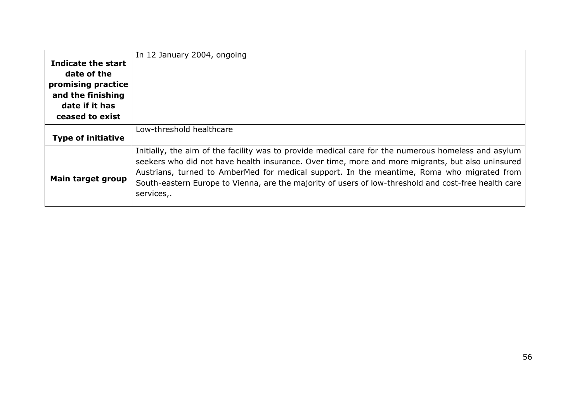| Indicate the start<br>date of the<br>promising practice<br>and the finishing<br>date if it has<br>ceased to exist | In 12 January 2004, ongoing                                                                                                                                                                                                                                                                                                                                                                                                 |
|-------------------------------------------------------------------------------------------------------------------|-----------------------------------------------------------------------------------------------------------------------------------------------------------------------------------------------------------------------------------------------------------------------------------------------------------------------------------------------------------------------------------------------------------------------------|
| <b>Type of initiative</b>                                                                                         | Low-threshold healthcare                                                                                                                                                                                                                                                                                                                                                                                                    |
| <b>Main target group</b>                                                                                          | Initially, the aim of the facility was to provide medical care for the numerous homeless and asylum<br>seekers who did not have health insurance. Over time, more and more migrants, but also uninsured<br>Austrians, turned to AmberMed for medical support. In the meantime, Roma who migrated from<br>South-eastern Europe to Vienna, are the majority of users of low-threshold and cost-free health care<br>services,. |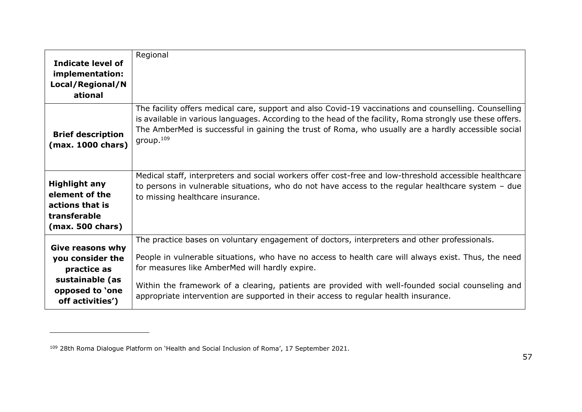| Indicate level of<br>implementation:<br>Local/Regional/N<br>ational                                                  | Regional                                                                                                                                                                                                                                                                                                                                                                                                                                           |
|----------------------------------------------------------------------------------------------------------------------|----------------------------------------------------------------------------------------------------------------------------------------------------------------------------------------------------------------------------------------------------------------------------------------------------------------------------------------------------------------------------------------------------------------------------------------------------|
| <b>Brief description</b><br>(max. 1000 chars)                                                                        | The facility offers medical care, support and also Covid-19 vaccinations and counselling. Counselling<br>is available in various languages. According to the head of the facility, Roma strongly use these offers.<br>The AmberMed is successful in gaining the trust of Roma, who usually are a hardly accessible social<br>group. <sup>109</sup>                                                                                                 |
| <b>Highlight any</b><br>element of the<br>actions that is<br>transferable<br>(max. 500 chars)                        | Medical staff, interpreters and social workers offer cost-free and low-threshold accessible healthcare<br>to persons in vulnerable situations, who do not have access to the regular healthcare system $-$ due<br>to missing healthcare insurance.                                                                                                                                                                                                 |
| <b>Give reasons why</b><br>you consider the<br>practice as<br>sustainable (as<br>opposed to 'one<br>off activities') | The practice bases on voluntary engagement of doctors, interpreters and other professionals.<br>People in vulnerable situations, who have no access to health care will always exist. Thus, the need<br>for measures like AmberMed will hardly expire.<br>Within the framework of a clearing, patients are provided with well-founded social counseling and<br>appropriate intervention are supported in their access to regular health insurance. |

<sup>109</sup> 28th Roma Dialogue Platform on 'Health and Social Inclusion of Roma', 17 September 2021.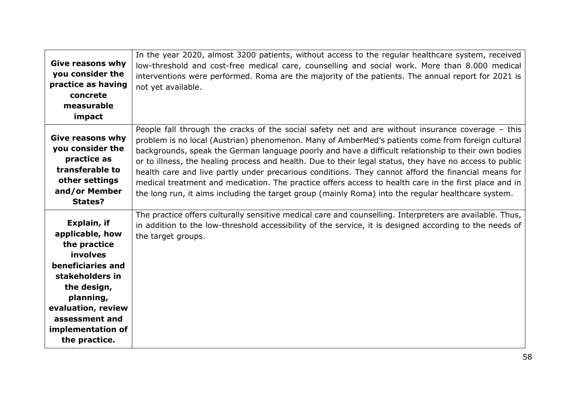| <b>Give reasons why</b><br>you consider the<br>practice as having<br>concrete<br>measurable<br>impact                                                                                                        | In the year 2020, almost 3200 patients, without access to the regular healthcare system, received<br>low-threshold and cost-free medical care, counselling and social work. More than 8.000 medical<br>interventions were performed. Roma are the majority of the patients. The annual report for 2021 is<br>not yet available.                                                                                                                                                                                                                                                                                                                                                                                                                |
|--------------------------------------------------------------------------------------------------------------------------------------------------------------------------------------------------------------|------------------------------------------------------------------------------------------------------------------------------------------------------------------------------------------------------------------------------------------------------------------------------------------------------------------------------------------------------------------------------------------------------------------------------------------------------------------------------------------------------------------------------------------------------------------------------------------------------------------------------------------------------------------------------------------------------------------------------------------------|
| <b>Give reasons why</b><br>you consider the<br>practice as<br>transferable to<br>other settings<br>and/or Member<br>States?                                                                                  | People fall through the cracks of the social safety net and are without insurance coverage - this<br>problem is no local (Austrian) phenomenon. Many of AmberMed's patients come from foreign cultural<br>backgrounds, speak the German language poorly and have a difficult relationship to their own bodies<br>or to illness, the healing process and health. Due to their legal status, they have no access to public<br>health care and live partly under precarious conditions. They cannot afford the financial means for<br>medical treatment and medication. The practice offers access to health care in the first place and in<br>the long run, it aims including the target group (mainly Roma) into the regular healthcare system. |
| Explain, if<br>applicable, how<br>the practice<br>involves<br>beneficiaries and<br>stakeholders in<br>the design,<br>planning,<br>evaluation, review<br>assessment and<br>implementation of<br>the practice. | The practice offers culturally sensitive medical care and counselling. Interpreters are available. Thus,<br>in addition to the low-threshold accessibility of the service, it is designed according to the needs of<br>the target groups.                                                                                                                                                                                                                                                                                                                                                                                                                                                                                                      |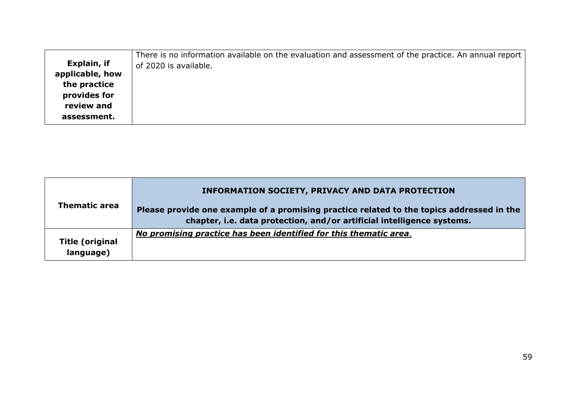|                 | There is no information available on the evaluation and assessment of the practice. An annual report |
|-----------------|------------------------------------------------------------------------------------------------------|
| Explain, if     | of 2020 is available.                                                                                |
| applicable, how |                                                                                                      |
| the practice    |                                                                                                      |
| provides for    |                                                                                                      |
| review and      |                                                                                                      |
| assessment.     |                                                                                                      |
|                 |                                                                                                      |

| <b>Thematic area</b>                | <b>INFORMATION SOCIETY, PRIVACY AND DATA PROTECTION</b><br>Please provide one example of a promising practice related to the topics addressed in the<br>chapter, i.e. data protection, and/or artificial intelligence systems. |
|-------------------------------------|--------------------------------------------------------------------------------------------------------------------------------------------------------------------------------------------------------------------------------|
| <b>Title (original</b><br>language) | No promising practice has been identified for this thematic area.                                                                                                                                                              |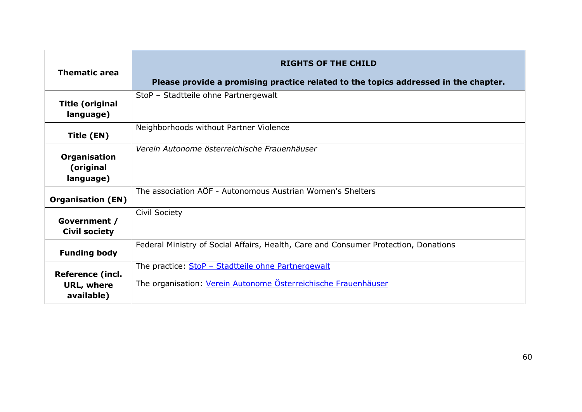| <b>Thematic area</b>                                       | <b>RIGHTS OF THE CHILD</b><br>Please provide a promising practice related to the topics addressed in the chapter.    |
|------------------------------------------------------------|----------------------------------------------------------------------------------------------------------------------|
| <b>Title (original</b><br>language)                        | StoP - Stadtteile ohne Partnergewalt                                                                                 |
| Title (EN)                                                 | Neighborhoods without Partner Violence                                                                               |
| Organisation<br>(original<br>language)                     | Verein Autonome österreichische Frauenhäuser                                                                         |
| <b>Organisation (EN)</b>                                   | The association AÖF - Autonomous Austrian Women's Shelters                                                           |
| Government /<br><b>Civil society</b>                       | Civil Society                                                                                                        |
| <b>Funding body</b>                                        | Federal Ministry of Social Affairs, Health, Care and Consumer Protection, Donations                                  |
| <b>Reference (incl.</b><br><b>URL, where</b><br>available) | The practice: StoP - Stadtteile ohne Partnergewalt<br>The organisation: Verein Autonome Österreichische Frauenhäuser |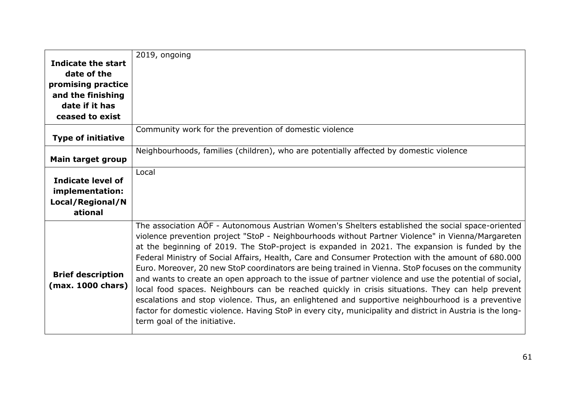|                                               | 2019, ongoing                                                                                                                                                                                                                                                                                                                                                                                                                                                                                                                                                                                                                                                                                                                                                                                                                                                                                                                                                                         |
|-----------------------------------------------|---------------------------------------------------------------------------------------------------------------------------------------------------------------------------------------------------------------------------------------------------------------------------------------------------------------------------------------------------------------------------------------------------------------------------------------------------------------------------------------------------------------------------------------------------------------------------------------------------------------------------------------------------------------------------------------------------------------------------------------------------------------------------------------------------------------------------------------------------------------------------------------------------------------------------------------------------------------------------------------|
| Indicate the start                            |                                                                                                                                                                                                                                                                                                                                                                                                                                                                                                                                                                                                                                                                                                                                                                                                                                                                                                                                                                                       |
| date of the                                   |                                                                                                                                                                                                                                                                                                                                                                                                                                                                                                                                                                                                                                                                                                                                                                                                                                                                                                                                                                                       |
| promising practice                            |                                                                                                                                                                                                                                                                                                                                                                                                                                                                                                                                                                                                                                                                                                                                                                                                                                                                                                                                                                                       |
| and the finishing                             |                                                                                                                                                                                                                                                                                                                                                                                                                                                                                                                                                                                                                                                                                                                                                                                                                                                                                                                                                                                       |
| date if it has                                |                                                                                                                                                                                                                                                                                                                                                                                                                                                                                                                                                                                                                                                                                                                                                                                                                                                                                                                                                                                       |
| ceased to exist                               |                                                                                                                                                                                                                                                                                                                                                                                                                                                                                                                                                                                                                                                                                                                                                                                                                                                                                                                                                                                       |
|                                               | Community work for the prevention of domestic violence                                                                                                                                                                                                                                                                                                                                                                                                                                                                                                                                                                                                                                                                                                                                                                                                                                                                                                                                |
| <b>Type of initiative</b>                     |                                                                                                                                                                                                                                                                                                                                                                                                                                                                                                                                                                                                                                                                                                                                                                                                                                                                                                                                                                                       |
|                                               | Neighbourhoods, families (children), who are potentially affected by domestic violence                                                                                                                                                                                                                                                                                                                                                                                                                                                                                                                                                                                                                                                                                                                                                                                                                                                                                                |
| Main target group                             |                                                                                                                                                                                                                                                                                                                                                                                                                                                                                                                                                                                                                                                                                                                                                                                                                                                                                                                                                                                       |
|                                               | Local                                                                                                                                                                                                                                                                                                                                                                                                                                                                                                                                                                                                                                                                                                                                                                                                                                                                                                                                                                                 |
| <b>Indicate level of</b>                      |                                                                                                                                                                                                                                                                                                                                                                                                                                                                                                                                                                                                                                                                                                                                                                                                                                                                                                                                                                                       |
| implementation:                               |                                                                                                                                                                                                                                                                                                                                                                                                                                                                                                                                                                                                                                                                                                                                                                                                                                                                                                                                                                                       |
| Local/Regional/N                              |                                                                                                                                                                                                                                                                                                                                                                                                                                                                                                                                                                                                                                                                                                                                                                                                                                                                                                                                                                                       |
| ational                                       |                                                                                                                                                                                                                                                                                                                                                                                                                                                                                                                                                                                                                                                                                                                                                                                                                                                                                                                                                                                       |
| <b>Brief description</b><br>(max. 1000 chars) | The association AÖF - Autonomous Austrian Women's Shelters established the social space-oriented<br>violence prevention project "StoP - Neighbourhoods without Partner Violence" in Vienna/Margareten<br>at the beginning of 2019. The StoP-project is expanded in 2021. The expansion is funded by the<br>Federal Ministry of Social Affairs, Health, Care and Consumer Protection with the amount of 680.000<br>Euro. Moreover, 20 new StoP coordinators are being trained in Vienna. StoP focuses on the community<br>and wants to create an open approach to the issue of partner violence and use the potential of social,<br>local food spaces. Neighbours can be reached quickly in crisis situations. They can help prevent<br>escalations and stop violence. Thus, an enlightened and supportive neighbourhood is a preventive<br>factor for domestic violence. Having StoP in every city, municipality and district in Austria is the long-<br>term goal of the initiative. |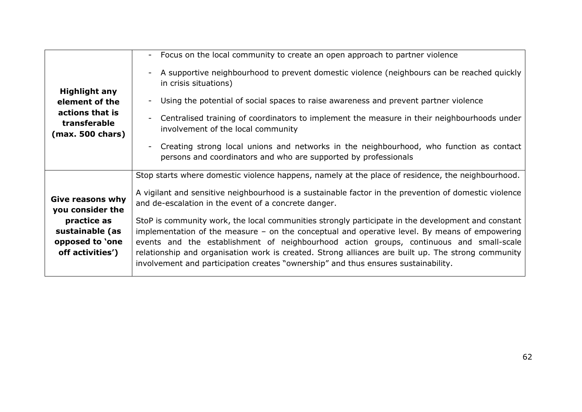|                                                                                               | Focus on the local community to create an open approach to partner violence<br>$\overline{\phantom{0}}$                                                                                                                                                                                                                                                                                                                                                                                                                                               |
|-----------------------------------------------------------------------------------------------|-------------------------------------------------------------------------------------------------------------------------------------------------------------------------------------------------------------------------------------------------------------------------------------------------------------------------------------------------------------------------------------------------------------------------------------------------------------------------------------------------------------------------------------------------------|
| <b>Highlight any</b><br>element of the<br>actions that is<br>transferable<br>(max. 500 chars) | A supportive neighbourhood to prevent domestic violence (neighbours can be reached quickly<br>in crisis situations)<br>Using the potential of social spaces to raise awareness and prevent partner violence<br>$\overline{\phantom{a}}$<br>Centralised training of coordinators to implement the measure in their neighbourhoods under<br>Ξ.<br>involvement of the local community<br>Creating strong local unions and networks in the neighbourhood, who function as contact<br>-<br>persons and coordinators and who are supported by professionals |
|                                                                                               |                                                                                                                                                                                                                                                                                                                                                                                                                                                                                                                                                       |
|                                                                                               | Stop starts where domestic violence happens, namely at the place of residence, the neighbourhood.                                                                                                                                                                                                                                                                                                                                                                                                                                                     |
| <b>Give reasons why</b><br>you consider the                                                   | A vigilant and sensitive neighbourhood is a sustainable factor in the prevention of domestic violence<br>and de-escalation in the event of a concrete danger.                                                                                                                                                                                                                                                                                                                                                                                         |
| practice as<br>sustainable (as<br>opposed to 'one<br>off activities')                         | StoP is community work, the local communities strongly participate in the development and constant<br>implementation of the measure $-$ on the conceptual and operative level. By means of empowering<br>events and the establishment of neighbourhood action groups, continuous and small-scale<br>relationship and organisation work is created. Strong alliances are built up. The strong community<br>involvement and participation creates "ownership" and thus ensures sustainability.                                                          |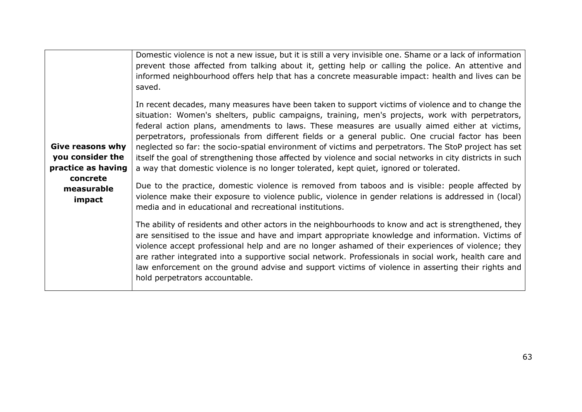| Domestic violence is not a new issue, but it is still a very invisible one. Shame or a lack of information<br>prevent those affected from talking about it, getting help or calling the police. An attentive and<br>informed neighbourhood offers help that has a concrete measurable impact: health and lives can be<br>saved.                                                                                                                                                                                                                                                                                                                                                                                              |
|------------------------------------------------------------------------------------------------------------------------------------------------------------------------------------------------------------------------------------------------------------------------------------------------------------------------------------------------------------------------------------------------------------------------------------------------------------------------------------------------------------------------------------------------------------------------------------------------------------------------------------------------------------------------------------------------------------------------------|
| In recent decades, many measures have been taken to support victims of violence and to change the<br>situation: Women's shelters, public campaigns, training, men's projects, work with perpetrators,<br>federal action plans, amendments to laws. These measures are usually aimed either at victims,<br>perpetrators, professionals from different fields or a general public. One crucial factor has been<br>neglected so far: the socio-spatial environment of victims and perpetrators. The StoP project has set<br>itself the goal of strengthening those affected by violence and social networks in city districts in such<br>a way that domestic violence is no longer tolerated, kept quiet, ignored or tolerated. |
| Due to the practice, domestic violence is removed from taboos and is visible: people affected by<br>violence make their exposure to violence public, violence in gender relations is addressed in (local)<br>media and in educational and recreational institutions.                                                                                                                                                                                                                                                                                                                                                                                                                                                         |
| The ability of residents and other actors in the neighbourhoods to know and act is strengthened, they<br>are sensitised to the issue and have and impart appropriate knowledge and information. Victims of<br>violence accept professional help and are no longer ashamed of their experiences of violence; they<br>are rather integrated into a supportive social network. Professionals in social work, health care and<br>law enforcement on the ground advise and support victims of violence in asserting their rights and<br>hold perpetrators accountable.                                                                                                                                                            |
|                                                                                                                                                                                                                                                                                                                                                                                                                                                                                                                                                                                                                                                                                                                              |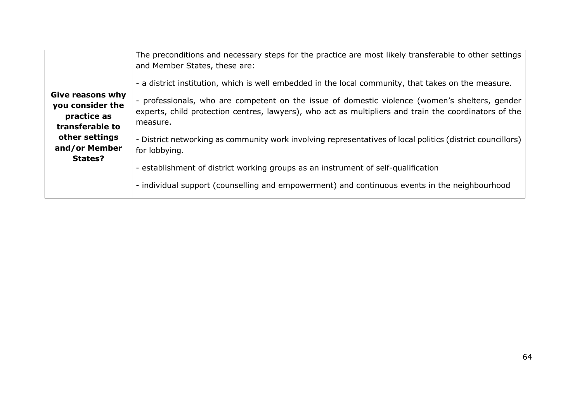| Give reasons why<br>you consider the<br>practice as<br>transferable to<br>other settings<br>and/or Member<br>States? | The preconditions and necessary steps for the practice are most likely transferable to other settings<br>and Member States, these are:<br>- a district institution, which is well embedded in the local community, that takes on the measure.<br>- professionals, who are competent on the issue of domestic violence (women's shelters, gender<br>experts, child protection centres, lawyers), who act as multipliers and train the coordinators of the<br>measure. |
|----------------------------------------------------------------------------------------------------------------------|----------------------------------------------------------------------------------------------------------------------------------------------------------------------------------------------------------------------------------------------------------------------------------------------------------------------------------------------------------------------------------------------------------------------------------------------------------------------|
|                                                                                                                      | - District networking as community work involving representatives of local politics (district councillors)<br>for lobbying.                                                                                                                                                                                                                                                                                                                                          |
|                                                                                                                      | - establishment of district working groups as an instrument of self-qualification<br>- individual support (counselling and empowerment) and continuous events in the neighbourhood                                                                                                                                                                                                                                                                                   |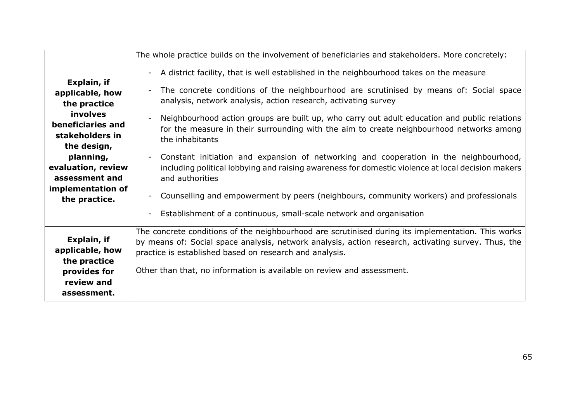|                                                                                             | The whole practice builds on the involvement of beneficiaries and stakeholders. More concretely:                                                                                                                                                                                                                                               |
|---------------------------------------------------------------------------------------------|------------------------------------------------------------------------------------------------------------------------------------------------------------------------------------------------------------------------------------------------------------------------------------------------------------------------------------------------|
|                                                                                             | A district facility, that is well established in the neighbourhood takes on the measure<br>$\overline{\phantom{a}}$                                                                                                                                                                                                                            |
| Explain, if<br>applicable, how<br>the practice                                              | The concrete conditions of the neighbourhood are scrutinised by means of: Social space<br>$\overline{\phantom{0}}$<br>analysis, network analysis, action research, activating survey                                                                                                                                                           |
| involves<br>beneficiaries and<br>stakeholders in<br>the design,                             | Neighbourhood action groups are built up, who carry out adult education and public relations<br>for the measure in their surrounding with the aim to create neighbourhood networks among<br>the inhabitants                                                                                                                                    |
| planning,<br>evaluation, review<br>assessment and                                           | Constant initiation and expansion of networking and cooperation in the neighbourhood,<br>$\sim$<br>including political lobbying and raising awareness for domestic violence at local decision makers<br>and authorities                                                                                                                        |
| implementation of<br>the practice.                                                          | Counselling and empowerment by peers (neighbours, community workers) and professionals<br>Ξ.                                                                                                                                                                                                                                                   |
|                                                                                             | Establishment of a continuous, small-scale network and organisation<br>Ξ.                                                                                                                                                                                                                                                                      |
| Explain, if<br>applicable, how<br>the practice<br>provides for<br>review and<br>assessment. | The concrete conditions of the neighbourhood are scrutinised during its implementation. This works<br>by means of: Social space analysis, network analysis, action research, activating survey. Thus, the<br>practice is established based on research and analysis.<br>Other than that, no information is available on review and assessment. |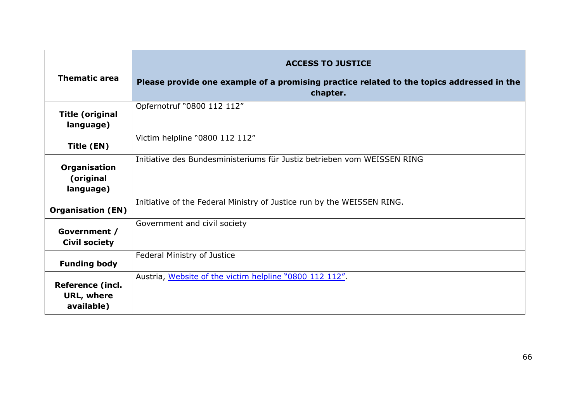| <b>Thematic area</b>                                       | <b>ACCESS TO JUSTICE</b><br>Please provide one example of a promising practice related to the topics addressed in the<br>chapter. |
|------------------------------------------------------------|-----------------------------------------------------------------------------------------------------------------------------------|
| <b>Title (original</b><br>language)                        | Opfernotruf "0800 112 112"                                                                                                        |
| Title (EN)                                                 | Victim helpline "0800 112 112"                                                                                                    |
| Organisation<br>(original<br>language)                     | Initiative des Bundesministeriums für Justiz betrieben vom WEISSEN RING                                                           |
| <b>Organisation (EN)</b>                                   | Initiative of the Federal Ministry of Justice run by the WEISSEN RING.                                                            |
| Government /<br><b>Civil society</b>                       | Government and civil society                                                                                                      |
| <b>Funding body</b>                                        | Federal Ministry of Justice                                                                                                       |
| <b>Reference (incl.</b><br><b>URL, where</b><br>available) | Austria, Website of the victim helpline "0800 112 112".                                                                           |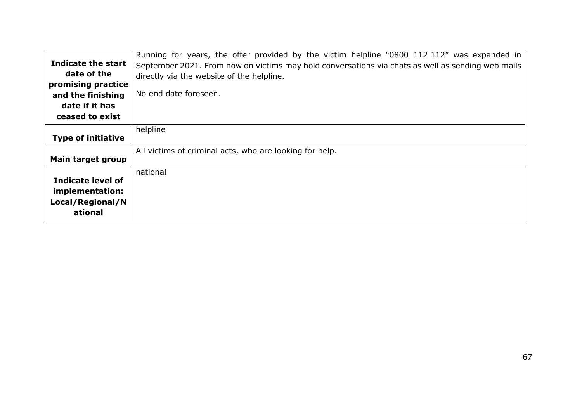|                           | Running for years, the offer provided by the victim helpline "0800 112 112" was expanded in       |
|---------------------------|---------------------------------------------------------------------------------------------------|
| <b>Indicate the start</b> | September 2021. From now on victims may hold conversations via chats as well as sending web mails |
| date of the               | directly via the website of the helpline.                                                         |
| promising practice        |                                                                                                   |
| and the finishing         | No end date foreseen.                                                                             |
| date if it has            |                                                                                                   |
| ceased to exist           |                                                                                                   |
|                           | helpline                                                                                          |
| <b>Type of initiative</b> |                                                                                                   |
|                           | All victims of criminal acts, who are looking for help.                                           |
| <b>Main target group</b>  |                                                                                                   |
|                           | national                                                                                          |
| Indicate level of         |                                                                                                   |
| implementation:           |                                                                                                   |
| Local/Regional/N          |                                                                                                   |
| ational                   |                                                                                                   |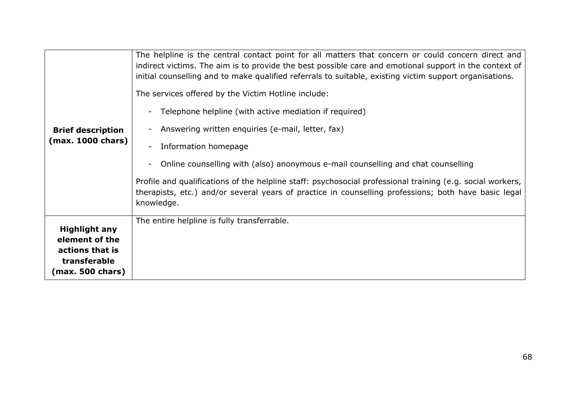| <b>Brief description</b><br>(max. 1000 chars)                                                 | The helpline is the central contact point for all matters that concern or could concern direct and<br>indirect victims. The aim is to provide the best possible care and emotional support in the context of<br>initial counselling and to make qualified referrals to suitable, existing victim support organisations.<br>The services offered by the Victim Hotline include:<br>Telephone helpline (with active mediation if required)<br>Answering written enquiries (e-mail, letter, fax)<br>Information homepage<br>Online counselling with (also) anonymous e-mail counselling and chat counselling<br>Profile and qualifications of the helpline staff: psychosocial professional training (e.g. social workers,<br>therapists, etc.) and/or several years of practice in counselling professions; both have basic legal<br>knowledge. |
|-----------------------------------------------------------------------------------------------|-----------------------------------------------------------------------------------------------------------------------------------------------------------------------------------------------------------------------------------------------------------------------------------------------------------------------------------------------------------------------------------------------------------------------------------------------------------------------------------------------------------------------------------------------------------------------------------------------------------------------------------------------------------------------------------------------------------------------------------------------------------------------------------------------------------------------------------------------|
| <b>Highlight any</b><br>element of the<br>actions that is<br>transferable<br>(max. 500 chars) | The entire helpline is fully transferrable.                                                                                                                                                                                                                                                                                                                                                                                                                                                                                                                                                                                                                                                                                                                                                                                                   |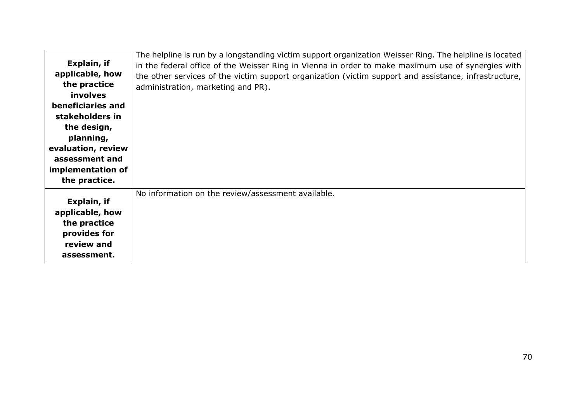|                    | The helpline is run by a longstanding victim support organization Weisser Ring. The helpline is located |
|--------------------|---------------------------------------------------------------------------------------------------------|
| Explain, if        | in the federal office of the Weisser Ring in Vienna in order to make maximum use of synergies with      |
| applicable, how    | the other services of the victim support organization (victim support and assistance, infrastructure,   |
| the practice       | administration, marketing and PR).                                                                      |
| <b>involves</b>    |                                                                                                         |
| beneficiaries and  |                                                                                                         |
| stakeholders in    |                                                                                                         |
| the design,        |                                                                                                         |
| planning,          |                                                                                                         |
| evaluation, review |                                                                                                         |
| assessment and     |                                                                                                         |
| implementation of  |                                                                                                         |
| the practice.      |                                                                                                         |
|                    | No information on the review/assessment available.                                                      |
| Explain, if        |                                                                                                         |
| applicable, how    |                                                                                                         |
| the practice       |                                                                                                         |
| provides for       |                                                                                                         |
| review and         |                                                                                                         |
| assessment.        |                                                                                                         |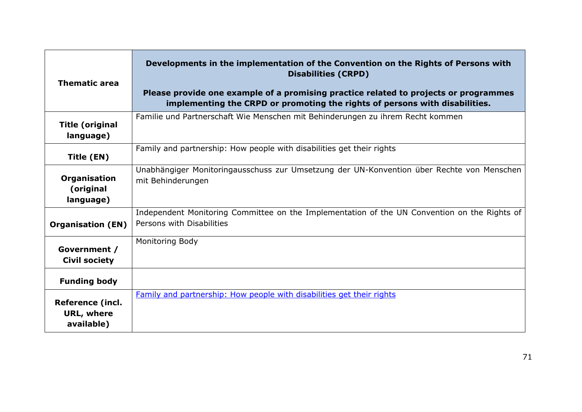| <b>Thematic area</b>                                       | Developments in the implementation of the Convention on the Rights of Persons with<br><b>Disabilities (CRPD)</b><br>Please provide one example of a promising practice related to projects or programmes<br>implementing the CRPD or promoting the rights of persons with disabilities. |
|------------------------------------------------------------|-----------------------------------------------------------------------------------------------------------------------------------------------------------------------------------------------------------------------------------------------------------------------------------------|
| <b>Title (original</b><br>language)                        | Familie und Partnerschaft Wie Menschen mit Behinderungen zu ihrem Recht kommen                                                                                                                                                                                                          |
| Title (EN)                                                 | Family and partnership: How people with disabilities get their rights                                                                                                                                                                                                                   |
| Organisation<br>(original<br>language)                     | Unabhängiger Monitoringausschuss zur Umsetzung der UN-Konvention über Rechte von Menschen<br>mit Behinderungen                                                                                                                                                                          |
| <b>Organisation (EN)</b>                                   | Independent Monitoring Committee on the Implementation of the UN Convention on the Rights of<br>Persons with Disabilities                                                                                                                                                               |
| Government /<br><b>Civil society</b>                       | Monitoring Body                                                                                                                                                                                                                                                                         |
| <b>Funding body</b>                                        |                                                                                                                                                                                                                                                                                         |
| <b>Reference (incl.</b><br><b>URL, where</b><br>available) | Family and partnership: How people with disabilities get their rights                                                                                                                                                                                                                   |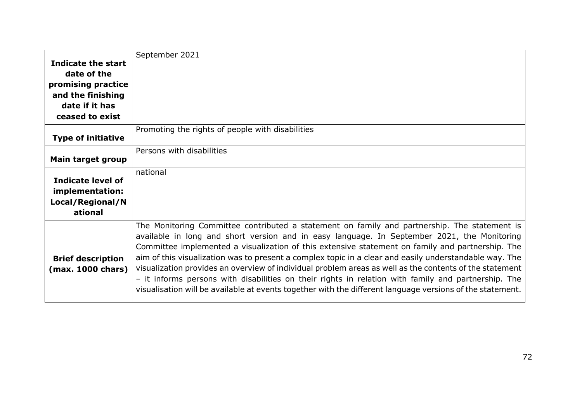|                           | September 2021                                                                                            |
|---------------------------|-----------------------------------------------------------------------------------------------------------|
| Indicate the start        |                                                                                                           |
| date of the               |                                                                                                           |
| promising practice        |                                                                                                           |
| and the finishing         |                                                                                                           |
| date if it has            |                                                                                                           |
| ceased to exist           |                                                                                                           |
|                           | Promoting the rights of people with disabilities                                                          |
| <b>Type of initiative</b> |                                                                                                           |
|                           | Persons with disabilities                                                                                 |
| Main target group         |                                                                                                           |
|                           | national                                                                                                  |
| Indicate level of         |                                                                                                           |
| implementation:           |                                                                                                           |
| Local/Regional/N          |                                                                                                           |
| ational                   |                                                                                                           |
|                           | The Monitoring Committee contributed a statement on family and partnership. The statement is              |
|                           | available in long and short version and in easy language. In September 2021, the Monitoring               |
|                           | Committee implemented a visualization of this extensive statement on family and partnership. The          |
| <b>Brief description</b>  | aim of this visualization was to present a complex topic in a clear and easily understandable way. The    |
| (max. 1000 chars)         | visualization provides an overview of individual problem areas as well as the contents of the statement   |
|                           | - it informs persons with disabilities on their rights in relation with family and partnership. The       |
|                           | visualisation will be available at events together with the different language versions of the statement. |
|                           |                                                                                                           |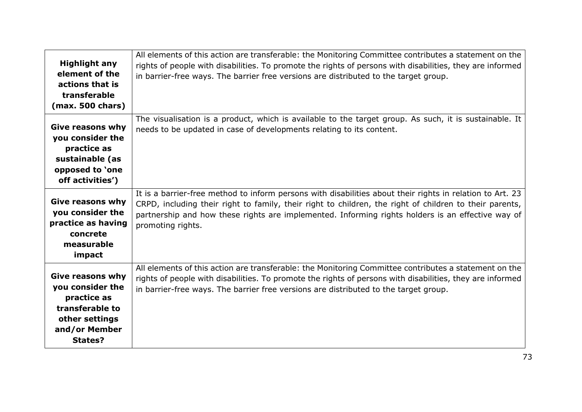| <b>Highlight any</b><br>element of the<br>actions that is<br>transferable<br>(max. 500 chars)                                      | All elements of this action are transferable: the Monitoring Committee contributes a statement on the<br>rights of people with disabilities. To promote the rights of persons with disabilities, they are informed<br>in barrier-free ways. The barrier free versions are distributed to the target group.                                     |
|------------------------------------------------------------------------------------------------------------------------------------|------------------------------------------------------------------------------------------------------------------------------------------------------------------------------------------------------------------------------------------------------------------------------------------------------------------------------------------------|
| <b>Give reasons why</b><br>you consider the<br>practice as<br>sustainable (as<br>opposed to 'one<br>off activities')               | The visualisation is a product, which is available to the target group. As such, it is sustainable. It<br>needs to be updated in case of developments relating to its content.                                                                                                                                                                 |
| <b>Give reasons why</b><br>you consider the<br>practice as having<br>concrete<br>measurable<br>impact                              | It is a barrier-free method to inform persons with disabilities about their rights in relation to Art. 23<br>CRPD, including their right to family, their right to children, the right of children to their parents,<br>partnership and how these rights are implemented. Informing rights holders is an effective way of<br>promoting rights. |
| <b>Give reasons why</b><br>you consider the<br>practice as<br>transferable to<br>other settings<br>and/or Member<br><b>States?</b> | All elements of this action are transferable: the Monitoring Committee contributes a statement on the<br>rights of people with disabilities. To promote the rights of persons with disabilities, they are informed<br>in barrier-free ways. The barrier free versions are distributed to the target group.                                     |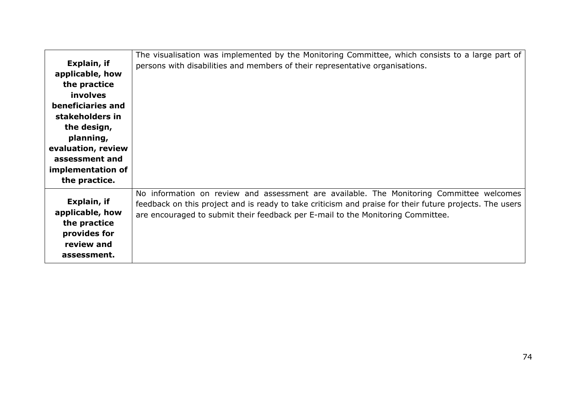|                    | The visualisation was implemented by the Monitoring Committee, which consists to a large part of        |
|--------------------|---------------------------------------------------------------------------------------------------------|
| Explain, if        | persons with disabilities and members of their representative organisations.                            |
| applicable, how    |                                                                                                         |
| the practice       |                                                                                                         |
| <b>involves</b>    |                                                                                                         |
| beneficiaries and  |                                                                                                         |
| stakeholders in    |                                                                                                         |
| the design,        |                                                                                                         |
| planning,          |                                                                                                         |
| evaluation, review |                                                                                                         |
| assessment and     |                                                                                                         |
| implementation of  |                                                                                                         |
| the practice.      |                                                                                                         |
|                    | No information on review and assessment are available. The Monitoring Committee welcomes                |
| Explain, if        | feedback on this project and is ready to take criticism and praise for their future projects. The users |
| applicable, how    | are encouraged to submit their feedback per E-mail to the Monitoring Committee.                         |
| the practice       |                                                                                                         |
| provides for       |                                                                                                         |
| review and         |                                                                                                         |
| assessment.        |                                                                                                         |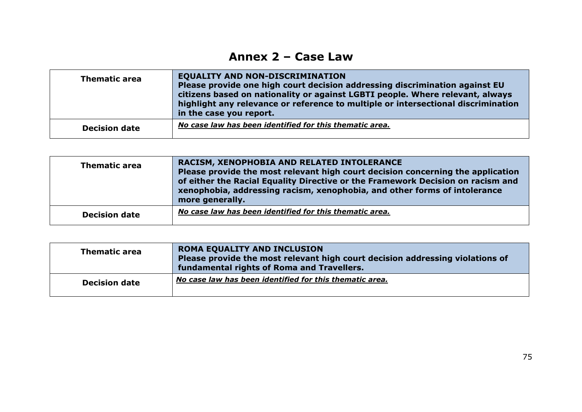## **Annex 2 – Case Law**

| <b>Thematic area</b> | <b>EQUALITY AND NON-DISCRIMINATION</b><br>Please provide one high court decision addressing discrimination against EU<br>citizens based on nationality or against LGBTI people. Where relevant, always<br>highlight any relevance or reference to multiple or intersectional discrimination<br>in the case you report. |
|----------------------|------------------------------------------------------------------------------------------------------------------------------------------------------------------------------------------------------------------------------------------------------------------------------------------------------------------------|
| <b>Decision date</b> | No case law has been identified for this thematic area.                                                                                                                                                                                                                                                                |

| <b>Thematic area</b> | RACISM, XENOPHOBIA AND RELATED INTOLERANCE<br>Please provide the most relevant high court decision concerning the application<br>of either the Racial Equality Directive or the Framework Decision on racism and<br>xenophobia, addressing racism, xenophobia, and other forms of intolerance<br>more generally. |
|----------------------|------------------------------------------------------------------------------------------------------------------------------------------------------------------------------------------------------------------------------------------------------------------------------------------------------------------|
| <b>Decision date</b> | No case law has been identified for this thematic area.                                                                                                                                                                                                                                                          |

| <b>Thematic area</b> | <b>ROMA EQUALITY AND INCLUSION</b><br>Please provide the most relevant high court decision addressing violations of<br>fundamental rights of Roma and Travellers. |
|----------------------|-------------------------------------------------------------------------------------------------------------------------------------------------------------------|
| <b>Decision date</b> | No case law has been identified for this thematic area.                                                                                                           |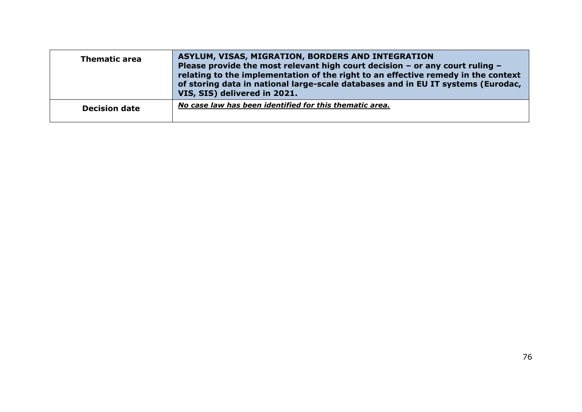| <b>Thematic area</b> | ASYLUM, VISAS, MIGRATION, BORDERS AND INTEGRATION<br>Please provide the most relevant high court decision $-$ or any court ruling $-$<br>relating to the implementation of the right to an effective remedy in the context<br>of storing data in national large-scale databases and in EU IT systems (Eurodac,<br>VIS, SIS) delivered in 2021. |
|----------------------|------------------------------------------------------------------------------------------------------------------------------------------------------------------------------------------------------------------------------------------------------------------------------------------------------------------------------------------------|
| <b>Decision date</b> | No case law has been identified for this thematic area.                                                                                                                                                                                                                                                                                        |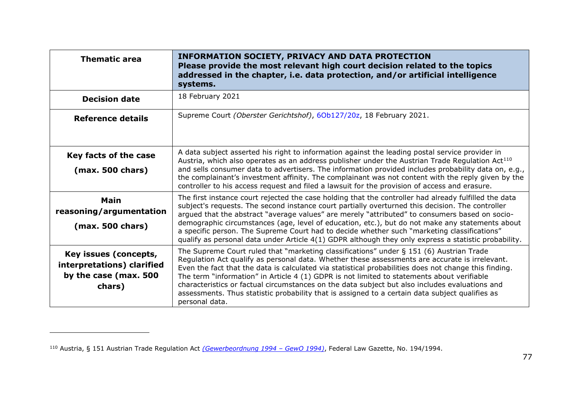| <b>Thematic area</b>                                                                   | <b>INFORMATION SOCIETY, PRIVACY AND DATA PROTECTION</b><br>Please provide the most relevant high court decision related to the topics<br>addressed in the chapter, i.e. data protection, and/or artificial intelligence<br>systems.                                                                                                                                                                                                                                                                                                                                                                                     |
|----------------------------------------------------------------------------------------|-------------------------------------------------------------------------------------------------------------------------------------------------------------------------------------------------------------------------------------------------------------------------------------------------------------------------------------------------------------------------------------------------------------------------------------------------------------------------------------------------------------------------------------------------------------------------------------------------------------------------|
| <b>Decision date</b>                                                                   | 18 February 2021                                                                                                                                                                                                                                                                                                                                                                                                                                                                                                                                                                                                        |
| Reference details                                                                      | Supreme Court (Oberster Gerichtshof), 6Ob127/20z, 18 February 2021.                                                                                                                                                                                                                                                                                                                                                                                                                                                                                                                                                     |
| Key facts of the case<br>$(max. 500 \text{ chars})$                                    | A data subject asserted his right to information against the leading postal service provider in<br>Austria, which also operates as an address publisher under the Austrian Trade Regulation Act <sup>110</sup><br>and sells consumer data to advertisers. The information provided includes probability data on, e.g.,<br>the complainant's investment affinity. The complainant was not content with the reply given by the<br>controller to his access request and filed a lawsuit for the provision of access and erasure.                                                                                           |
| <b>Main</b><br>reasoning/argumentation<br>(max. 500 chars)                             | The first instance court rejected the case holding that the controller had already fulfilled the data<br>subject's requests. The second instance court partially overturned this decision. The controller<br>argued that the abstract "average values" are merely "attributed" to consumers based on socio-<br>demographic circumstances (age, level of education, etc.), but do not make any statements about<br>a specific person. The Supreme Court had to decide whether such "marketing classifications"<br>qualify as personal data under Article $4(1)$ GDPR although they only express a statistic probability. |
| Key issues (concepts,<br>interpretations) clarified<br>by the case (max. 500<br>chars) | The Supreme Court ruled that "marketing classifications" under § 151 (6) Austrian Trade<br>Regulation Act qualify as personal data. Whether these assessments are accurate is irrelevant.<br>Even the fact that the data is calculated via statistical probabilities does not change this finding.<br>The term "information" in Article 4 (1) GDPR is not limited to statements about verifiable<br>characteristics or factual circumstances on the data subject but also includes evaluations and<br>assessments. Thus statistic probability that is assigned to a certain data subject qualifies as<br>personal data. |

<sup>110</sup> Austria, § 151 Austrian Trade Regulation Act *[\(Gewerbeordnung 1994](https://www.ris.bka.gv.at/GeltendeFassung.wxe?Abfrage=Bundesnormen&Gesetzesnummer=10007517) – GewO 1994)*, Federal Law Gazette, No. 194/1994.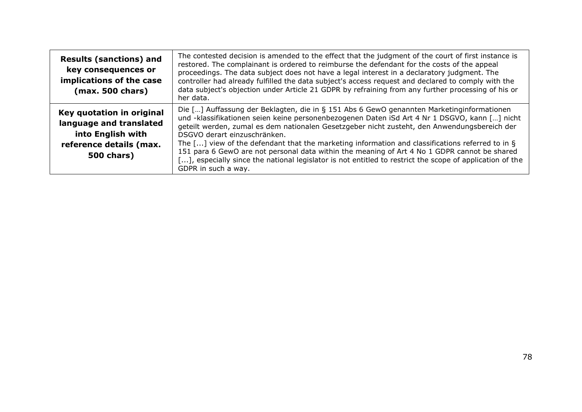| <b>Results (sanctions) and</b><br>key consequences or<br>implications of the case<br>(max. 500 chars)                     | The contested decision is amended to the effect that the judgment of the court of first instance is<br>restored. The complainant is ordered to reimburse the defendant for the costs of the appeal<br>proceedings. The data subject does not have a legal interest in a declaratory judgment. The<br>controller had already fulfilled the data subject's access request and declared to comply with the<br>data subject's objection under Article 21 GDPR by refraining from any further processing of his or<br>her data.                                                                                                                                        |
|---------------------------------------------------------------------------------------------------------------------------|-------------------------------------------------------------------------------------------------------------------------------------------------------------------------------------------------------------------------------------------------------------------------------------------------------------------------------------------------------------------------------------------------------------------------------------------------------------------------------------------------------------------------------------------------------------------------------------------------------------------------------------------------------------------|
| Key quotation in original<br>language and translated<br>into English with<br>reference details (max.<br><b>500 chars)</b> | Die [] Auffassung der Beklagten, die in § 151 Abs 6 GewO genannten Marketinginformationen<br>und -klassifikationen seien keine personenbezogenen Daten iSd Art 4 Nr 1 DSGVO, kann [] nicht<br>geteilt werden, zumal es dem nationalen Gesetzgeber nicht zusteht, den Anwendungsbereich der<br>DSGVO derart einzuschränken.<br>The [] view of the defendant that the marketing information and classifications referred to in §<br>151 para 6 GewO are not personal data within the meaning of Art 4 No 1 GDPR cannot be shared<br>[], especially since the national legislator is not entitled to restrict the scope of application of the<br>GDPR in such a way. |